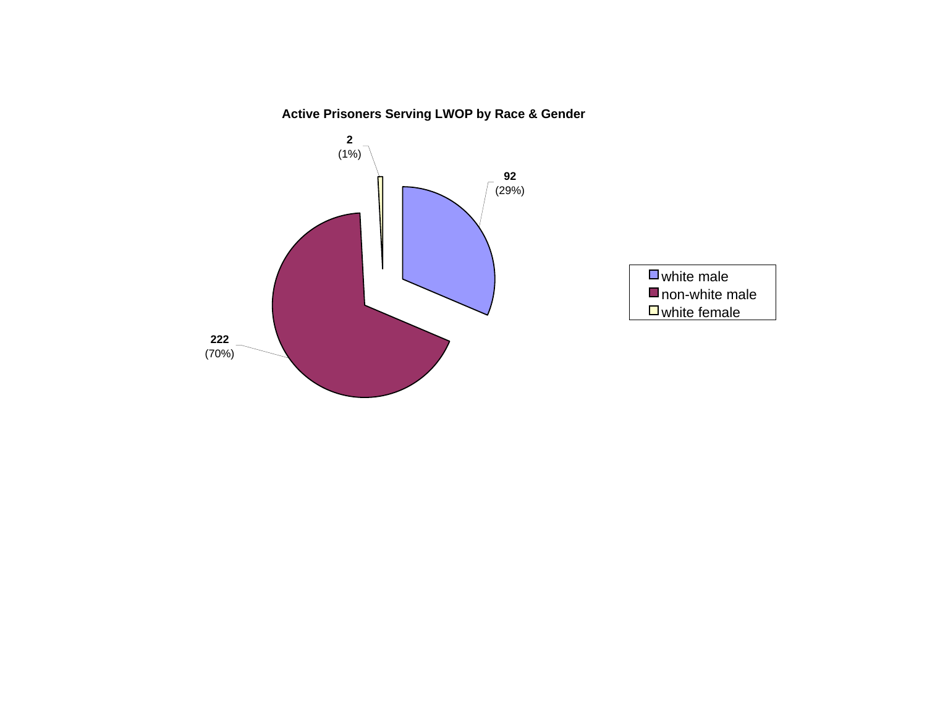## **Active Prisoners Serving LWOP by Race & Gender**

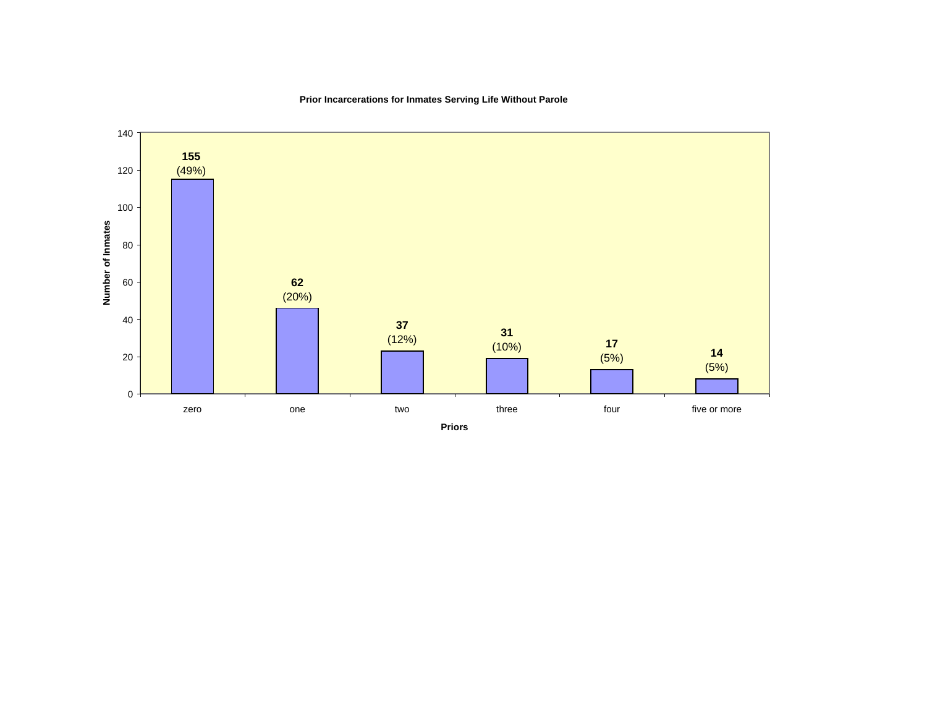

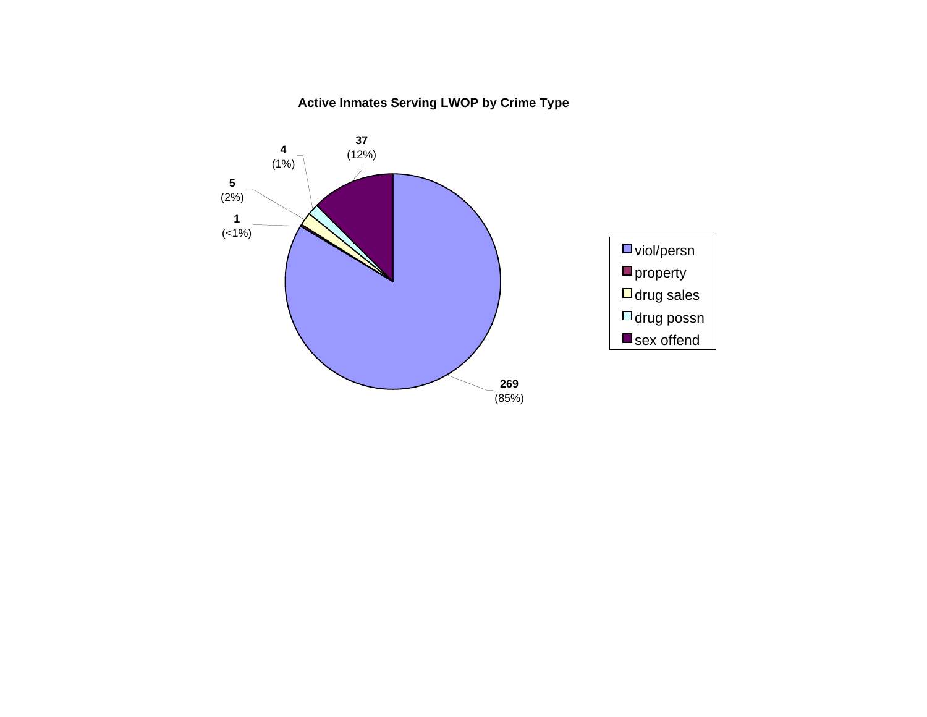## **Active Inmates Serving LWOP by Crime Type**

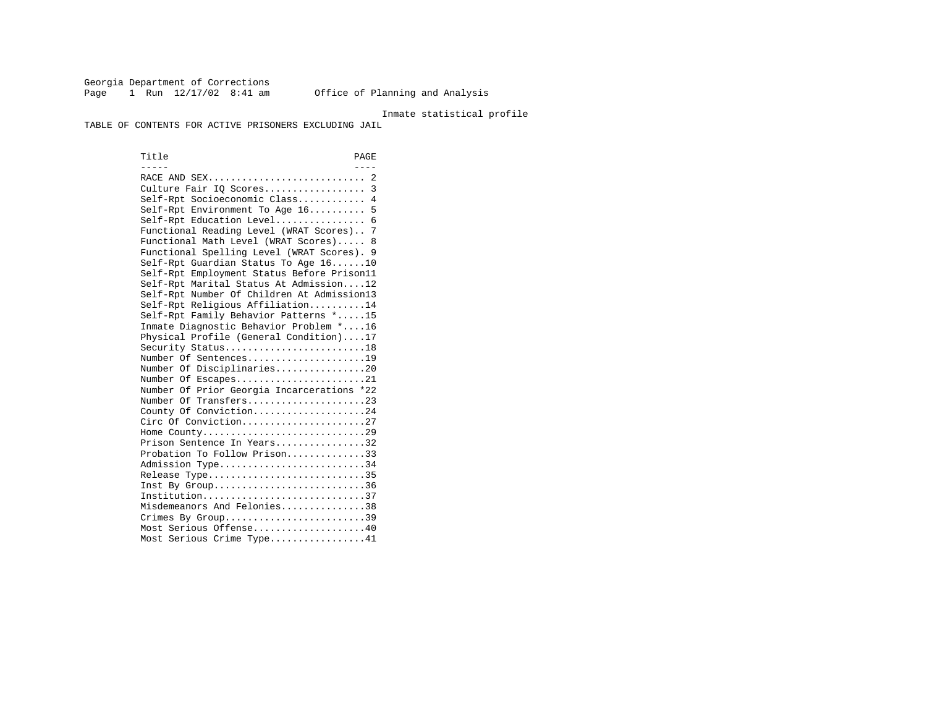Georgia Department of Corrections Page 1 Run 12/17/02 8:41 am Office of Planning and Analysis

### Inmate statistical profile

TABLE OF CONTENTS FOR ACTIVE PRISONERS EXCLUDING JAIL

Title PAGE ----- ---- RACE AND SEX............................ 2 Culture Fair IQ Scores.................. 3 Self-Rpt Socioeconomic Class............ 4 Self-Rpt Environment To Age 16.......... 5 Self-Rpt Education Level................ 6 Functional Reading Level (WRAT Scores).. 7 Functional Math Level (WRAT Scores)..... 8 Functional Spelling Level (WRAT Scores). 9 Self-Rpt Guardian Status To Age 16......10 Self-Rpt Employment Status Before Prison11 Self-Rpt Marital Status At Admission....12 Self-Rpt Number Of Children At Admission13 Self-Rpt Religious Affiliation..........14 Self-Rpt Family Behavior Patterns \*.....15 Inmate Diagnostic Behavior Problem \*....16 Physical Profile (General Condition)....17 Security Status...........................18 Number Of Sentences.....................19 Number Of Disciplinaries................20 Number Of Escapes........................21 Number Of Prior Georgia Incarcerations \*22 Number Of Transfers.....................23 County Of Conviction....................24 Circ Of Conviction......................27 Home County.............................29 Prison Sentence In Years................32 Probation To Follow Prison..............33Admission Type............................34 Release Type..............................35 Inst By Group..............................36 Institution.............................37 Misdemeanors And Felonies...............38 Crimes By Group.............................39 Most Serious Offense....................40 Most Serious Crime Type.................41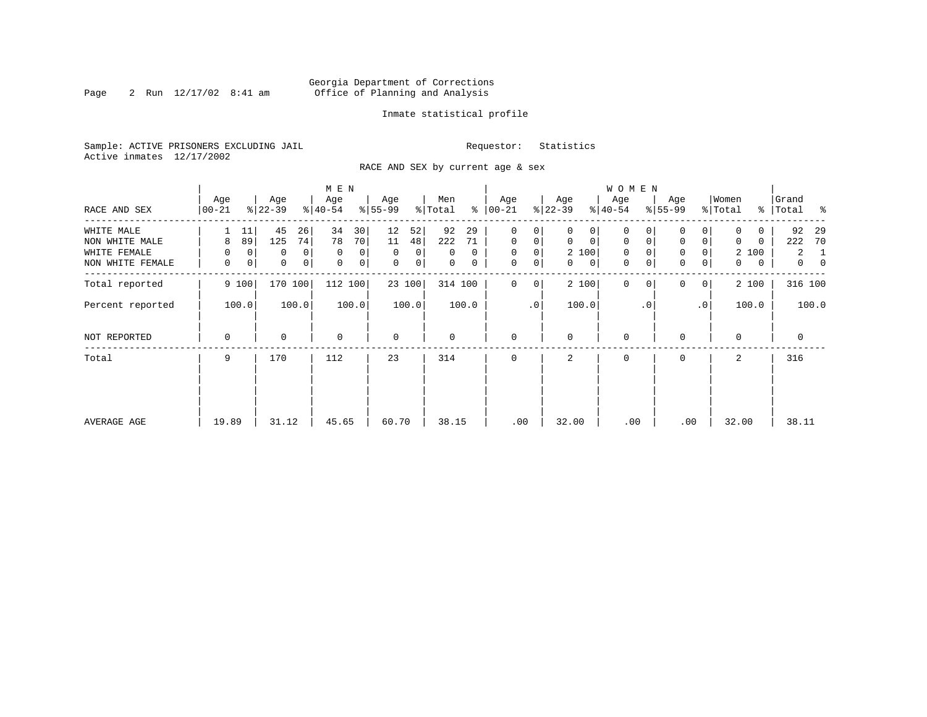## Georgia Department of Corrections Page 2 Run 12/17/02 8:41 am Office of Planning and Analysis

## Inmate statistical profile

Sample: ACTIVE PRISONERS EXCLUDING JAIL **Requestor:** Statistics Active inmates 12/17/2002

RACE AND SEX by current age & sex

|                  |                  |                     | M E N            |                  |                     |                    |                   | <b>WOMEN</b>               |                            |                  |                                  |
|------------------|------------------|---------------------|------------------|------------------|---------------------|--------------------|-------------------|----------------------------|----------------------------|------------------|----------------------------------|
| RACE AND SEX     | Age<br>$00 - 21$ | Age<br>$ 22-39 $    | Age<br>$ 40-54 $ | Age<br>$8 55-99$ | Men<br>ి<br>% Total | Age<br>$ 00 - 21 $ | Age<br>$ 22-39 $  | Age<br>$ 40-54 $           | Age<br>$8 55-99$           | Women<br>% Total | Grand<br>%   Total %             |
| WHITE MALE       | 11               | 45<br>26            | 34<br>30         | 12<br>52         | 92<br>29            | 0<br>0             | 0<br>0            | $\mathbf 0$                | 0                          | 0                | 92<br>-29                        |
| NON WHITE MALE   | 89<br>8          | 125<br>74           | 70<br>78         | 11<br>48         | 222<br>71           | $\mathbf{0}$<br>0  | $\mathbf 0$<br>0  | $\mathbf 0$<br>$\mathbf 0$ | $\mathbf 0$<br>0           | $\Omega$<br>0    | 222<br>70                        |
| WHITE FEMALE     | 0<br>$\mathbf 0$ | $\overline{0}$<br>0 | $\mathbf 0$<br>0 | $\Omega$<br>0    | $\Omega$<br>0       | $\mathbf 0$<br>0   | 2 100             | $\mathbf 0$<br>$\Omega$    | 0<br>0                     | 2 100            | 2<br>-1                          |
| NON WHITE FEMALE | 0<br>0           | 0 <br>0             | 0<br>0           | $\mathbf 0$<br>0 | 0<br>0              | 0<br>0             | $\mathbf{0}$<br>0 | 0<br>0                     | $\mathbf 0$<br>0           | 0<br>0           | $\overline{0}$<br>$\overline{0}$ |
| Total reported   | 9 100            | 170 100             | 112 100          | 23 100           | 314 100             | 0<br>0             | 2 100             | $\mathbf 0$<br>0           | $\Omega$<br>0 <sup>1</sup> | 2 100            | 316 100                          |
| Percent reported | 100.0            | 100.0               | 100.0            | 100.0            | 100.0               | .0                 | 100.0             | . 0                        | .0 <sup>1</sup>            | 100.0            | 100.0                            |
| NOT REPORTED     | 0                | 0                   | $\mathbf 0$      | 0                | 0                   | $\mathbf 0$        | $\mathbf 0$       | $\mathbf 0$                | $\Omega$                   | $\mathbf 0$      | 0                                |
| Total            | 9                | 170                 | 112              | 23               | 314                 | $\mathbf 0$        | 2                 | $\mathbf 0$                | $\Omega$                   | 2                | 316                              |
|                  |                  |                     |                  |                  |                     |                    |                   |                            |                            |                  |                                  |
|                  |                  |                     |                  |                  |                     |                    |                   |                            |                            |                  |                                  |
| AVERAGE AGE      | 19.89            | 31.12               | 45.65            | 60.70            | 38.15               | .00                | 32.00             | .00                        | .00                        | 32.00            | 38.11                            |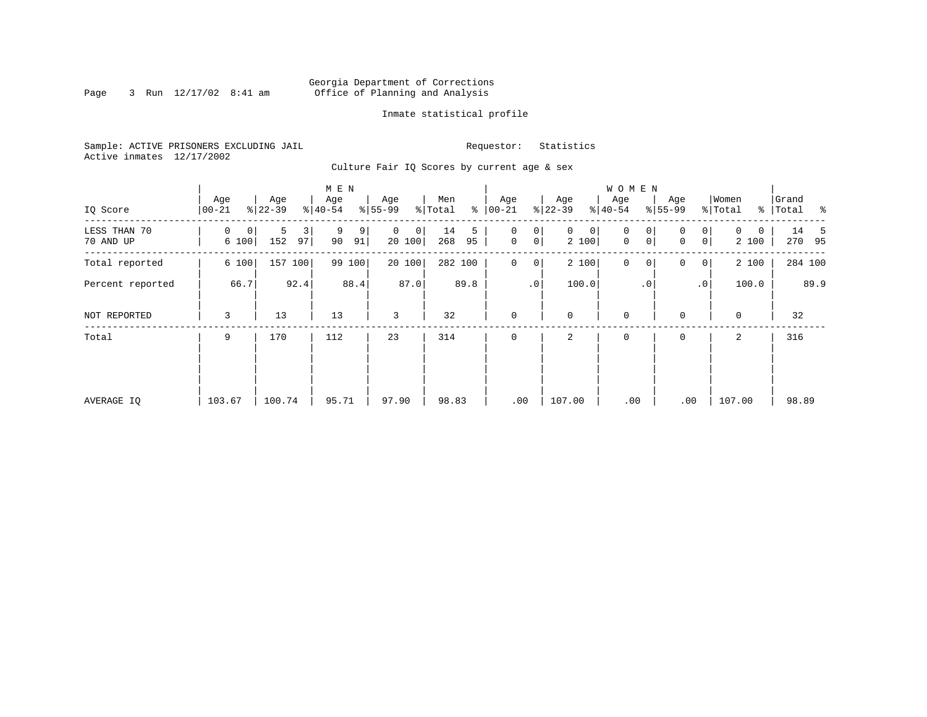## Georgia Department of Corrections<br>3 Run 12/17/02 8:41 am 6ffice of Planning and Analysis Page 3 Run 12/17/02 8:41 am Office of Planning and Analysis

## Inmate statistical profile

Sample: ACTIVE PRISONERS EXCLUDING JAIL **Requestor:** Statistics Active inmates 12/17/2002

Culture Fair IQ Scores by current age & sex

|                           |                  |                     | M E N              |                        |                      |                                                 |                            | <b>WOMEN</b>     |                                                   |                        |                    |
|---------------------------|------------------|---------------------|--------------------|------------------------|----------------------|-------------------------------------------------|----------------------------|------------------|---------------------------------------------------|------------------------|--------------------|
| IQ Score                  | Age<br>$00 - 21$ | Age<br>$ 22-39 $    | Age<br>$8 40-54$   | Age<br>$ 55-99$        | Men<br>% Total<br>နွ | Age<br>$ 00 - 21 $                              | Age<br>$ 22-39$            | Age<br>$8 40-54$ | Age<br>$8 55-99$                                  | Women<br>% Total       | Grand<br>% Total % |
| LESS THAN 70<br>70 AND UP | 0<br>0<br>6 100  | 5<br>3<br>97<br>152 | 9<br>9<br>90<br>91 | $\Omega$<br>0<br>20100 | 14<br>5<br>268<br>95 | 0<br>0<br>$\mathsf{O}\xspace$<br>0 <sup>1</sup> | $\mathbf{0}$<br>0<br>2 100 | 0<br>0<br>0<br>0 | $\overline{0}$<br>$\Omega$<br>$\overline{0}$<br>0 | $\Omega$<br>0<br>2 100 | 14 5<br>270 95     |
| Total reported            | 6 100            | 157<br>100          | 99 100             | 20 100                 | 282 100              | $\mathbf 0$<br>$\overline{0}$                   | 2 100                      | $\mathbf 0$<br>0 | 0<br> 0                                           | 2 100                  | 284 100            |
| Percent reported          | 66.7             | 92.4                | 88.4               | 87.0                   | 89.8                 | .0 <sup>1</sup>                                 | 100.0                      | $\cdot$ 0        | $\cdot$ 0                                         | 100.0                  | 89.9               |
| NOT REPORTED              | 3                | 13                  | 13                 | 3                      | 32                   | $\mathbf 0$                                     | $\mathbf 0$                | $\mathbf 0$      | $\Omega$                                          | $\mathbf 0$            | 32                 |
| Total                     | 9                | 170                 | 112                | 23                     | 314                  | $\mathbf 0$                                     | 2                          | $\mathbf 0$      | 0                                                 | 2                      | 316                |
|                           |                  |                     |                    |                        |                      |                                                 |                            |                  |                                                   |                        |                    |
|                           |                  |                     |                    |                        |                      |                                                 |                            |                  |                                                   |                        |                    |
| AVERAGE IQ                | 103.67           | 100.74              | 95.71              | 97.90                  | 98.83                | .00                                             | 107.00                     | .00              | .00                                               | 107.00                 | 98.89              |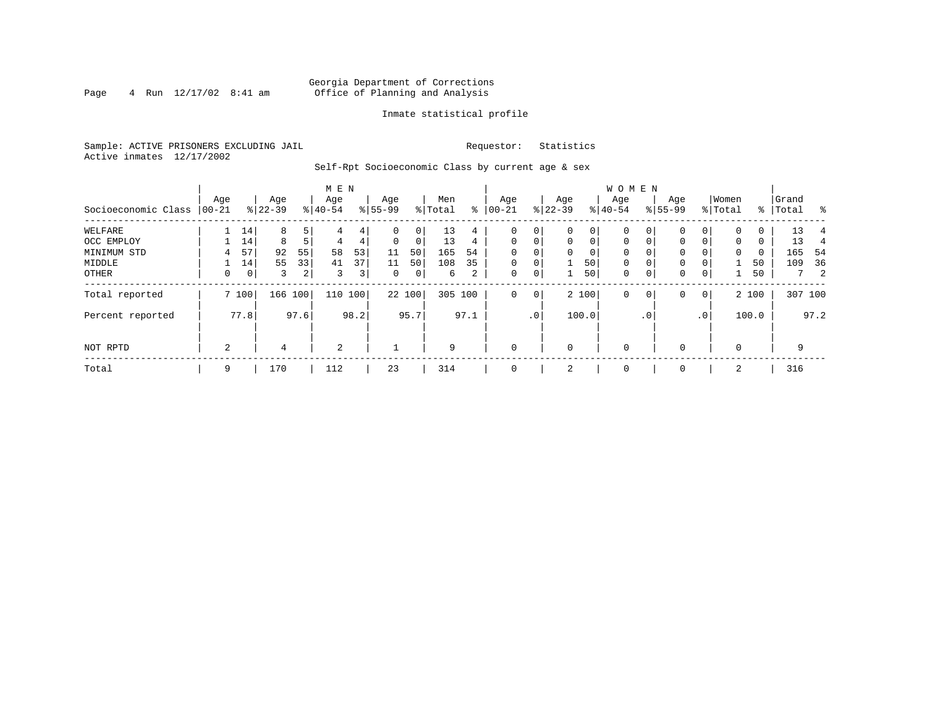## Georgia Department of Corrections<br>4 Run 12/17/02 8:41 am Office of Planning and Analysis Page 4 Run 12/17/02 8:41 am Office of Planning and Analysis

## Inmate statistical profile

Sample: ACTIVE PRISONERS EXCLUDING JAIL **Requestor:** Statistics Active inmates 12/17/2002

Self-Rpt Socioeconomic Class by current age & sex

|                     |          |                |           |         | M E N     |      |          |        |         |                 |              |             |              |             | <b>WOMEN</b> |           |             |                 |             |       |           |         |
|---------------------|----------|----------------|-----------|---------|-----------|------|----------|--------|---------|-----------------|--------------|-------------|--------------|-------------|--------------|-----------|-------------|-----------------|-------------|-------|-----------|---------|
|                     | Age      |                | Age       |         | Age       |      | Age      |        | Men     |                 | Age          |             | Age          |             | Age          |           | Age         |                 | Women       |       | Grand     |         |
| Socioeconomic Class | $ 00-21$ |                | $8 22-39$ |         | $8 40-54$ |      | $ 55-99$ |        | % Total | ႜ               | $00 - 21$    |             | $ 22-39 $    |             | $8 40-54$    |           | $8155 - 99$ |                 | % Total     |       | %   Total | $\sim$  |
| WELFARE             |          | 14             | 8         | 5       | 4         | 4    | 0        | 0      | 13      | $\overline{4}$  | 0            | 0           | $\mathbf 0$  | 0           | 0            |           | $\Omega$    |                 | $\Omega$    | 0     | 13        |         |
| OCC EMPLOY          |          | 14             | 8         |         | 4         | 4    | $\Omega$ | 0      | 13      | $4\overline{ }$ | $\mathbf 0$  | $\mathbf 0$ | $\mathbf{0}$ | $\mathbf 0$ | $\Omega$     | 0         | $\Omega$    | 0               | $\mathbf 0$ | 0     | 13        | 4       |
| MINIMUM STD         | 4        | 57             | 92        | 55      | 58        | 53   | 11       | 50     | 165     | 54              | $\Omega$     | 0           | $\Omega$     | 0           | $\mathbf 0$  | $\Omega$  | $\Omega$    |                 | $\Omega$    | 0     | 165       | -54     |
| MIDDLE              |          | 14             | 55        | 33      | 41        | 37   | 11       | 50     | 108     | 35              | $\mathbf 0$  | 0           |              | 50          | $\mathbf 0$  | 0         | 0           |                 |             | 50    | 109       | 36      |
| OTHER               | 0        | 0 <sup>1</sup> | 3         | 2       | 3         | 3    | 0        | 0      | 6       | 2               | 0            | 0           |              | 50          | 0            | 0         | 0           | 0               |             | 50    |           | -2<br>7 |
| Total reported      |          | 7100           |           | 166 100 | 110       | 100  |          | 22 100 | 305 100 |                 | 0            | $\mathbf 0$ |              | 2 100       | $\mathbf 0$  | 0         | 0           | $\overline{0}$  |             | 2 100 |           | 307 100 |
| Percent reported    |          | 77.8           |           | 97.6    |           | 98.2 |          | 95.7   |         | 97.1            |              | .0'         |              | 100.0       |              | $\cdot$ 0 |             | .0 <sup>1</sup> |             | 100.0 |           | 97.2    |
| NOT RPTD            | 2        |                | 4         |         | 2         |      |          |        | 9       |                 | $\mathbf{0}$ |             | $\mathbf 0$  |             | $\mathbf 0$  |           | $\Omega$    |                 | $\Omega$    |       | 9         |         |
| Total               | 9        |                | 170       |         | 112       |      | 23       |        | 314     |                 | $\mathbf 0$  |             | 2            |             | 0            |           | 0           |                 | 2           |       | 316       |         |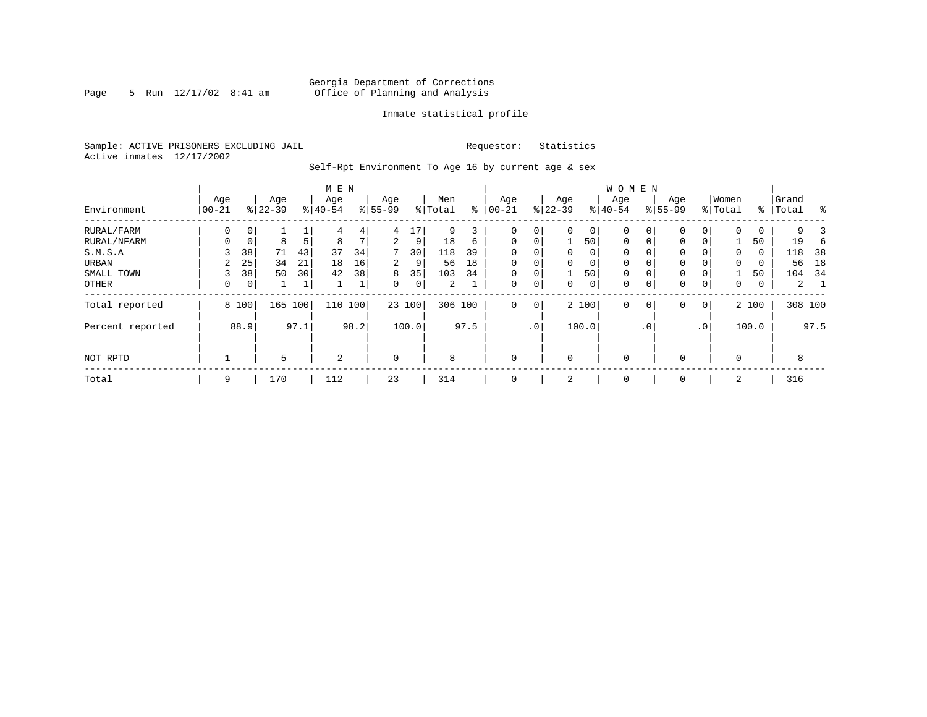## Georgia Department of Corrections Page 5 Run 12/17/02 8:41 am Office of Planning and Analysis

## Inmate statistical profile

Sample: ACTIVE PRISONERS EXCLUDING JAIL **Requestor:** Statistics Active inmates 12/17/2002

Self-Rpt Environment To Age 16 by current age & sex

|                  | M E N          |                |                  |      |                  |                |                  |        |                |      |                   |             |                  |          | W O M E N        |              |                    |                 |                  |       |                |      |
|------------------|----------------|----------------|------------------|------|------------------|----------------|------------------|--------|----------------|------|-------------------|-------------|------------------|----------|------------------|--------------|--------------------|-----------------|------------------|-------|----------------|------|
| Environment      | Age<br>  00-21 |                | Age<br>$8 22-39$ |      | Age<br>$8 40-54$ |                | Age<br>$8 55-99$ |        | Men<br>% Total | နွ   | Age<br>$ 00 - 21$ |             | Age<br>$ 22-39 $ |          | Age<br>$8 40-54$ |              | Age<br>$8155 - 99$ |                 | Women<br>% Total | ႜ     | Grand<br>Total | န္   |
| RURAL/FARM       | 0              | 0 <sup>1</sup> |                  |      | 4                | 4 <sub>1</sub> | 4                | 17     | 9              | 3    | $\mathbf 0$       | 0           | $\Omega$         | 0        | 0                | 0            | $\mathbf 0$        |                 | 0                | 0     | 9              |      |
| RURAL/NFARM      | $\Omega$       | $\mathbf 0$    | 8                | 5    | 8                | $\mathcal{L}$  | $\overline{a}$   | 9      | 18             | 6    | $\mathbf 0$       | $\mathbf 0$ |                  | 50       | $\mathbf 0$      |              | $\mathbf{0}$       | $\Omega$        |                  | 50    | 19             |      |
| S.M.S.A          |                | 38             | 71               | 43   | 37               | 34             | 7                | 30     | 118            | 39   | $\mathbf 0$       | 0           | $\mathbf{0}$     | $\Omega$ | 0                |              | $\mathbf{0}$       |                 | $\mathbf 0$      | 0     | 118            | 38   |
| URBAN            | 2              | 25             | 34               | 21   | 18               | 16             | 2                | 9      | 56             | 18   | $\mathbf 0$       | $\mathbf 0$ | $\Omega$         | 0        | 0                |              | $\mathbf 0$        |                 | $\mathbf 0$      | 0     | 56             | 18   |
| SMALL TOWN       | 3              | 38             | 50               | 30   | 42               | 38             | 8                | 35     | 103            | 34   | $\mathbf 0$       | 0           |                  | 50       | 0                |              | $\mathbf 0$        |                 |                  | 50    | 104            | - 34 |
| OTHER            | 0              | 0 <sup>1</sup> |                  | 1    |                  | ┻              | $\Omega$         | 0      | 2              |      | $\mathbf 0$       | 0           | $\Omega$         | 0        | 0                |              | $\mathbf{0}$       | 0               | $\mathbf 0$      | 0     | $\overline{a}$ |      |
| Total reported   |                | 8 100          | 165              | 100  | 110              | 100            |                  | 23 100 | 306 100        |      | $\mathbf 0$       | $\mathbf 0$ |                  | 2 100    | 0                | $\mathbf{0}$ | $\mathbf{0}$       | 0               |                  | 2 100 | 308 100        |      |
| Percent reported |                | 88.9           |                  | 97.1 |                  | 98.2           |                  | 100.0  |                | 97.5 |                   | $\cdot$ 0   |                  | 100.0    |                  | $\cdot$ 0    |                    | .0 <sup>′</sup> |                  | 100.0 |                | 97.5 |
| NOT RPTD         |                |                | 5                |      | 2                |                | $\mathbf 0$      |        | 8              |      | $\mathbf 0$       |             | $\Omega$         |          | $\mathbf 0$      |              | $\mathbf 0$        |                 | $\Omega$         |       | 8              |      |
| Total            | 9              |                | 170              |      | 112              |                | 23               |        | 314            |      | 0                 |             | 2                |          | 0                |              | 0                  |                 | 2                |       | 316            |      |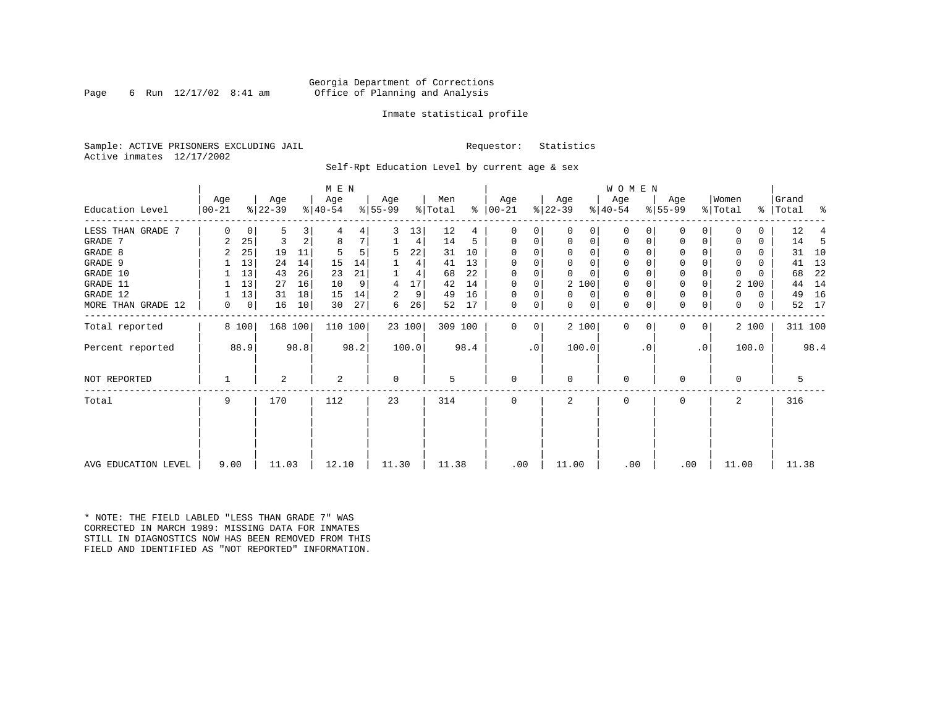## Georgia Department of Corrections Page 6 Run 12/17/02 8:41 am 6 Office of Planning and Analysis

## Inmate statistical profile

Sample: ACTIVE PRISONERS EXCLUDING JAIL **Requestor:** Statistics Active inmates 12/17/2002

Self-Rpt Education Level by current age & sex

|                     |                  |       |                  |      | M E N            |      |                 |        |                |      |                   |    |                  |          | W O M E N        |          |                  |           |                  |       |                    |          |    |
|---------------------|------------------|-------|------------------|------|------------------|------|-----------------|--------|----------------|------|-------------------|----|------------------|----------|------------------|----------|------------------|-----------|------------------|-------|--------------------|----------|----|
| Education Level     | Age<br>$00 - 21$ |       | Age<br>$ 22-39 $ |      | Age<br>$ 40-54 $ |      | Age<br>$ 55-99$ |        | Men<br>% Total | ⊱    | Age<br>$ 00 - 21$ |    | Age<br>$ 22-39 $ |          | Age<br>$ 40-54 $ |          | Age<br>$ 55-99 $ |           | Women<br>% Total |       | Grand<br>%   Total | - 왕      |    |
|                     |                  |       |                  |      |                  |      |                 |        |                |      |                   |    |                  |          |                  |          |                  |           |                  |       |                    |          |    |
| LESS THAN GRADE 7   | $\Omega$         | 0     | 5                | 3    |                  | 4    | 3               | 13     | 12             | 4    | $\Omega$          | 0  | 0                | 0        | $\mathbf 0$      | O        | 0                |           |                  |       | 12                 |          |    |
| GRADE 7             | 2                | 25    | 3                | 2    | 8                | 7    |                 | 4      | 14             | 5    | $\Omega$          | 0  | 0                | 0        | 0                | 0        | $\Omega$         | 0         | 0                | 0     | 14                 |          | -5 |
| GRADE 8             | 2                | 25    | 19               | 11   |                  |      | 5               | 22     | 31             | 10   | $\Omega$          |    | $\Omega$         | 0        | $\Omega$         |          | $\Omega$         |           |                  | 0     | 31                 |          | 10 |
| GRADE 9             |                  | 13    | 24               | 14   | 15               | 14   |                 | 4      | 41             | 13   | 0                 | 0  | $\Omega$         | 0        | 0                | $\Omega$ | 0                |           | 0                | 0     | 41                 |          | 13 |
| GRADE 10            |                  | 13    | 43               | 26   | 23               | 21   |                 | 4      | 68             | 22   | $\Omega$          | 0  | $\Omega$         | $\Omega$ | $\mathbf 0$      | $\Omega$ | 0                |           | $\Omega$         |       | 68                 |          | 22 |
| GRADE 11            |                  | 13    | 27               | 16   | 10               | 9    | 4               | 17     | 42             | 14   | $\Omega$          |    | 2 100            |          | $\mathbf 0$      |          | 0                |           |                  | 2 100 | 44                 |          | 14 |
| GRADE 12            |                  | 13    | 31               | 18   | 15               | 14   | 2               | 9      | 49             | 16   | $\Omega$          | 0  | $\Omega$         | 0        | 0                | $\Omega$ | 0                |           | 0                | 0     | 49                 |          | 16 |
| MORE THAN GRADE 12  | 0                | 0     | 16               | 10   | 30               | 27   | 6               | 26     | 52             | 17   | 0                 | 0  | $\Omega$         | 0        | 0                | 0        | 0                | 0         | $\Omega$         | 0     |                    | 17<br>52 |    |
| Total reported      |                  | 8 100 | 168 100          |      | 110 100          |      |                 | 23 100 | 309 100        |      | $\Omega$          | 0  |                  | 2 100    | $\mathbf{0}$     | $\Omega$ | 0                | 0         |                  | 2 100 |                    | 311 100  |    |
| Percent reported    |                  | 88.9  |                  | 98.8 |                  | 98.2 |                 | 100.0  |                | 98.4 |                   | .0 | 100.0            |          |                  | . 0      |                  | $\cdot$ 0 |                  | 100.0 |                    | 98.4     |    |
| NOT REPORTED        |                  |       | 2                |      | 2                |      | 0               |        | 5              |      | $\mathbf 0$       |    | 0                |          | 0                |          | $\Omega$         |           | $\Omega$         |       |                    | 5        |    |
| Total               | 9                |       | 170              |      | 112              |      | 23              |        | 314            |      | $\Omega$          |    | $\overline{a}$   |          | $\Omega$         |          | $\Omega$         |           | $\mathbf{2}$     |       | 316                |          |    |
|                     |                  |       |                  |      |                  |      |                 |        |                |      |                   |    |                  |          |                  |          |                  |           |                  |       |                    |          |    |
|                     |                  |       |                  |      |                  |      |                 |        |                |      |                   |    |                  |          |                  |          |                  |           |                  |       |                    |          |    |
| AVG EDUCATION LEVEL | 9.00             |       | 11.03            |      | 12.10            |      | 11.30           |        | 11.38          |      | .00               |    | 11.00            |          | .00              |          | .00              |           | 11.00            |       |                    | 11.38    |    |

\* NOTE: THE FIELD LABLED "LESS THAN GRADE 7" WAS CORRECTED IN MARCH 1989: MISSING DATA FOR INMATES STILL IN DIAGNOSTICS NOW HAS BEEN REMOVED FROM THIS FIELD AND IDENTIFIED AS "NOT REPORTED" INFORMATION.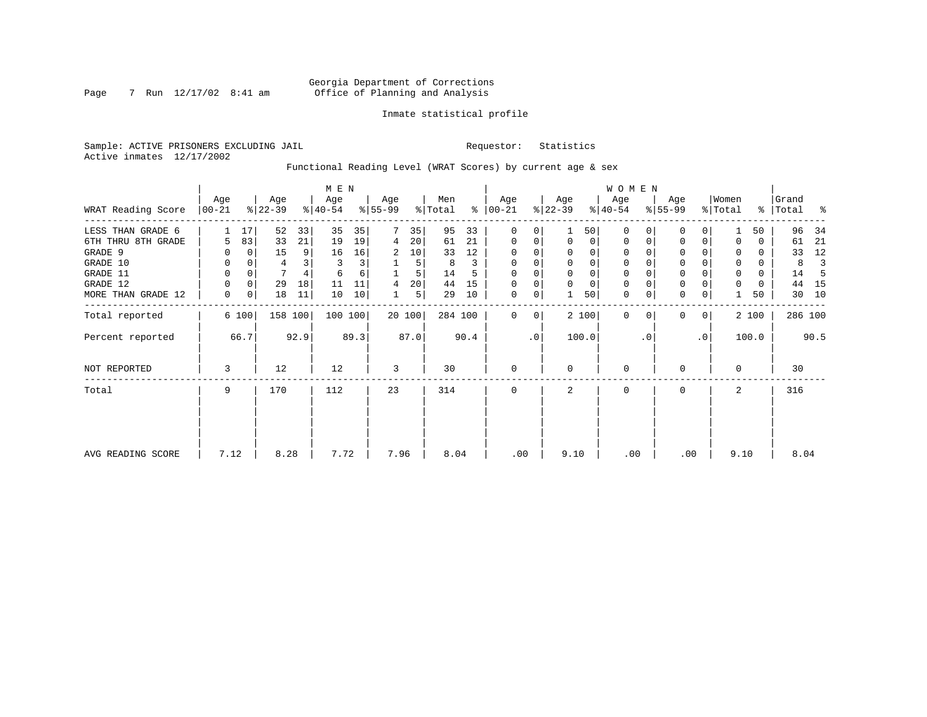## Georgia Department of Corrections Page 7 Run 12/17/02 8:41 am Office of Planning and Analysis

## Inmate statistical profile

Sample: ACTIVE PRISONERS EXCLUDING JAIL **Requestor:** Statistics Active inmates 12/17/2002

Functional Reading Level (WRAT Scores) by current age & sex

|                    |                 |                |                  |      | M E N            |      |                  |        |                |      |                      |           |                  |          | W O M E N        |           |                  |             |                              |          |                |      |
|--------------------|-----------------|----------------|------------------|------|------------------|------|------------------|--------|----------------|------|----------------------|-----------|------------------|----------|------------------|-----------|------------------|-------------|------------------------------|----------|----------------|------|
| WRAT Reading Score | Age<br>$ 00-21$ |                | Age<br>$ 22-39 $ |      | Age<br>$ 40-54 $ |      | Age<br>$ 55-99 $ |        | Men<br>% Total |      | Age<br>$8   00 - 21$ |           | Age<br>$ 22-39 $ |          | Age<br>$8 40-54$ |           | Age<br>$ 55-99 $ |             | Women<br>$\frac{1}{2}$ Total | ွေ       | Grand<br>Total | ႜ    |
| LESS THAN GRADE 6  |                 | 17             | 52               | 33   | 35               | 35   | 7                | 35     | 95             | 33   | 0                    | 0         |                  | 50       | $\Omega$         | 0         | 0                | 0           |                              | 50       | 96             | 34   |
| 6TH THRU 8TH GRADE | 5               | 83             | 33               | 21   | 19               | 19   | 4                | 20     | 61             | 21   | 0                    | 0         | $\mathbf 0$      | 0        | 0                |           | 0                | 0           |                              | 0        | 61             | 21   |
| GRADE 9            |                 | 0              | 15               | 9    | 16               | 16   | 2                | 10     | 33             | 12   | $\Omega$             | 0         |                  | $\Omega$ |                  |           | $\Omega$         |             |                              | 0        | 33             | 12   |
| GRADE 10           | 0               |                | 4                |      | 3                | 3    |                  | 5      | 8              | 3    | 0                    | 0         | $\mathbf 0$      | 0        | 0                |           | 0                |             | 0                            | 0        | 8              |      |
| GRADE 11           | 0               |                |                  |      | 6                | 6    |                  | 5      | 14             |      | $\Omega$             |           |                  |          |                  |           | $\mathbf 0$      |             | $\Omega$                     | $\Omega$ | 14             |      |
| GRADE 12           | 0               | 0              | 29               | 18   | 11               | 11   | 4                | 20     | 44             | 15   | 0                    | 0         | $\Omega$         | $\Omega$ | 0                |           | 0                |             | 0                            | 0        | 44             | -15  |
| MORE THAN GRADE 12 | 0               | $\overline{0}$ | 18               | 11   | 10               | 10   |                  | 5      | 29             | 10   | 0                    | 0         |                  | 50       | 0                |           | $\mathbf 0$      | 0           |                              | 50       | 30             | 10   |
| Total reported     |                 | 6 100          | 158 100          |      | 100 100          |      |                  | 20 100 | 284 100        |      | $\Omega$             | 0         |                  | 2 100    | 0                | $\Omega$  | $\mathbf{0}$     | $\mathbf 0$ |                              | 2 100    | 286 100        |      |
| Percent reported   |                 | 66.7           |                  | 92.9 |                  | 89.3 |                  | 87.0   |                | 90.4 |                      | $\cdot$ 0 |                  | 100.0    |                  | $\cdot$ 0 |                  | $\cdot$ 0   |                              | 100.0    |                | 90.5 |
| NOT REPORTED       | 3               |                | 12               |      | 12               |      | 3                |        | 30             |      | 0                    |           | $\Omega$         |          | 0                |           | 0                |             | $\Omega$                     |          | 30             |      |
| Total              | 9               |                | 170              |      | 112              |      | 23               |        | 314            |      | 0                    |           | 2                |          | 0                |           | 0                |             | 2                            |          | 316            |      |
|                    |                 |                |                  |      |                  |      |                  |        |                |      |                      |           |                  |          |                  |           |                  |             |                              |          |                |      |
| AVG READING SCORE  | 7.12            |                | 8.28             |      | 7.72             |      | 7.96             |        | 8.04           |      | .00                  |           | 9.10             |          | .00              |           | .00              |             | 9.10                         |          | 8.04           |      |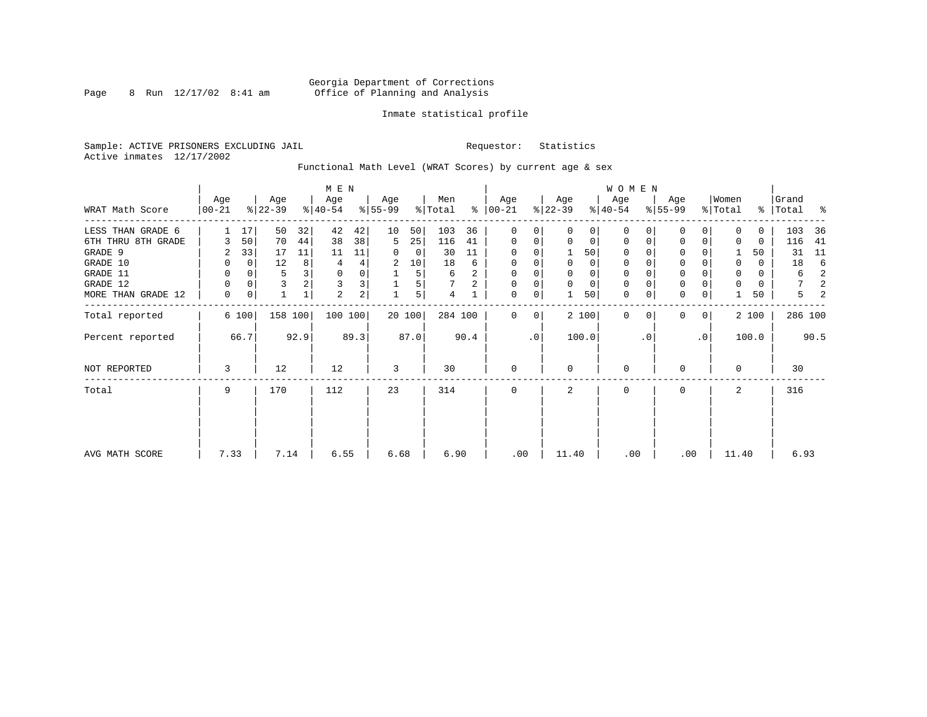## Georgia Department of Corrections Page 8 Run 12/17/02 8:41 am Office of Planning and Analysis

## Inmate statistical profile

Sample: ACTIVE PRISONERS EXCLUDING JAIL **Requestor:** Statistics Active inmates 12/17/2002

Functional Math Level (WRAT Scores) by current age & sex

|                    |                   |          |                  |         | M E N            |                         |                  |        |                |      |                      |           |                  |          | <b>WOMEN</b>     |           |                  |           |                  |       |                |      |
|--------------------|-------------------|----------|------------------|---------|------------------|-------------------------|------------------|--------|----------------|------|----------------------|-----------|------------------|----------|------------------|-----------|------------------|-----------|------------------|-------|----------------|------|
| WRAT Math Score    | Age<br>$ 00 - 21$ |          | Age<br>$ 22-39 $ |         | Age<br>$ 40-54 $ |                         | Age<br>$8 55-99$ |        | Men<br>% Total |      | Age<br>$8   00 - 21$ |           | Age<br>$ 22-39 $ |          | Age<br>$ 40-54 $ |           | Age<br>$8 55-99$ |           | Women<br>% Total | ွေ    | Grand<br>Total | ႜ    |
| LESS THAN GRADE 6  |                   | 17       | 50               | 32      | 42               | 42                      | 10               | 50     | 103            | 36   | 0                    | 0         | $\Omega$         | $\Omega$ | $\Omega$         | $\Omega$  | $\mathbf{0}$     | 0         | U                | 0     | 103            | 36   |
| 6TH THRU 8TH GRADE |                   | 50       | 70               | 44      | 38               | 38                      | 5                | 25     | 116            | 41   | $\mathbf 0$          | 0         | $\mathbf 0$      | 0        | 0                | 0         | 0                | 0         |                  | 0     | 116            | 41   |
| GRADE 9            | 2                 | 33       | 17               | 11      | 11               | 11                      |                  | 0      | 30             | 11   | 0                    | 0         |                  | 50       | 0                |           | 0                |           |                  | 50    | 31             | 11   |
| GRADE 10           | 0                 | 0        | 12               | 8       | 4                | 4                       | 2                | 10     | 18             | 6    | $\Omega$             | 0         | $\Omega$         | 0        | 0                |           | 0                |           | $\Omega$         | 0     | 18             | 6    |
| GRADE 11           | 0                 | $\Omega$ | 5                |         | $\mathbf 0$      | 0                       |                  | 5      | 6              | 2    | $\Omega$             |           |                  |          |                  |           | $\mathbf 0$      |           | $\Omega$         | 0     | 6              |      |
| GRADE 12           | 0                 | $\Omega$ | 3                |         | 3                | 3                       |                  | 5      |                | 2    | 0                    | 0         | $\Omega$         | $\Omega$ | 0                |           | $\mathbf 0$      |           | 0                | 0     | 7              |      |
| MORE THAN GRADE 12 | 0                 | 0        | $\mathbf 1$      | 1       | 2                | $\overline{\mathbf{c}}$ |                  | 5      | 4              |      | 0                    | 0         |                  | 50       | $\mathbf 0$      | 0         | $\mathbf 0$      | 0         |                  | 50    | 5              |      |
| Total reported     |                   | 6 100    |                  | 158 100 | 100 100          |                         |                  | 20 100 | 284 100        |      | $\Omega$             | 0         |                  | 2 100    | $\mathbf 0$      | $\Omega$  | $\mathbf{0}$     | 0         |                  | 2 100 | 286 100        |      |
| Percent reported   |                   | 66.7     |                  | 92.9    |                  | 89.3                    |                  | 87.0   |                | 90.4 |                      | $\cdot$ 0 |                  | 100.0    |                  | $\cdot$ 0 |                  | $\cdot$ 0 |                  | 100.0 |                | 90.5 |
| NOT REPORTED       | 3                 |          | 12               |         | 12               |                         | 3                |        | 30             |      | $\mathbf 0$          |           | $\Omega$         |          | $\mathbf 0$      |           | 0                |           | $\Omega$         |       | 30             |      |
| Total              | 9                 |          | 170              |         | 112              |                         | 23               |        | 314            |      | $\mathbf 0$          |           | 2                |          | 0                |           | $\mathbf{0}$     |           | 2                |       | 316            |      |
|                    |                   |          |                  |         |                  |                         |                  |        |                |      |                      |           |                  |          |                  |           |                  |           |                  |       |                |      |
| AVG MATH SCORE     | 7.33              |          | 7.14             |         | 6.55             |                         | 6.68             |        | 6.90           |      | .00                  |           | 11.40            |          | .00              |           | .00              |           | 11.40            |       | 6.93           |      |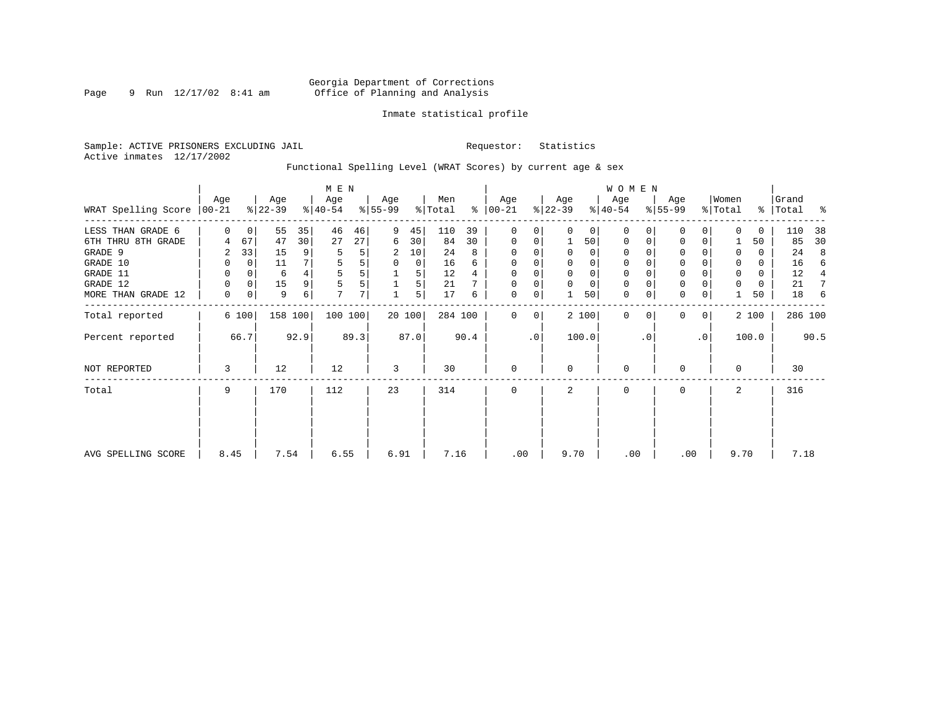## Georgia Department of Corrections Page 9 Run 12/17/02 8:41 am Office of Planning and Analysis

## Inmate statistical profile

Sample: ACTIVE PRISONERS EXCLUDING JAIL **Requestor:** Statistics Active inmates 12/17/2002

Functional Spelling Level (WRAT Scores) by current age & sex

|                             |             |          |                  |         | M E N            |      |                  |        |                |      |                      |           |                  |          | <b>WOMEN</b>     |           |                  |             |                  |       |                |      |
|-----------------------------|-------------|----------|------------------|---------|------------------|------|------------------|--------|----------------|------|----------------------|-----------|------------------|----------|------------------|-----------|------------------|-------------|------------------|-------|----------------|------|
| WRAT Spelling Score   00-21 | Age         |          | Age<br>$ 22-39 $ |         | Age<br>$ 40-54 $ |      | Age<br>$8 55-99$ |        | Men<br>% Total |      | Age<br>$8   00 - 21$ |           | Age<br>$ 22-39 $ |          | Age<br>$ 40-54 $ |           | Age<br>$ 55-99 $ |             | Women<br>% Total | ွေ    | Grand<br>Total | ႜ    |
| LESS THAN GRADE 6           | $\Omega$    | 0        | 55               | 35      | 46               | 46   | 9                | 45     | 110            | 39   | $\mathbf 0$          | 0         | $\Omega$         | $\Omega$ | 0                | 0         | 0                | 0           | ∩                | 0     | 110            | 38   |
| 6TH THRU 8TH GRADE          | 4           | 67       | 47               | 30      | 27               | 27   | 6                | 30     | 84             | 30   | $\mathbf 0$          | 0         |                  | 50       | 0                | 0         | 0                | 0           |                  | 50    | 85             | 30   |
| GRADE 9                     | 2           | 33       | 15               | 9       | 5                | 5    | 2                | 10     | 24             | 8    | $\Omega$             | $\Omega$  |                  | $\Omega$ | $\Omega$         |           | 0                |             | 0                | 0     | 24             | 8    |
| GRADE 10                    | 0           | 0        | 11               |         | 5                | 5    | $\Omega$         | 0      | 16             | 6    | $\Omega$             | 0         | $\Omega$         | $\Omega$ | 0                |           | 0                |             | 0                | 0     | 16             | 6    |
| GRADE 11                    | 0           | 0        | 6                |         | 5                | 5    |                  | 5      | 12             |      | $\Omega$             |           |                  |          |                  |           | $\mathbf 0$      |             | 0                | 0     | 12             |      |
| GRADE 12                    | 0           | $\Omega$ | 15               | 9       | 5                | 5    |                  | 5      | 21             |      | 0                    | 0         | $\Omega$         | $\Omega$ | 0                |           | $\mathbf 0$      |             | 0                | 0     | 21             |      |
| MORE THAN GRADE 12          | $\mathbf 0$ | 0        | 9                | 6       | 7                | 7    |                  | 5      | 17             | 6    | 0                    | 0         |                  | 50       | $\mathbf 0$      | 0         | $\mathbf 0$      | 0           |                  | 50    | 18             | 6    |
| Total reported              |             | 6 100    |                  | 158 100 | 100 100          |      |                  | 20 100 | 284 100        |      | $\Omega$             | 0         |                  | 2 100    | $\mathbf 0$      | $\Omega$  | $\mathbf{0}$     | $\mathbf 0$ |                  | 2 100 | 286 100        |      |
| Percent reported            |             | 66.7     |                  | 92.9    |                  | 89.3 |                  | 87.0   |                | 90.4 |                      | $\cdot$ 0 |                  | 100.0    |                  | $\cdot$ 0 |                  | $\cdot$ 0   |                  | 100.0 |                | 90.5 |
| NOT REPORTED                | 3           |          | 12               |         | 12               |      | 3                |        | 30             |      | $\mathbf 0$          |           | $\Omega$         |          | $\mathbf 0$      |           | 0                |             | $\Omega$         |       | 30             |      |
| Total                       | 9           |          | 170              |         | 112              |      | 23               |        | 314            |      | $\mathbf 0$          |           | 2                |          | $\mathbf 0$      |           | $\mathbf{0}$     |             | 2                |       | 316            |      |
|                             |             |          |                  |         |                  |      |                  |        |                |      |                      |           |                  |          |                  |           |                  |             |                  |       |                |      |
|                             |             |          |                  |         |                  |      |                  |        |                |      |                      |           |                  |          |                  |           |                  |             |                  |       |                |      |
| AVG SPELLING SCORE          | 8.45        |          | 7.54             |         | 6.55             |      | 6.91             |        | 7.16           |      | .00                  |           | 9.70             |          | .00              |           | .00              |             | 9.70             |       | 7.18           |      |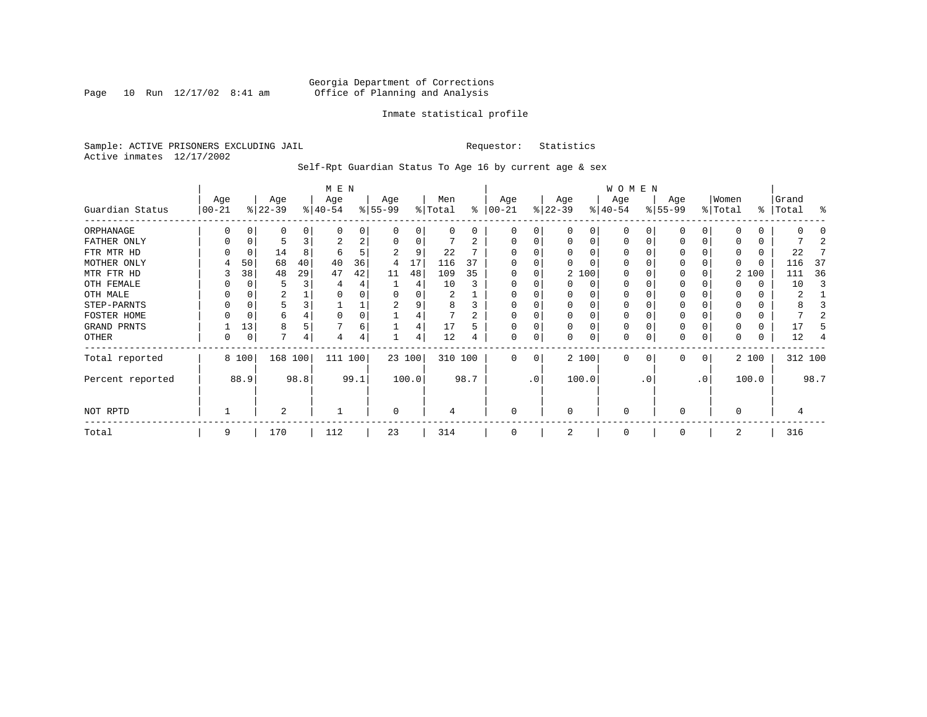Page 10 Run  $12/17/02$  8:41 am

## Inmate statistical profile

Sample: ACTIVE PRISONERS EXCLUDING JAIL **Requestor:** Statistics Active inmates 12/17/2002

Self-Rpt Guardian Status To Age 16 by current age & sex

|                  |                   |       |                  |      | M E N            |      |                  |          |                |      |                  |           |                 |          | WOMEN            |           |                  |              |                  |          |                |         |
|------------------|-------------------|-------|------------------|------|------------------|------|------------------|----------|----------------|------|------------------|-----------|-----------------|----------|------------------|-----------|------------------|--------------|------------------|----------|----------------|---------|
| Guardian Status  | Age<br>$ 00 - 21$ |       | Age<br>$ 22-39 $ |      | Age<br>$ 40-54 $ |      | Age<br>$8 55-99$ |          | Men<br>% Total | ွေ   | Age<br>$ 00-21 $ |           | Age<br>$ 22-39$ |          | Age<br>$ 40-54 $ |           | Age<br>$ 55-99 $ |              | Women<br>% Total | ွေ       | Grand<br>Total | ႜ       |
| ORPHANAGE        |                   |       | 0                |      | n                | 0    |                  |          | 0              | 0    | O                | 0         |                 | O        | 0                |           |                  |              |                  | 0        |                |         |
| FATHER ONLY      |                   |       |                  |      | 2                | 2    |                  | $\Omega$ |                | 2    | $\Omega$         | 0         |                 | $\Omega$ | $\Omega$         |           |                  | 0            |                  | 0        |                |         |
| FTR MTR HD       |                   |       | 14               | 8    | 6                | 5    |                  | 9        | 22             |      |                  |           |                 |          | O                |           |                  |              | 0                | 0        | 22             |         |
| MOTHER ONLY      | 4                 | 50    | 68               | 40   | 40               | 36   | 4                | 17       | 116            | 37   |                  |           |                 |          | O                |           |                  |              | 0                | $\Omega$ | 116            | -37     |
| MTR FTR HD       |                   | 38    | 48               | 29   | 47               | 42   | 11               | 48       | 109            | 35   | $\Omega$         | 0         |                 | 2 100    | 0                |           |                  |              |                  | 2 100    | 111            | 36      |
| OTH FEMALE       |                   |       |                  |      |                  |      |                  | 4        | 10             |      | 0                | 0         |                 | 0        | 0                |           | 0                |              |                  | 0        | 10             |         |
| OTH MALE         |                   |       | 2                |      |                  |      |                  |          | 2              |      | 0                |           |                 |          | 0                |           |                  |              | 0                | 0        | 2              |         |
| STEP-PARNTS      |                   |       | 5                |      |                  | ⊥    | 2                | 9        | 8              |      | $\Omega$         | 0         |                 | $\Omega$ | 0                |           | $\Omega$         |              | 0                | 0        |                |         |
| FOSTER HOME      |                   |       | 6                |      |                  | 0    |                  |          |                |      | $\Omega$         | N         |                 | $\Omega$ | 0                |           |                  |              | $\Omega$         | 0        |                |         |
| GRAND PRNTS      |                   | 13    | 8                |      |                  | 6    |                  | 4        | 17             | 5    | $\Omega$         | 0         |                 | $\Omega$ | 0                |           |                  | O            |                  | 0        | 17             |         |
| OTHER            | 0                 | 0     | 7                | 4    | 4                | 4    |                  | 4        | 12             |      | $\mathbf 0$      | 0         |                 | $\Omega$ | 0                |           |                  | 0            |                  | 0        | 12             |         |
| Total reported   |                   | 8 100 | 168 100          |      | 111 100          |      | 23 100           |          | 310 100        |      | $\Omega$         | 0         |                 | 2 100    | $\Omega$         | 0         | $\Omega$         | $\mathbf{0}$ |                  | 2 100    |                | 312 100 |
| Percent reported |                   | 88.9  |                  | 98.8 |                  | 99.1 |                  | 100.0    |                | 98.7 |                  | $\cdot$ 0 |                 | 100.0    |                  | $\cdot$ 0 |                  | .0'          |                  | 100.0    |                | 98.7    |
| NOT RPTD         |                   |       | 2                |      |                  |      | 0                |          | 4              |      | $\mathbf 0$      |           | $\Omega$        |          | 0                |           | $\Omega$         |              | $\Omega$         |          |                |         |
| Total            | 9                 |       | 170              |      | 112              |      | 23               |          | 314            |      |                  |           |                 |          | $\Omega$         |           |                  |              | 2                |          | 316            |         |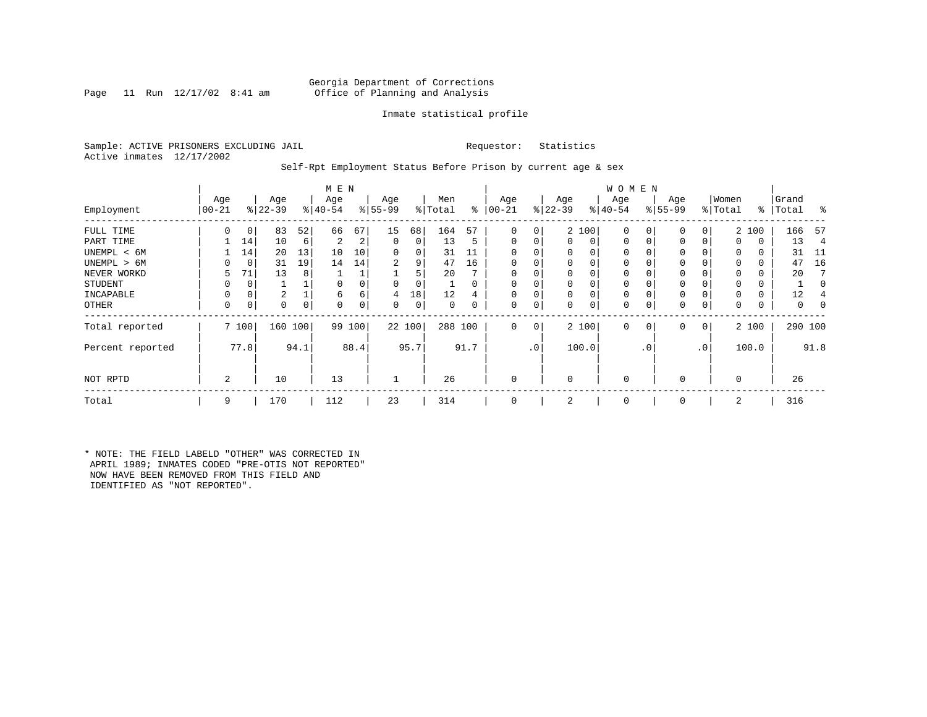## Georgia Department of Corrections<br>Page 11 Run 12/17/02 8:41 am Office of Planning and Analysis Office of Planning and Analysis

## Inmate statistical profile

Sample: ACTIVE PRISONERS EXCLUDING JAIL **Requestor:** Statistics Active inmates 12/17/2002

Self-Rpt Employment Status Before Prison by current age & sex

|                  |                  |             |                  |      | M E N            |          |                  |        |                |          |                 |                 |                  |          | <b>WOMEN</b>     |           |                  |     |                  |          |                |      |
|------------------|------------------|-------------|------------------|------|------------------|----------|------------------|--------|----------------|----------|-----------------|-----------------|------------------|----------|------------------|-----------|------------------|-----|------------------|----------|----------------|------|
| Employment       | Age<br>$00 - 21$ |             | Age<br>$ 22-39 $ |      | Age<br>$8 40-54$ |          | Age<br>$8 55-99$ |        | Men<br>% Total | ွေ       | Age<br>$ 00-21$ |                 | Age<br>$8 22-39$ |          | Age<br>$ 40-54 $ |           | Age<br>$8 55-99$ |     | Women<br>% Total | ႜ        | Grand<br>Total | ွေ   |
|                  |                  |             |                  |      |                  |          |                  |        |                |          |                 |                 |                  |          |                  |           |                  |     |                  |          |                |      |
| FULL TIME        | 0                | 0           | 83               | 52   | 66               | 67       | 15               | 68     | 164            | 57       | 0               | 0               |                  | 2 100    | 0                |           | 0                | 0   |                  | 2 100    | 166            | -57  |
| PART TIME        |                  | 14          | 10               | 6    | 2                | 2        | 0                | 0      | 13             | 5        | $\mathbf{0}$    |                 | $\Omega$         | 0        | 0                |           | $\Omega$         | 0   | $\Omega$         | 0        | 13             | 4    |
| UNEMPL < 6M      |                  | 14          | 20               | 13   | 10               | 10       | 0                | 0      | 31             | 11       | $\Omega$        |                 |                  | 0        | 0                |           |                  |     |                  | 0        | 31             | -11  |
| UNEMPL > 6M      | 0                | $\mathbf 0$ | 31               | 19   | 14               | 14       | 2                | 9      | 47             | 16       | $\Omega$        |                 | $\Omega$         |          | $\Omega$         |           |                  |     | $\Omega$         | 0        | 47             | 16   |
| NEVER WORKD      | 5                | 71          | 13               | 8    |                  |          |                  |        | 20             |          | $\Omega$        |                 |                  |          | $\Omega$         |           |                  |     |                  | 0        | 20             |      |
| <b>STUDENT</b>   | 0                | 0           |                  |      |                  |          | $\Omega$         | 0      |                | $\Omega$ | 0               |                 |                  | $\Omega$ | $\Omega$         |           | $\Omega$         |     | $\Omega$         | 0        |                |      |
| INCAPABLE        | 0                | 0           | 2                |      | 6                | 6        | 4                | 18     | 12             | 4        | $\Omega$        |                 | $\Omega$         | 0        | $\Omega$         |           |                  |     |                  | $\Omega$ | 12             |      |
| OTHER            | 0                | 0           | 0                | 0    | $\Omega$         | $\Omega$ | 0                | 0      | $\Omega$       | 0        | 0               | $\Omega$        | $\Omega$         | 0        | 0                |           | $\Omega$         | 0   | 0                | 0        | 0              |      |
| Total reported   |                  | 7 100       | 160 100          |      |                  | 99 100   |                  | 22 100 | 288 100        |          | $\Omega$        | $\mathbf 0$     |                  | 2 100    | $\mathbf{0}$     | 0         | $\mathbf 0$      | 0   |                  | 2 100    | 290 100        |      |
| Percent reported |                  | 77.8        |                  | 94.1 |                  | 88.4     |                  | 95.7   |                | 91.7     |                 | .0 <sup>7</sup> |                  | 100.0    |                  | $\cdot$ 0 |                  | .0' |                  | 100.0    |                | 91.8 |
| NOT RPTD         | $\overline{a}$   |             | 10               |      | 13               |          |                  |        | 26             |          | $\Omega$        |                 | $\Omega$         |          | $\Omega$         |           |                  |     | $\Omega$         |          | 26             |      |
| Total            | 9                |             | 170              |      | 112              |          | 23               |        | 314            |          | $\mathbf 0$     |                 | 2                |          | 0                |           | $\Omega$         |     | 2                |          | 316            |      |

\* NOTE: THE FIELD LABELD "OTHER" WAS CORRECTED IN APRIL 1989; INMATES CODED "PRE-OTIS NOT REPORTED" NOW HAVE BEEN REMOVED FROM THIS FIELD AND IDENTIFIED AS "NOT REPORTED".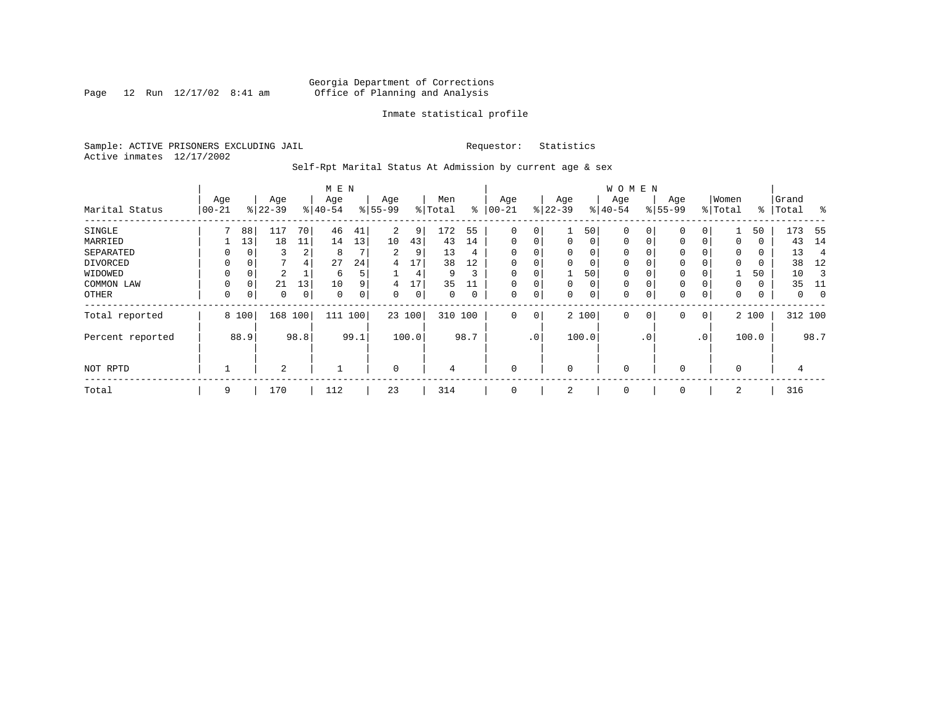Page 12 Run  $12/17/02$  8:41 am

## Inmate statistical profile

Sample: ACTIVE PRISONERS EXCLUDING JAIL **Requestor:** Statistics Active inmates 12/17/2002

Self-Rpt Marital Status At Admission by current age & sex

|                  |           |          |           |      | M E N       |      |                |       |          |             |             |             |              |       | <b>WOMEN</b> |           |              |                 |             |       |         |      |
|------------------|-----------|----------|-----------|------|-------------|------|----------------|-------|----------|-------------|-------------|-------------|--------------|-------|--------------|-----------|--------------|-----------------|-------------|-------|---------|------|
|                  | Age       |          | Age       |      | Age         |      | Age            |       | Men      |             | Age         |             | Age          |       | Age          |           | Age          |                 | Women       |       | Grand   |      |
| Marital Status   | $00 - 21$ |          | $8 22-39$ |      | $ 40-54 $   |      | $ 55-99$       |       | % Total  | ႜ           | $ 00-21$    |             | $ 22-39$     |       | $8 40-54$    |           | $8 55-99$    |                 | % Total     | ႜ     | Total   | ွေ   |
| SINGLE           |           | 88       | 117       | 70   | 46          | 41   | 2              | 9     | 172      | 55          | 0           | 0           |              | 50    | 0            |           | $\mathbf{0}$ |                 |             | 50    | 173     | - 55 |
| MARRIED          |           | 13       | 18        | 11   | 14          | 13   | 10             | 43    | 43       | 14          | $\mathbf 0$ | 0           | $\mathbf{0}$ | 0     | 0            | 0         | 0            | 0               | 0           | 0     | 43      | 14   |
| SEPARATED        | 0         |          | 3         | 2    | 8           |      | $\overline{a}$ | 9     | 13       | 4           | $\Omega$    | 0           | $\Omega$     | 0     | 0            |           | 0            |                 | $\Omega$    | 0     | 13      | 4    |
| DIVORCED         | 0         | 0        | 7         | 4    | 27          | 24   | 4              | 17    | 38       | 12          | 0           | 0           | $\Omega$     | 0     | 0            |           | 0            |                 | $\Omega$    | 0     | 38      | 12   |
| WIDOWED          | $\Omega$  |          | 2         |      | 6           | 5    |                | 4     | 9        | 3           | $\mathbf 0$ | 0           |              | 50    | 0            |           | 0            |                 |             | 50    | 10      |      |
| COMMON LAW       | $\Omega$  | $\Omega$ | 21        | 13   | 10          | 9    | 4              | 17    | 35       |             | $\Omega$    | 0           | $\Omega$     | 0     | 0            |           | 0            |                 | $\Omega$    | 0     | 35      | 11   |
| OTHER            | 0         | 0        | 0         | 0    | $\mathbf 0$ | 0    | 0              | 0     | $\Omega$ | $\mathbf 0$ | 0           | $\mathbf 0$ | 0            | 0     | 0            |           | $\mathbf{0}$ | $\Omega$        | 0           | 0     | 0       |      |
| Total reported   |           | 8 100    | 168       | 100  | 111         | 100  | 23 100         |       | 310 100  |             | 0           | 0           |              | 2 100 | 0            | 0         | $\mathbf{0}$ | 0               |             | 2 100 | 312 100 |      |
| Percent reported |           | 88.9     |           | 98.8 |             | 99.1 |                | 100.0 |          | 98.7        |             | $\cdot$ 0   |              | 100.0 |              | $\cdot$ 0 |              | .0 <sup>′</sup> |             | 100.0 |         | 98.7 |
| NOT RPTD         |           |          | 2         |      |             |      | 0              |       | 4        |             | $\mathbf 0$ |             | $\Omega$     |       | 0            |           | 0            |                 | $\mathbf 0$ |       | 4       |      |
| Total            | 9         |          | 170       |      | 112         |      | 23             |       | 314      |             | 0           |             | 2            |       | 0            |           | 0            |                 | 2           |       | 316     |      |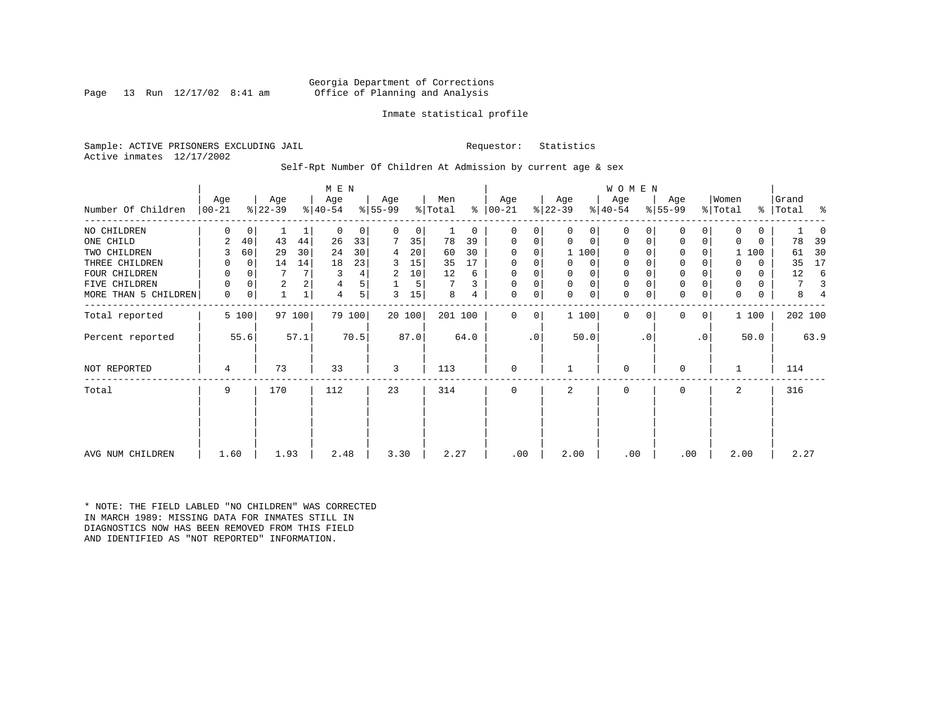## Georgia Department of Corrections<br>Page 13 Run 12/17/02 8:41 am Office of Planning and Analysis Office of Planning and Analysis

## Inmate statistical profile

Sample: ACTIVE PRISONERS EXCLUDING JAIL **Requestor:** Statistics Active inmates 12/17/2002

Self-Rpt Number Of Children At Admission by current age & sex

|                      |           |             |                |        | M E N     |        |           |        |         |          |               |           |           |             | <b>WOMEN</b> |           |             |           |          |              |           |      |
|----------------------|-----------|-------------|----------------|--------|-----------|--------|-----------|--------|---------|----------|---------------|-----------|-----------|-------------|--------------|-----------|-------------|-----------|----------|--------------|-----------|------|
|                      | Age       |             | Age            |        | Age       |        | Age       |        | Men     |          | Age           |           | Age       |             | Age          |           | Age         |           | Women    |              | Grand     |      |
| Number Of Children   | $ 00-21 $ |             | $ 22-39 $      |        | $ 40-54 $ |        | $8 55-99$ |        | % Total |          | $8   00 - 21$ |           | $ 22-39 $ |             | $8 40-54$    |           | $ 55-99 $   |           | % Total  |              | %   Total | ႜ    |
| NO CHILDREN          | U         | $\mathbf 0$ |                |        | $\Omega$  | 0      | $\Omega$  | 0      |         | $\Omega$ | 0             | 0         | 0         | 0           | $\Omega$     |           | $\Omega$    | 0         | 0        | 0            |           |      |
| ONE CHILD            | 2         | 40          | 43             | 44     | 26        | 33     |           | 35     | 78      | 39       | 0             | 0         | 0         | 0           | $\Omega$     | O         | 0           | 0         | $\Omega$ | $\Omega$     | 78        | 39   |
| TWO CHILDREN         | 3         | 60          | 29             | 30     | 24        | 30     | 4         | 20     | 60      | 30       | $\Omega$      | $\Omega$  |           | 1 100       | $\Omega$     |           | $\Omega$    |           |          | 1 100        | 61        | 30   |
| THREE CHILDREN       | 0         | $\Omega$    | 14             | 14     | 18        | 23     | 3         | 15     | 35      | 17       | $\Omega$      | 0         | 0         | $\mathbf 0$ | $\mathbf 0$  |           | $\mathbf 0$ |           |          | $\Omega$     | 35        | 17   |
| FOUR CHILDREN        | 0         | 0           |                | 7      |           | 4      | 2         | 10     | 12      | 6        | 0             | 0         | U         | 0           | $\mathbf 0$  |           | 0           |           | 0        | $\mathbf{0}$ | 12        | 6    |
| FIVE CHILDREN        | 0         | $\Omega$    | $\overline{a}$ | 2      |           | 5      |           | 5      |         | 3        | 0             | 0         | 0         | $\mathbf 0$ | 0            |           | $\mathbf 0$ |           | 0        | 0            | 7         |      |
| MORE THAN 5 CHILDREN | 0         | 0           |                |        | 4         | 5      | 3         | 15     | 8       | 4        | 0             | 0         | 0         | 0           | $\mathbf 0$  |           | $\mathbf 0$ | 0         | 0        | 0            | 8         |      |
| Total reported       |           | 5 100       |                | 97 100 |           | 79 100 |           | 20 100 | 201 100 |          | $\Omega$      | 0         |           | 1 100       | $\Omega$     | $\Omega$  | $\Omega$    | 0         |          | 1 100        | 202 100   |      |
| Percent reported     |           | 55.6        |                | 57.1   |           | 70.5   |           | 87.0   |         | 64.0     |               | $\cdot$ 0 |           | 50.0        |              | $\cdot$ 0 |             | $\cdot$ 0 |          | 50.0         |           | 63.9 |
| NOT REPORTED         | 4         |             | 73             |        | 33        |        | 3         |        | 113     |          | $\mathbf 0$   |           |           |             | $\Omega$     |           | 0           |           |          |              | 114       |      |
| Total                | 9         |             | 170            |        | 112       |        | 23        |        | 314     |          | 0             |           | 2         |             | $\mathbf 0$  |           | 0           |           | 2        |              | 316       |      |
|                      |           |             |                |        |           |        |           |        |         |          |               |           |           |             |              |           |             |           |          |              |           |      |
|                      |           |             |                |        |           |        |           |        |         |          |               |           |           |             |              |           |             |           |          |              |           |      |
| AVG NUM CHILDREN     | 1.60      |             | 1.93           |        | 2.48      |        | 3.30      |        | 2.27    |          | .00           |           | 2.00      |             | .00          |           | .00         |           | 2.00     |              | 2.27      |      |

\* NOTE: THE FIELD LABLED "NO CHILDREN" WAS CORRECTED IN MARCH 1989: MISSING DATA FOR INMATES STILL IN DIAGNOSTICS NOW HAS BEEN REMOVED FROM THIS FIELD AND IDENTIFIED AS "NOT REPORTED" INFORMATION.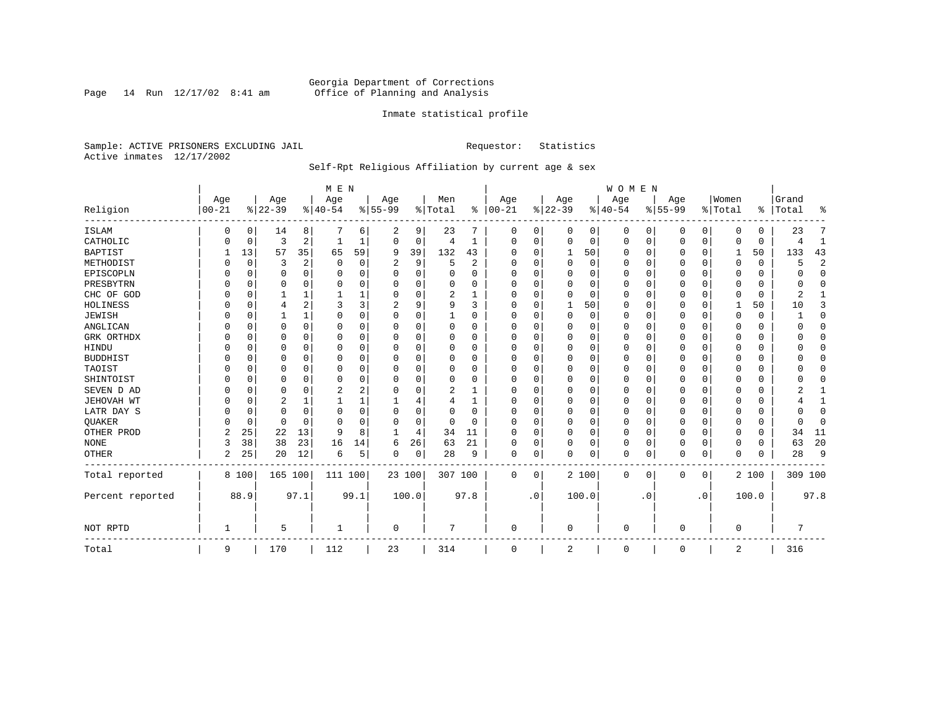Page 14 Run  $12/17/02$  8:41 am

## Inmate statistical profile

Sample: ACTIVE PRISONERS EXCLUDING JAIL **Requestor:** Statistics Active inmates 12/17/2002

## Self-Rpt Religious Affiliation by current age & sex

|                  |            |          |           |          | M E N    |          |           |          |          |          |          |             |             |          | WOMEN        |           |           |                |                |             |           |                |
|------------------|------------|----------|-----------|----------|----------|----------|-----------|----------|----------|----------|----------|-------------|-------------|----------|--------------|-----------|-----------|----------------|----------------|-------------|-----------|----------------|
|                  | Age        |          | Age       |          | Age      |          | Age       |          | Men      |          | Age      |             | Age         |          | Age          |           | Age       |                | Women          |             | Grand     |                |
| Religion         | $ 00 - 21$ |          | $8 22-39$ |          | $ 40-54$ |          | $8 55-99$ |          | % Total  | ⊱        | $ 00-21$ |             | $ 22-39$    |          | $ 40-54$     |           | $8 55-99$ |                | % Total        |             | %   Total | ႜ              |
| <b>ISLAM</b>     |            | 0        | 14        | 8        |          | 6        | 2         | 9        | 23       |          | 0        | 0           | 0           | 0        | 0            | 0         | 0         | 0              | $\Omega$       | 0           | 23        |                |
| CATHOLIC         |            | 0        | 3         | 2        |          |          | $\Omega$  | 0        | 4        | 1        | $\Omega$ | 0           | 0           | 0        | 0            | 0         | 0         | 0              | $\Omega$       | $\mathbf 0$ |           | 1              |
| <b>BAPTIST</b>   |            | 13       | 57        | 35       | 65       | 59       | 9         | 39       | 132      | 43       | O        | $\Omega$    | 1           | 50       | 0            | 0         | 0         | $\Omega$       | 1              | 50          | 133       | 43             |
| METHODIST        |            | 0        | 3         | 2        | $\Omega$ | $\Omega$ | 2         | 9        | 5        | 2        | O        | $\Omega$    | $\mathbf 0$ | $\Omega$ | <sup>0</sup> | $\Omega$  | 0         | 0              | $\Omega$       | $\mathbf 0$ | 5         | $\overline{2}$ |
| EPISCOPLN        |            | $\Omega$ | U         | $\Omega$ | O        | $\Omega$ |           | $\Omega$ |          | $\Omega$ | $\Omega$ | $\Omega$    | O           | 0        |              | $\Omega$  | 0         | 0              | O              | O           |           | $\mathbf 0$    |
| PRESBYTRN        |            | $\Omega$ |           | 0        |          | $\Omega$ |           | O        |          | O        |          |             | 0           | $\Omega$ |              | $\Omega$  | 0         | U              | O              | 0           |           | $\Omega$       |
| CHC OF GOD       |            | $\Omega$ |           |          |          |          |           | U        | 2        |          | O        |             | $\Omega$    | 0        | 0            | $\Omega$  | 0         | 0              | $\Omega$       | $\Omega$    |           |                |
| HOLINESS         |            | $\Omega$ | 4         | 2        |          | 3        |           | 9        | 9        | ζ        | O        |             |             | 50       | <sup>0</sup> | $\Omega$  | U         | 0              |                | 50          | 10        | 3              |
| <b>JEWISH</b>    |            | $\Omega$ |           | 1        |          | 0        | U         | 0        |          | O        |          |             | $\Omega$    | 0        |              | $\Omega$  | 0         | 0              |                |             |           | $\Omega$       |
| ANGLICAN         |            | $\Omega$ | 0         | 0        | O        |          | U         | 0        | 0        | 0        | $\Omega$ |             | O           | 0        |              | $\Omega$  | 0         | U              | O              | 0           |           | $\Omega$       |
| GRK ORTHDX       |            | $\Omega$ | U         | 0        | n        | O        | U         | U        | $\Omega$ | O        | ∩        |             | C           | 0        | <sup>0</sup> | $\Omega$  | 0         | 0              | $\Omega$       | 0           |           | $\Omega$       |
| HINDU            |            | $\Omega$ |           | 0        | n        | O        |           | U        | 0        | O        |          |             | O           | 0        |              | $\Omega$  | 0         | U              | U              | 0           |           | $\Omega$       |
| <b>BUDDHIST</b>  |            | $\Omega$ |           | 0        |          | O        |           | U        |          | O        |          |             | O           | O        |              | $\Omega$  | 0         | U              |                | U           |           | $\Omega$       |
| TAOIST           |            | $\Omega$ |           | $\Omega$ |          | O        |           | O        |          | O        |          |             | 0           | $\Omega$ |              | $\Omega$  | U         | U              |                |             |           | $\Omega$       |
| SHINTOIST        |            | $\Omega$ | O         | 0        | O        | $\Omega$ |           | O        | $\Omega$ | O        | O        |             | O           | $\Omega$ | 0            | $\Omega$  | 0         | 0              | U              | O           |           | $\Omega$       |
| SEVEN D AD       |            | $\Omega$ | O         | O        |          | 2        |           | U        | 2        |          | O        |             | C           | O        | O            | $\Omega$  | U         | U              | O              | U           |           |                |
| JEHOVAH WT       |            | $\Omega$ | 2         |          |          |          |           | 4        |          |          |          |             | C           | $\Omega$ |              | $\Omega$  | 0         | $\Omega$       |                |             |           |                |
| LATR DAY S       |            | $\Omega$ | 0         | 0        | 0        | 0        | U         | 0        | 0        | 0        | $\Omega$ |             | $\Omega$    | 0        | 0            | $\Omega$  | 0         | 0              | $\Omega$       | 0           |           | $\Omega$       |
| QUAKER           |            | $\Omega$ | 0         | $\Omega$ | n        | O        | U         | 0        | $\Omega$ | $\Omega$ | $\Omega$ | U           | $\Omega$    | 0        | <sup>0</sup> | $\Omega$  | 0         | 0              | $\Omega$       | 0           |           | $\Omega$       |
| OTHER PROD       | 2          | 25       | 22        | 13       | q        | 8        |           | 4        | 34       | 11       | $\Omega$ | $\Omega$    | O           | 0        | 0            | $\Omega$  | 0         | 0              | $\Omega$       | 0           | 34        | 11             |
| $\rm{NONE}$      | 3          | 38       | 38        | 23       | 16       | 14       | 6         | 26       | 63       | 21       | O        | $\Omega$    | 0           | $\Omega$ |              | $\Omega$  | 0         | 0              | 0              | 0           | 63        | 20             |
| <b>OTHER</b>     | 2          | 25       | 20        | 12       | 6        | 5        | 0         | 0        | 28       | 9        | 0        | 0           | $\Omega$    | 0        | $\Omega$     | $\Omega$  | 0         | 0              | $\Omega$       | 0           | 28        | 9              |
| Total reported   |            | 8 100    | 165 100   |          | 111 100  |          | 23 100    |          | 307 100  |          | 0        | $\mathbf 0$ |             | 2 100    | 0            | 0         | 0         | $\overline{0}$ |                | 2 100       | 309 100   |                |
| Percent reported |            | 88.9     |           | 97.1     |          | 99.1     | 100.0     |          |          | 97.8     |          | $\cdot$ 0   |             | 100.0    |              | $\cdot$ 0 |           | $\cdot$ 0      |                | 100.0       |           | 97.8           |
| NOT RPTD         |            |          | 5         |          |          |          | 0         |          |          |          | $\Omega$ |             | $\Omega$    |          | $\Omega$     |           | 0         |                | $\Omega$       |             |           |                |
| Total            | 9          |          | 170       |          | 112      |          | 23        |          | 314      |          | $\Omega$ |             | 2           |          | $\Omega$     |           | 0         |                | $\overline{c}$ |             | 316       |                |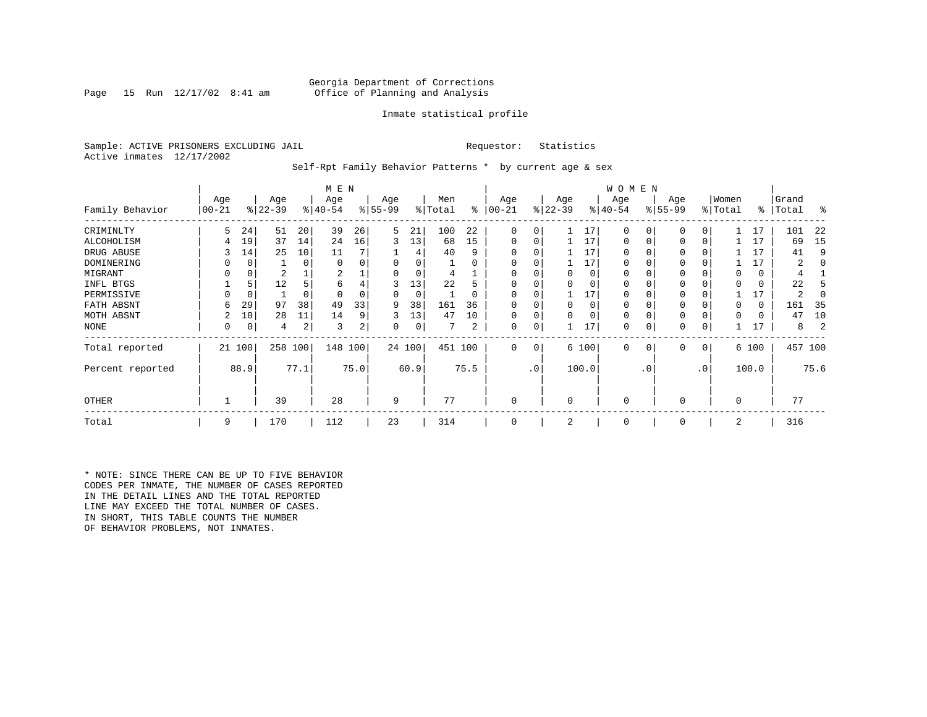## Georgia Department of Corrections<br>Page 15 Run 12/17/02 8:41 am Office of Planning and Analysis Office of Planning and Analysis

## Inmate statistical profile

Sample: ACTIVE PRISONERS EXCLUDING JAIL **Requestor:** Statistics Active inmates 12/17/2002

Self-Rpt Family Behavior Patterns \* by current age & sex

|                  |                 |             |                  |          | M E N            |      |                 |        |                |          |                  |           |                 |          | W O M E N        |           |                 |     |                  |       |                |         |
|------------------|-----------------|-------------|------------------|----------|------------------|------|-----------------|--------|----------------|----------|------------------|-----------|-----------------|----------|------------------|-----------|-----------------|-----|------------------|-------|----------------|---------|
| Family Behavior  | Age<br>$ 00-21$ |             | Age<br>$ 22-39 $ |          | Age<br>$ 40-54 $ |      | Age<br>$ 55-99$ |        | Men<br>% Total | ⊱        | Age<br>$00 - 21$ |           | Age<br>$ 22-39$ |          | Age<br>$ 40-54 $ |           | Age<br>$ 55-99$ |     | Women<br>% Total | ႜ     | Grand<br>Total | န္      |
| CRIMINLTY        | 5.              | 24          | 51               | 20       | 39               | 26   | 5               | 21     | 100            | 22       | $\mathbf 0$      | 0         |                 | 17       | $\Omega$         | 0         | $\mathbf 0$     | 0   |                  | 17    | 101            | 22      |
| ALCOHOLISM       | 4               | 19          | 37               | 14       | 24               | 16   | 3               | 13     | 68             | 15       | 0                | 0         |                 | 17       | 0                |           | $\Omega$        | 0   |                  | 17    | 69             | 15      |
| DRUG ABUSE       |                 | 14          | 25               | 10       | 11               |      |                 | 4      | 40             | 9        |                  |           |                 | 17       | 0                |           | $\Omega$        |     |                  | 17    | 41             | 9       |
| DOMINERING       |                 | 0           |                  | 0        | $\Omega$         |      |                 | 0      |                | 0        | 0                |           |                 | 17       | 0                |           | $\Omega$        |     |                  | 17    | 2              |         |
| MIGRANT          | 0               | 0           | 2                |          | 2                |      |                 | 0      | 4              |          | $\Omega$         |           | 0               | $\Omega$ | 0                |           | $\Omega$        |     |                  | 0     | 4              |         |
| INFL BTGS        |                 | 5           | 12               | 5        | 6                |      | 3               | 13     | 22             | 5        |                  |           |                 | $\Omega$ | 0                |           | $\Omega$        |     |                  | 0     | 22             |         |
| PERMISSIVE       | 0               | $\mathbf 0$ |                  | $\Omega$ | $\Omega$         |      | 0               | 0      |                | $\Omega$ | $\Omega$         | 0         |                 | 17       | $\Omega$         |           | $\Omega$        |     |                  | 17    | 2              |         |
| FATH ABSNT       | 6               | 29          | 97               | 38       | 49               | 33   | 9               | 38     | 161            | 36       |                  |           | <sup>0</sup>    | $\Omega$ | 0                |           |                 |     |                  | 0     | 161            | - 35    |
| MOTH ABSNT       |                 | 10          | 28               | 11       | 14               | 9    | 3               | 13     | 47             | 10       | 0                | 0         |                 | $\Omega$ | 0                |           | $\Omega$        |     |                  | 0     | 47             | 10      |
| NONE             | 0               | 0           | 4                | 2        | 3                | 2    | 0               | 0      |                | 2        | 0                | 0         |                 | 17       | 0                |           | 0               | 0   |                  | 17    | 8              |         |
| Total reported   |                 | 21 100      | 258              | 100      | 148 100          |      |                 | 24 100 | 451 100        |          | $\mathbf{0}$     | 0         |                 | 6 100    | $\mathbf{0}$     | 0         | $\mathbf 0$     | 0   |                  | 6 100 |                | 457 100 |
| Percent reported |                 | 88.9        |                  | 77.1     |                  | 75.0 |                 | 60.9   |                | 75.5     |                  | $\cdot$ 0 |                 | 100.0    |                  | $\cdot$ 0 |                 | .0' |                  | 100.0 |                | 75.6    |
| <b>OTHER</b>     |                 |             | 39               |          | 28               |      | 9               |        | 77             |          | $\mathbf 0$      |           | $\Omega$        |          | $\mathbf 0$      |           | $\Omega$        |     | $\Omega$         |       | 77             |         |
| Total            | 9               |             | 170              |          | 112              |      | 23              |        | 314            |          | 0                |           | 2               |          | $\mathbf 0$      |           | 0               |     | 2                |       | 316            |         |

\* NOTE: SINCE THERE CAN BE UP TO FIVE BEHAVIOR CODES PER INMATE, THE NUMBER OF CASES REPORTED IN THE DETAIL LINES AND THE TOTAL REPORTED LINE MAY EXCEED THE TOTAL NUMBER OF CASES. IN SHORT, THIS TABLE COUNTS THE NUMBER OF BEHAVIOR PROBLEMS, NOT INMATES.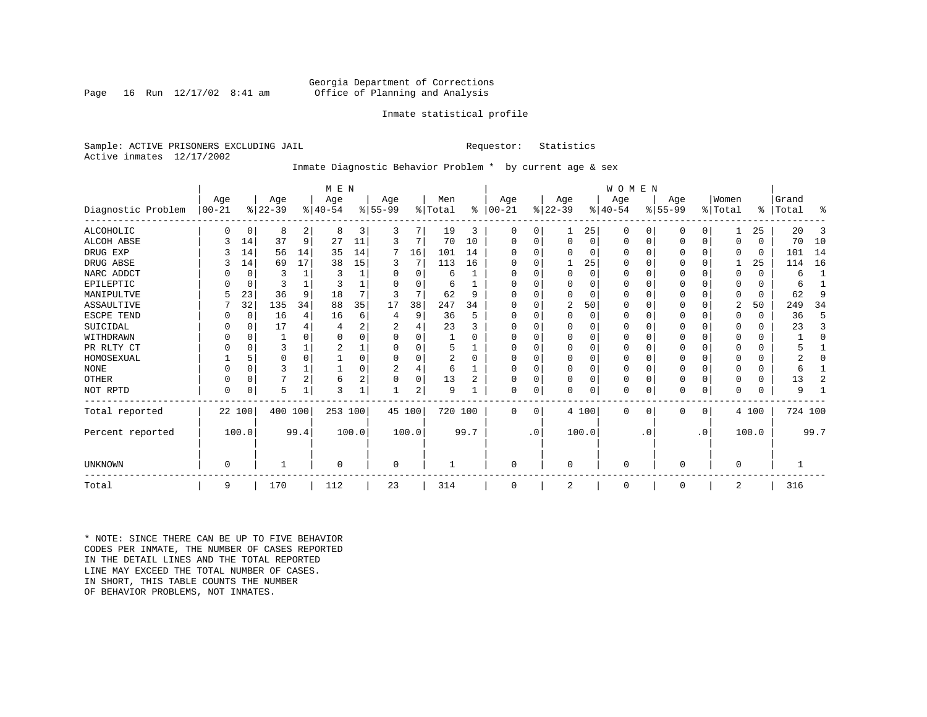## Georgia Department of Corrections<br>Page 16 Run 12/17/02 8:41 am Office of Planning and Analysis Office of Planning and Analysis

## Inmate statistical profile

Sample: ACTIVE PRISONERS EXCLUDING JAIL **Requestor:** Statistics Active inmates 12/17/2002

## Inmate Diagnostic Behavior Problem \* by current age & sex

|                    |              |          |           |                | M E N     |                |                |          |                |          |           |           |             |          | <b>WOMEN</b> |           |           |             |             |          |           |              |
|--------------------|--------------|----------|-----------|----------------|-----------|----------------|----------------|----------|----------------|----------|-----------|-----------|-------------|----------|--------------|-----------|-----------|-------------|-------------|----------|-----------|--------------|
|                    | Age          |          | Age       |                | Age       |                | Age            |          | Men            |          | Age       |           | Age         |          | Age          |           | Age       |             | Women       |          | Grand     |              |
| Diagnostic Problem | $ 00 - 21$   |          | $ 22-39 $ |                | $8 40-54$ |                | $ 55-99$       |          | % Total        | ွေ       | $ 00-21 $ |           | $ 22-39 $   |          | $ 40-54 $    |           | $ 55-99 $ |             | % Total     |          | %   Total | ႜ            |
| ALCOHOLIC          | <sup>0</sup> | 0        | 8         | 2              | 8         | 3              | 3              |          | 19             | 3        | 0         | 0         |             | 25       | 0            | 0         | 0         | $\Omega$    |             | 25       | 20        | 3            |
| <b>ALCOH ABSE</b>  |              | 14       | 37        | 9              | 27        | 11             | 3              | 7        | 70             | 10       | 0         | 0         | $\mathbf 0$ | 0        | 0            | 0         | 0         | $\mathbf 0$ | $\Omega$    | $\Omega$ | 70        | 10           |
| DRUG EXP           |              | 14       | 56        | 14             | 35        | 14             | 7              | 16       | 101            | 14       |           |           | $\Omega$    | 0        | $\Omega$     | 0         | 0         | $\Omega$    | $\Omega$    | 0        | 101       | 14           |
| DRUG ABSE          |              | 14       | 69        | 17             | 38        | 15             | 3              | 7        | 113            | 16       | U         |           |             | 25       | 0            | 0         | 0         | $\Omega$    |             | 25       | 114       | 16           |
| NARC ADDCT         |              | $\Omega$ | 3         |                | 3         |                | O              | $\Omega$ | 6              |          | U         |           | $\Omega$    | $\Omega$ | $\Omega$     | $\Omega$  | U         | $\Omega$    | $\Omega$    | $\Omega$ | 6         | $\mathbf{1}$ |
| EPILEPTIC          |              | 0        | 3         |                |           |                |                | U        | 6              |          | U         |           | $\Omega$    | O        | $\Omega$     | $\Omega$  | U         | $\Omega$    | $\Omega$    | $\Omega$ | 6         |              |
| MANIPULTVE         |              | 23       | 36        | 9              | 18        |                |                | 7        | 62             | 9        |           |           | $\Omega$    | 0        | $\Omega$     | $\Omega$  | 0         | $\Omega$    | $\Omega$    | $\Omega$ | 62        | 9            |
| ASSAULTIVE         |              | 32       | 135       | 34             | 88        | 35             | 17             | 38       | 247            | 34       | U         |           | 2           | 50       | $\Omega$     | 0         | 0         | 0           | 2           | 50       | 249       | 34           |
| ESCPE TEND         |              | 0        | 16        | 4              | 16        | 6              |                | 9        | 36             | 5        | U         |           | $\Omega$    | 0        | $\Omega$     | $\Omega$  |           | O           | $\Omega$    | $\Omega$ | 36        | 5            |
| SUICIDAL           |              | 0        | 17        |                |           | 2              |                |          | 23             |          | ∩         |           | $\Omega$    | O        | $\Omega$     | $\Omega$  |           | O           |             | $\Omega$ | 23        | 3            |
| WITHDRAWN          |              | $\Omega$ |           |                |           |                |                | U        |                |          |           |           | $\Omega$    | O        | 0            | $\Omega$  |           | O           |             | U        |           | $\Omega$     |
| PR RLTY CT         |              | $\Omega$ | 3         |                |           |                |                | U        | 5              |          | $\Omega$  |           | $\Omega$    | O        | $\Omega$     | $\Omega$  |           | $\Omega$    | ∩           | $\Omega$ |           |              |
| HOMOSEXUAL         |              | 5        | $\Omega$  | $\Omega$       |           |                |                | U        | $\overline{2}$ | $\Omega$ | ∩         |           | $\Omega$    | $\Omega$ | $\Omega$     | $\Omega$  | 0         | $\Omega$    |             | U        |           | O            |
| <b>NONE</b>        |              | $\Omega$ | ς         |                |           |                | $\overline{c}$ | 4        | 6              |          | ∩         |           | $\Omega$    | O        | $\Omega$     | O         | ი         | O           |             | 0        | 6         |              |
| OTHER              |              | $\Omega$ |           | $\overline{2}$ | 6         | $\overline{2}$ |                | 0        | 13             | 2        | $\Omega$  |           | $\Omega$    | O        | 0            | $\Omega$  | 0         | $\Omega$    | $\Omega$    | $\Omega$ | 13        | 2            |
| NOT RPTD           | $\Omega$     | 0        | 5         |                | २         |                |                | 2        | 9              |          | $\Omega$  | 0         | $\mathbf 0$ | 0        | 0            | 0         | U         | 0           | $\Omega$    | $\Omega$ | 9         |              |
| Total reported     |              | 22 100   | 400 100   |                | 253 100   |                |                | 45 100   | 720 100        |          | $\Omega$  | $\Omega$  |             | 4 100    | $\Omega$     | 0         | 0         | 0           |             | 4 100    | 724 100   |              |
| Percent reported   |              | 100.0    |           | 99.4           |           | 100.0          |                | 100.0    |                | 99.7     |           | $\cdot$ 0 |             | 100.0    |              | $\cdot$ 0 |           | $\cdot$ 0   |             | 100.0    |           | 99.7         |
| UNKNOWN            | $\Omega$     |          |           |                | $\Omega$  |                | 0              |          |                |          | $\Omega$  |           | $\mathbf 0$ |          | $\Omega$     |           | 0         |             | $\mathbf 0$ |          |           |              |
|                    |              |          |           |                |           |                |                |          |                |          |           |           |             |          |              |           |           |             |             |          |           |              |
| Total              | 9            |          | 170       |                | 112       |                | 23             |          | 314            |          | $\Omega$  |           | 2           |          | $\mathbf 0$  |           | 0         |             | 2           |          | 316       |              |

\* NOTE: SINCE THERE CAN BE UP TO FIVE BEHAVIOR CODES PER INMATE, THE NUMBER OF CASES REPORTED IN THE DETAIL LINES AND THE TOTAL REPORTED LINE MAY EXCEED THE TOTAL NUMBER OF CASES.IN SHORT, THIS TABLE COUNTS THE NUMBER OF BEHAVIOR PROBLEMS, NOT INMATES.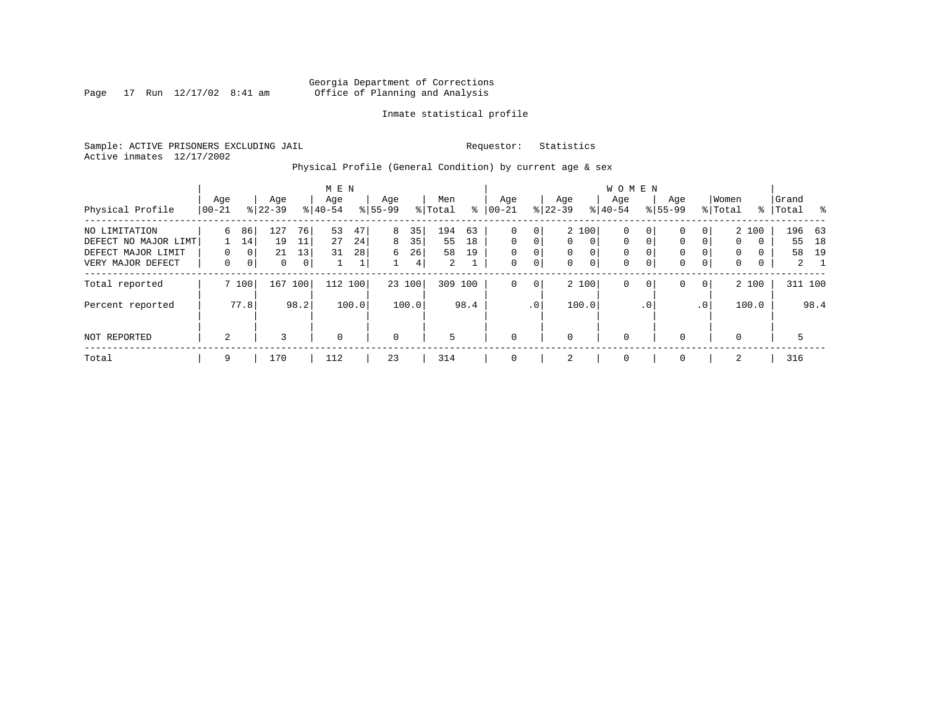Page 17 Run  $12/17/02$  8:41 am

## Inmate statistical profile

Sample: ACTIVE PRISONERS EXCLUDING JAIL **Requestor:** Statistics Active inmates 12/17/2002

Physical Profile (General Condition) by current age & sex

|                      |                |                |                  |      | M E N            |       |                  |       |                |      |                 |             |                  |                | W O M E N        |                |                    |             |                  |          |                |             |
|----------------------|----------------|----------------|------------------|------|------------------|-------|------------------|-------|----------------|------|-----------------|-------------|------------------|----------------|------------------|----------------|--------------------|-------------|------------------|----------|----------------|-------------|
| Physical Profile     | Age<br>  00-21 |                | Age<br>$8 22-39$ |      | Age<br>$8 40-54$ |       | Age<br>$8 55-99$ |       | Men<br>% Total | ႜ    | Age<br>$ 00-21$ |             | Age<br>$ 22-39 $ |                | Aqe<br>$8 40-54$ |                | Age<br>$8155 - 99$ |             | Women<br>% Total | ႜ        | Grand<br>Total | - %         |
|                      |                |                |                  |      |                  |       |                  |       |                |      |                 |             |                  |                |                  |                |                    |             |                  |          |                |             |
| NO LIMITATION        | 6              | 86             | 127              | 76   | 53               | 47    | 8                | 35    | 194            | 63   | $\mathbf 0$     | 0           |                  | 2 100          | 0                | 0 <sup>1</sup> | $\mathbf{0}$       | 0           |                  | 2 100    |                | 196 63      |
| DEFECT NO MAJOR LIMT |                | 14             | 19               | 11   | 27               | 24    | 8                | 35    | 55             | 18   | $\Omega$        | 0           | $\Omega$         | $\Omega$       | 0                | $\mathbf{0}$   | $\mathbf 0$        | $\Omega$    | $\mathbf{0}$     | $\Omega$ | 55             | 18          |
| DEFECT MAJOR LIMIT   | $\Omega$       | 0 <sup>1</sup> | 21               | 13   | 31               | 28    | 6                | 26    | 58             | 19   | $\mathbf 0$     | $\mathbf 0$ | $\Omega$         | $\Omega$       | 0                |                | $\mathbf{0}$       |             | $\Omega$         | $\Omega$ | 58             | 19          |
| VERY MAJOR DEFECT    | 0              | 0 <sup>1</sup> | 0                | 0    |                  | Τ.    |                  | 4     | $\overline{2}$ |      | $\mathbf 0$     | 0           | 0                | $\overline{0}$ | $\mathbf 0$      | 0              | $\mathbf 0$        | $\mathbf 0$ | 0                | 0        |                | $2 \quad 1$ |
| Total reported       |                | 7 100          | 167              | 100  | 112              | 100   | 23 100           |       | 309 100        |      | $\mathbf 0$     | 0           |                  | 2 100          | 0                | $\mathbf{0}$   | $\mathbf{0}$       | $\mathbf 0$ |                  | 2 100    |                | 311 100     |
| Percent reported     |                | 77.8           |                  | 98.2 |                  | 100.0 |                  | 100.0 |                | 98.4 |                 | $\cdot$ 0   |                  | 100.0          |                  | $\cdot$ 0      |                    | .0'         |                  | 100.0    |                | 98.4        |
| NOT REPORTED         | 2              |                | 3                |      | $\mathbf 0$      |       | $\mathbf 0$      |       | 5              |      | $\mathbf 0$     |             | $\Omega$         |                | $\mathbf 0$      |                | $\mathbf{0}$       |             | $\Omega$         |          | 5              |             |
| Total                | 9              |                | 170              |      | 112              |       | 23               |       | 314            |      | $\mathbf 0$     |             | 2                |                | 0                |                | $\mathbf{0}$       |             | 2                |          | 316            |             |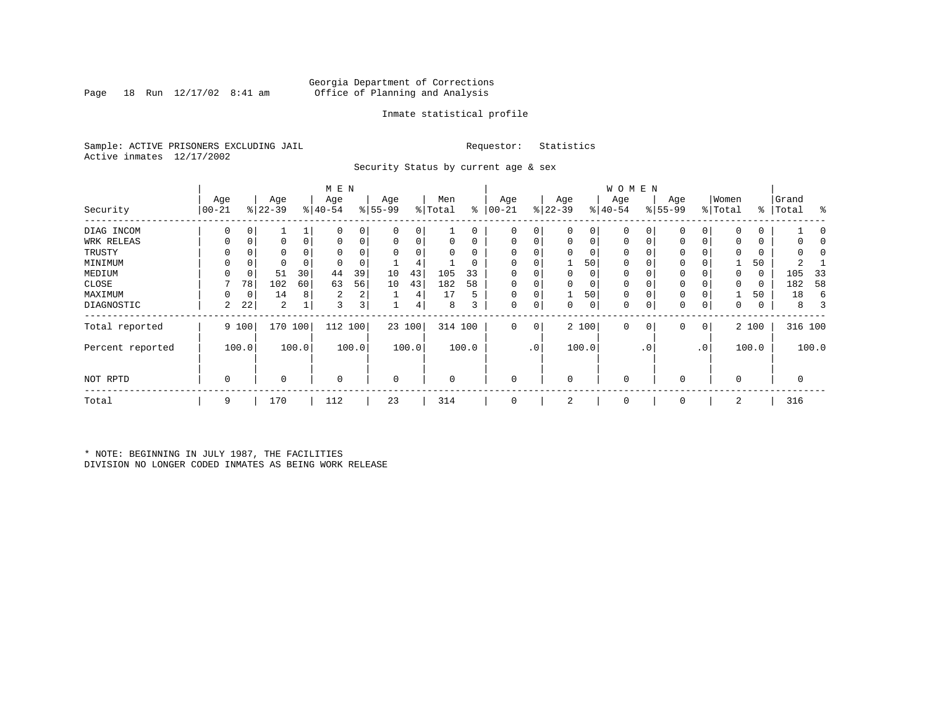## Georgia Department of Corrections<br>Page 18 Run 12/17/02 8:41 am Office of Planning and Analysis Page 18 Run 12/17/02 8:41 am Office of Planning and Analysis

## Inmate statistical profile

Sample: ACTIVE PRISONERS EXCLUDING JAIL **Requestor:** Statistics Active inmates 12/17/2002

Security Status by current age & sex

|                  |          |       |           |       | M E N       |                |             |        |          |          |             |                 |             |                | W O M E N   |         |             |           |             |       |           |         |
|------------------|----------|-------|-----------|-------|-------------|----------------|-------------|--------|----------|----------|-------------|-----------------|-------------|----------------|-------------|---------|-------------|-----------|-------------|-------|-----------|---------|
|                  | Age      |       | Age       |       | Age         |                | Age         |        | Men      |          | Age         |                 | Age         |                | Age         |         | Age         |           | Women       |       | Grand     |         |
| Security         | $ 00-21$ |       | $ 22-39 $ |       | $ 40-54 $   |                | $8 55-99$   |        | % Total  | ៖        | $00 - 21$   |                 | $ 22-39 $   |                | $ 40-54 $   |         | $8155 - 99$ |           | % Total     |       | %   Total | ႜ       |
| DIAG INCOM       | 0        | 0     |           |       | 0           |                | 0           | 0      |          | 0        | 0           | 0               | 0           | 0              |             | 0       | 0           | 0         | $\mathbf 0$ | 0     |           |         |
| WRK RELEAS       | 0        | 0     |           | 0     |             | 0              | 0           | 0      | 0        | 0        | $\mathbf 0$ | 0               | 0           | $\overline{0}$ | 0           | 0       | 0           | 0         | $\Omega$    | 0     |           |         |
| TRUSTY           |          |       |           |       |             |                | $\Omega$    |        | 0        | $\Omega$ |             |                 |             |                |             |         |             |           | $\Omega$    |       |           |         |
| MINIMUM          |          | 0     |           |       |             |                |             | 4      |          | 0        |             |                 |             | 50             | $\Omega$    |         | 0           |           |             | 50    |           |         |
| MEDIUM           | 0        | 0     | 51        | 30    | 44          | 39             | 10          | 43     | 105      | 33       | $\Omega$    |                 | 0           | 0              | $\Omega$    |         | 0           |           | 0           | 0     | 105       | 33      |
| CLOSE            |          | 78    | 102       | 60    | 63          | 56             | 10          | 43     | 182      | 58       |             |                 |             | 0              | 0           |         | 0           |           | $\mathbf 0$ | 0     | 182       | 58      |
| MAXIMUM          | $\Omega$ | 0     | 14        | 8     | 2           | 2 <sub>1</sub> |             | 4      | 17       | 5        | $\Omega$    |                 |             | 50             | $\Omega$    |         | $\Omega$    |           |             | 50    | 18        | 6       |
| DIAGNOSTIC       | 2        | 22    | 2         |       | 3           | 3              |             | 4      | 8        | 3        | $\mathbf 0$ | 0               | 0           | 0              | 0           | 0       | 0           | 0         | 0           | 0     | 8         | 3       |
| Total reported   |          | 9 100 | 170       | 100   | 112         | 100            |             | 23 100 | 314 100  |          | 0           | 0               |             | 2 100          | $\mathbf 0$ | $\circ$ | 0           | 0         |             | 2 100 |           | 316 100 |
| Percent reported |          | 100.0 |           | 100.0 |             | 100.0          |             | 100.0  |          | 100.0    |             | .0 <sup>1</sup> |             | 100.0          |             | .0'     |             | $\cdot$ 0 |             | 100.0 |           | 100.0   |
| NOT RPTD         | 0        |       | 0         |       | $\mathbf 0$ |                | $\mathbf 0$ |        | $\Omega$ |          | $\Omega$    |                 | $\mathbf 0$ |                | $\mathbf 0$ |         | $\Omega$    |           | $\mathbf 0$ |       |           |         |
| Total            | 9        |       | 170       |       | 112         |                | 23          |        | 314      |          | 0           |                 | 2           |                | $\mathbf 0$ |         | 0           |           | 2           |       | 316       |         |

\* NOTE: BEGINNING IN JULY 1987, THE FACILITIES DIVISION NO LONGER CODED INMATES AS BEING WORK RELEASE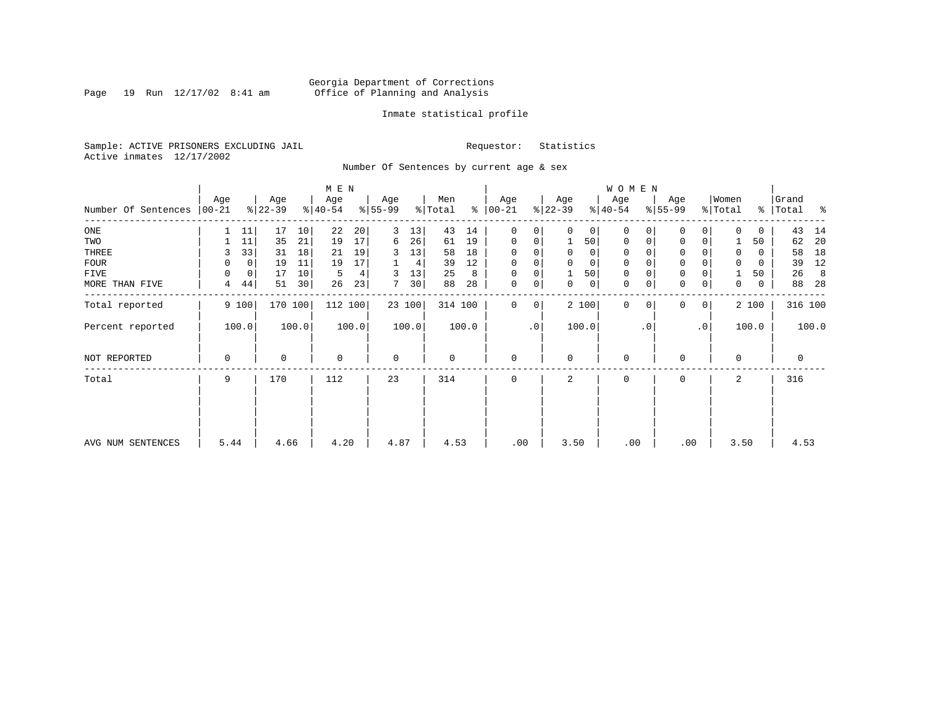Page 19 Run  $12/17/02$  8:41 am

## Inmate statistical profile

Sample: ACTIVE PRISONERS EXCLUDING JAIL **Requestor:** Statistics Active inmates 12/17/2002

Number Of Sentences by current age & sex

|                             |             |             |           |       | M E N     |       |                 |        |         |       |               |             |           |             | <b>WOMEN</b> |           |             |                 |          |       |             |       |
|-----------------------------|-------------|-------------|-----------|-------|-----------|-------|-----------------|--------|---------|-------|---------------|-------------|-----------|-------------|--------------|-----------|-------------|-----------------|----------|-------|-------------|-------|
|                             | Age         |             | Age       |       | Age       |       | Age             |        | Men     |       | Age           |             | Age       |             | Age          |           | Age         |                 | Women    |       | Grand       |       |
| Number Of Sentences   00-21 |             |             | $ 22-39 $ |       | $ 40-54 $ |       | $8 55-99$       |        | % Total |       | $8   00 - 21$ |             | $ 22-39 $ |             | $ 40-54 $    |           | $8 55-99$   |                 | % Total  |       | %   Total   | ႜ     |
| ONE                         |             | 11          | 17        | 10    | 22        | 20    | 3               | 13     | 43      | 14    | $\mathbf 0$   | 0           | $\Omega$  | 0           | $\Omega$     | 0         | $\Omega$    | 0               | 0        | 0     | 43          | 14    |
| TWO                         |             | 11          | 35        | 21    | 19        | 17    | 6               | 26     | 61      | 19    | $\Omega$      | 0           |           | 50          | $\mathbf 0$  | $\Omega$  | $\mathbf 0$ | 0               |          | 50    | 62          | 20    |
| THREE                       | 3           | 33          | 31        | 18    | 21        | 19    | 3               | 13     | 58      | 18    | 0             | 0           | 0         | 0           | 0            |           | $\mathbf 0$ |                 |          | 0     | 58          | 18    |
| FOUR                        | 0           | 0           | 19        | 11    | 19        | 17    |                 | 4      | 39      | 12    | $\Omega$      | 0           |           | $\mathbf 0$ | $\mathbf 0$  |           | $\mathbf 0$ |                 |          | 0     | 39          | 12    |
| FIVE                        | $\Omega$    | $\mathbf 0$ | 17        | 10    | 5         | 4     | 3               | 13     | 25      | 8     | 0             | $\mathsf 0$ |           | 50          | $\mathbf 0$  |           | $\mathbf 0$ |                 |          | 50    | 26          | 8     |
| MORE THAN FIVE              | 4           | 44          | 51        | 30    | 26        | 23    | $7\overline{ }$ | 30     | 88      | 28    | $\mathbf 0$   | 0           | 0         | 0           | $\mathbf 0$  | 0         | $\mathbf 0$ | 0               | 0        | 0     | 88          | 28    |
| Total reported              |             | 9 100       | 170 100   |       | 112 100   |       |                 | 23 100 | 314 100 |       | $\mathbf 0$   | 0           |           | 2 100       | $\mathbf{0}$ | $\Omega$  | $\Omega$    | $\circ$         |          | 2 100 | 316 100     |       |
| Percent reported            |             | 100.0       |           | 100.0 |           | 100.0 |                 | 100.0  |         | 100.0 |               | $\cdot$ 0   |           | 100.0       |              | $\cdot$ 0 |             | .0 <sup>1</sup> |          | 100.0 |             | 100.0 |
| NOT REPORTED                | $\mathbf 0$ |             | 0         |       | $\Omega$  |       | $\mathbf 0$     |        | 0       |       | $\mathbf 0$   |             | $\Omega$  |             | $\Omega$     |           | $\Omega$    |                 | $\Omega$ |       | $\mathbf 0$ |       |
| Total                       | 9           |             | 170       |       | 112       |       | 23              |        | 314     |       | 0             |             | 2         |             | 0            |           | $\Omega$    |                 | 2        |       | 316         |       |
|                             |             |             |           |       |           |       |                 |        |         |       |               |             |           |             |              |           |             |                 |          |       |             |       |
| AVG NUM SENTENCES           | 5.44        |             | 4.66      |       | 4.20      |       | 4.87            |        | 4.53    |       | .00           |             | 3.50      |             | .00          |           | .00         |                 | 3.50     |       | 4.53        |       |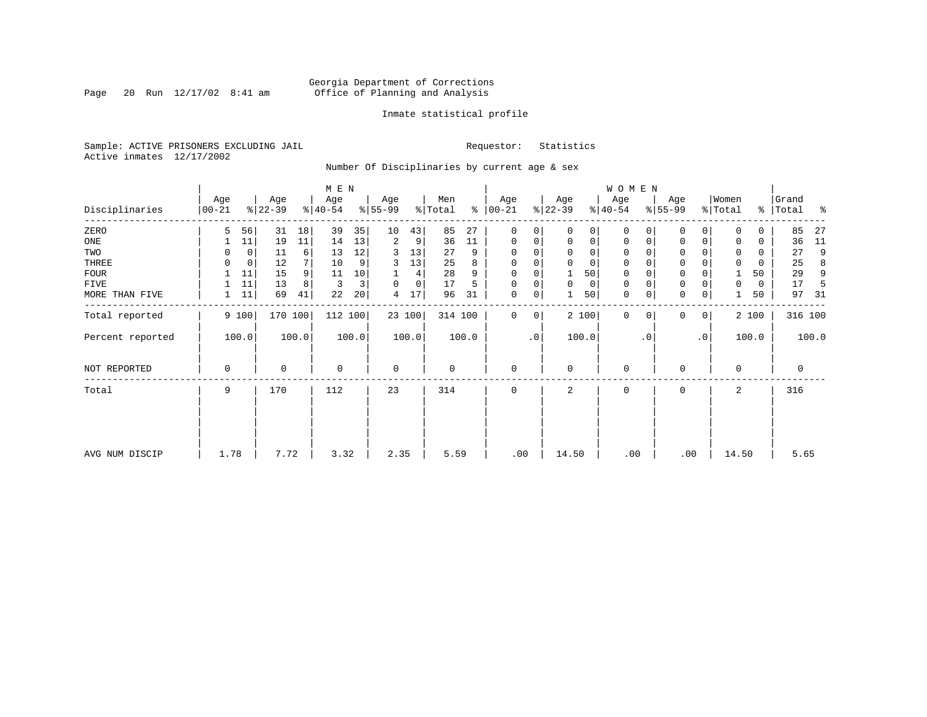Page 20 Run  $12/17/02$  8:41 am

## Inmate statistical profile

Sample: ACTIVE PRISONERS EXCLUDING JAIL **Requestor:** Statistics Active inmates 12/17/2002

Number Of Disciplinaries by current age & sex

|                  |                  |       |                  |                | M E N            |       |                  |        |                |       |                   |                 |                  |             | W O M E N        |             |                  |              |                  |       |                    |         |
|------------------|------------------|-------|------------------|----------------|------------------|-------|------------------|--------|----------------|-------|-------------------|-----------------|------------------|-------------|------------------|-------------|------------------|--------------|------------------|-------|--------------------|---------|
| Disciplinaries   | Age<br>$00 - 21$ |       | Age<br>$ 22-39 $ |                | Age<br>$8 40-54$ |       | Age<br>$8 55-99$ |        | Men<br>% Total | န္    | Age<br>$ 00 - 21$ |                 | Age<br>$ 22-39 $ |             | Age<br>$ 40-54 $ |             | Age<br>$8 55-99$ |              | Women<br>% Total |       | Grand<br>%   Total | ႜ       |
| ZERO             | 5                | 56    | 31               | 18             | 39               | 35    | 10               | 43     | 85             | 27    | 0                 | 0               | $\Omega$         | 0           | $\mathbf 0$      | $\Omega$    | $\Omega$         | $\Omega$     | $\Omega$         | 0     | 85                 | 27      |
| ONE              |                  | 11    | 19               | 11             | 14               | 13    | 2                | 9      | 36             | 11    | 0                 | 0               | 0                | $\mathbf 0$ | $\mathbf 0$      | $\mathbf 0$ | 0                | $\mathbf 0$  | $\Omega$         | 0     | 36                 | 11      |
| TWO              |                  | 0     | 11               | 6              | 13               | 12    | 3                | 13     | 27             | 9     | $\Omega$          |                 | $\mathbf 0$      | 0           | 0                | O           | $\Omega$         |              | 0                | 0     | 27                 | 9       |
| THREE            | 0                | 0     | 12               | 7              | 10               | 9     | 3                | 13     | 25             | 8     | $\Omega$          |                 | $\mathbf 0$      | 0           | $\mathbf 0$      | 0           | 0                |              | $\mathbf 0$      | 0     | 25                 | 8       |
| <b>FOUR</b>      |                  | 11    | 15               | 9 <sup>1</sup> | 11               | 10    |                  | 4      | 28             | 9     | $\Omega$          |                 |                  | 50          | $\mathbf 0$      |             | $\mathbf 0$      |              |                  | 50    | 29                 | 9       |
| FIVE             |                  | 11    | 13               | 8              | 3                | 3     | $\Omega$         | 0      | 17             | 5     | $\Omega$          | 0               | 0                | 0           | 0                | $\Omega$    | 0                |              | 0                | 0     | 17                 | 5       |
| MORE THAN FIVE   |                  | 11    | 69               | 41             | 22               | 20    | 4                | 17     | 96             | 31    | $\mathbf 0$       | 0               |                  | 50          | $\mathbf 0$      | 0           | $\mathbf 0$      | 0            |                  | 50    | 97                 | -31     |
| Total reported   |                  | 9 100 | 170 100          |                | 112 100          |       |                  | 23 100 | 314 100        |       | $\Omega$          | 0               |                  | 2 100       | $\mathbf{0}$     | $\mathbf 0$ | 0                | $\mathbf{0}$ |                  | 2 100 |                    | 316 100 |
| Percent reported |                  | 100.0 |                  | 100.0          |                  | 100.0 |                  | 100.0  |                | 100.0 |                   | .0 <sup>1</sup> |                  | 100.0       |                  | $\cdot$ 0   |                  | $\cdot$ 0    |                  | 100.0 |                    | 100.0   |
| NOT REPORTED     | 0                |       | $\Omega$         |                | $\mathbf 0$      |       | $\mathbf 0$      |        | 0              |       | $\mathbf 0$       |                 | 0                |             | $\mathbf 0$      |             | $\mathbf 0$      |              | $\Omega$         |       | $\mathbf 0$        |         |
| Total            | 9                |       | 170              |                | 112              |       | 23               |        | 314            |       | $\mathbf 0$       |                 | 2                |             | $\mathbf 0$      |             | 0                |              | 2                |       | 316                |         |
|                  |                  |       |                  |                |                  |       |                  |        |                |       |                   |                 |                  |             |                  |             |                  |              |                  |       |                    |         |
| AVG NUM DISCIP   | 1.78             |       | 7.72             |                | 3.32             |       | 2.35             |        | 5.59           |       | .00               |                 | 14.50            |             | .00              |             | .00              |              | 14.50            |       | 5.65               |         |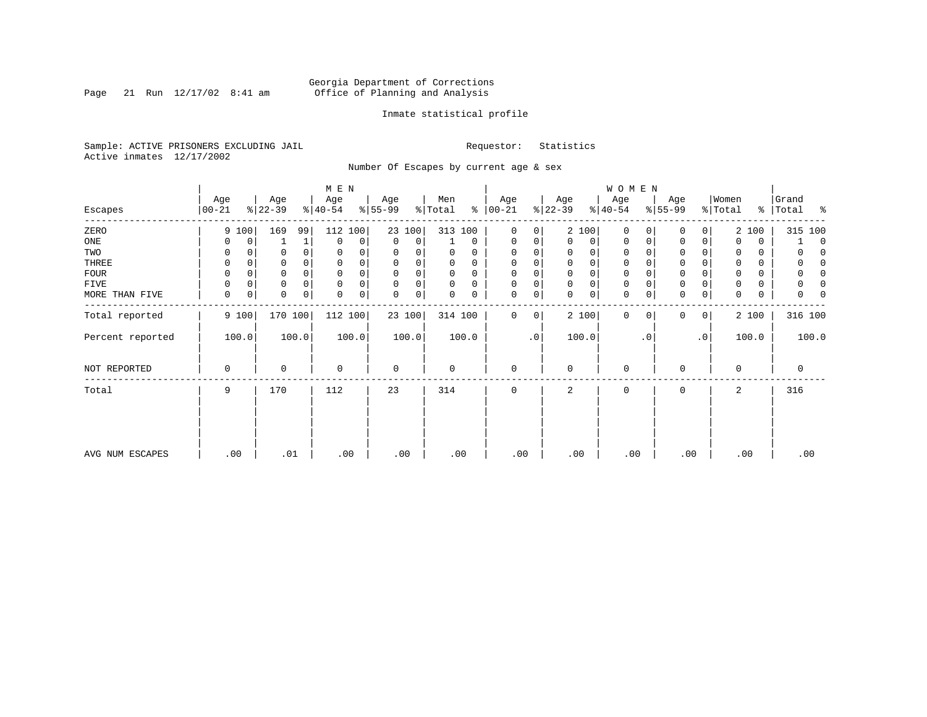Page 21 Run  $12/17/02$  8:41 am

## Inmate statistical profile

Sample: ACTIVE PRISONERS EXCLUDING JAIL **Requestor:** Statistics Active inmates 12/17/2002

Number Of Escapes by current age & sex

|                  |                 |                  |          | M E N            |       |                 |       |                |             |                  |           |                 |             | WOMEN            |           |                  |           |                  |       |                     |
|------------------|-----------------|------------------|----------|------------------|-------|-----------------|-------|----------------|-------------|------------------|-----------|-----------------|-------------|------------------|-----------|------------------|-----------|------------------|-------|---------------------|
| Escapes          | Age<br>$ 00-21$ | Age<br>$ 22-39 $ |          | Age<br>$ 40-54 $ |       | Age<br>$ 55-99$ |       | Men<br>% Total | ៖           | Age<br>$ 00-21 $ |           | Age<br>$ 22-39$ |             | Age<br>$ 40-54 $ |           | Age<br>$ 55-99 $ |           | Women<br>% Total | ွေ    | Grand<br>ႜ<br>Total |
| ZERO             | 9 100           | 169              | 99       | 112              | 100   | 23 100          |       | 313 100        |             | $\mathbf{0}$     | 0         | 2 100           |             | $\mathbf 0$      | 0         | $\mathbf 0$      | 0         |                  | 2 100 | 315 100             |
| ONE              | 0               | 0                | 1        | $\mathbf 0$      | 0     | $\mathbf 0$     | 0     |                | $\mathbf 0$ | 0                | 0         | $\Omega$        | 0           | 0                | 0         | 0                | 0         | $\Omega$         | 0     | $\Omega$            |
| TWO              | 0               | 0                | 0        | 0                |       | 0               |       | 0              | 0           | 0                |           |                 | 0           | 0                |           | $\Omega$         |           | 0                | 0     |                     |
| THREE            | 0               | 0                |          | 0                |       | 0               | 0     | 0              | 0           | 0                |           | 0               | 0           | 0                |           | $\mathbf 0$      |           |                  | 0     | 0<br>0              |
| FOUR             | 0               | 0                | $\Omega$ | $\Omega$         |       | $\Omega$        | 0     | 0              | $\Omega$    | $\mathbf 0$      | 0         | $\Omega$        | $\mathbf 0$ | $\Omega$         |           | $\mathbf 0$      |           |                  | 0     |                     |
| FIVE             | 0               | 0<br>0           | 0        | $\mathbf 0$      | 0     | $\Omega$        | 0     | 0              | $\Omega$    | $\mathbf 0$      | 0         | $\Omega$        | 0           | 0                |           | 0                |           |                  | 0     |                     |
| MORE THAN FIVE   | 0               | 0<br>0           | 0        | $\mathbf 0$      | 0     | 0               | 0     | 0              | 0           | 0                | 0         | $\Omega$        | 0           | $\mathbf 0$      | 0         | $\mathbf 0$      | 0         | 0                | 0     | 0                   |
| Total reported   | 9 100           | 170 100          |          | 112 100          |       | 23 100          |       | 314 100        |             | $\mathbf{0}$     | 0         | 2 100           |             | $\mathbf{0}$     | 0         | 0                | 0         |                  | 2 100 | 316 100             |
| Percent reported | 100.0           |                  | 100.0    |                  | 100.0 |                 | 100.0 |                | 100.0       |                  | $\cdot$ 0 | 100.0           |             |                  | $\cdot$ 0 |                  | $\cdot$ 0 |                  | 100.0 | 100.0               |
| NOT REPORTED     | 0               | $\Omega$         |          | $\mathbf 0$      |       | $\mathbf 0$     |       | 0              |             | $\mathbf 0$      |           | $\Omega$        |             | 0                |           | 0                |           | $\Omega$         |       | 0                   |
| Total            | 9               | 170              |          | 112              |       | 23              |       | 314            |             | $\mathbf 0$      |           | 2               |             | 0                |           | 0                |           | 2                |       | 316                 |
|                  |                 |                  |          |                  |       |                 |       |                |             |                  |           |                 |             |                  |           |                  |           |                  |       |                     |
| AVG NUM ESCAPES  | .00             | .01              |          | .00              |       | .00             |       | .00            |             | .00              |           | .00             |             | .00              |           | .00              |           | .00              |       | .00                 |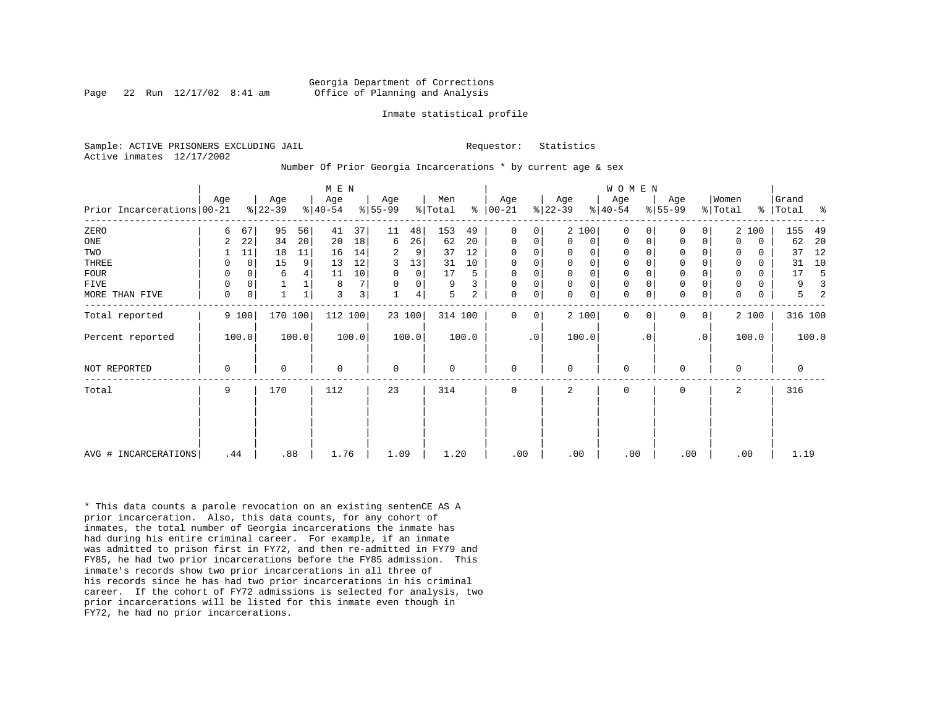Page 22 Run  $12/17/02$  8:41 am

#### Inmate statistical profile

Sample: ACTIVE PRISONERS EXCLUDING JAIL **Requestor:** Statistics Active inmates 12/17/2002

Number Of Prior Georgia Incarcerations \* by current age & sex

|                            |             |             |                 |       | M E N            |                |                 |                |                |       |                      |                |                  |                | WOMEN            |           |                     |           |                  |             |                |       |
|----------------------------|-------------|-------------|-----------------|-------|------------------|----------------|-----------------|----------------|----------------|-------|----------------------|----------------|------------------|----------------|------------------|-----------|---------------------|-----------|------------------|-------------|----------------|-------|
| Prior Incarcerations 00-21 | Age         |             | Age<br>$ 22-39$ |       | Age<br>$ 40-54 $ |                | Age<br>$ 55-99$ |                | Men<br>% Total |       | Age<br>$8   00 - 21$ |                | Age<br>$ 22-39 $ |                | Age<br>$8 40-54$ |           | Age<br>$ 55-99 $    |           | Women<br>% Total | ွေ          | Grand<br>Total | ႜ     |
|                            |             |             |                 |       |                  |                |                 |                |                |       |                      |                |                  |                |                  |           |                     |           |                  |             |                |       |
| ZERO                       | 6           | 67          | 95              | 56    | 41               | 37             | 11              | 48             | 153            | 49    | $\Omega$             | $\overline{0}$ |                  | 2 100          | $\Omega$         |           | 0                   | 0         |                  | 2 100       | 155            | 49    |
| ONE                        | 2           | 22          | 34              | 20    | 20               | 18             | 6               | 26             | 62             | 20    | 0                    | 0              | $\Omega$         | 0 <sup>1</sup> | $\Omega$         | 0         | 0                   | 0         | $\Omega$         | $\mathbf 0$ | 62             | 20    |
| TWO                        |             | 11          | 18              | 11    | 16               | 14             | 2               | 9              | 37             | 12    | $\Omega$             | 0              | 0                | 0              | 0                |           | 0                   |           | 0                | 0           | 37             | 12    |
| THREE                      | 0           | $\mathbf 0$ | 15              | 9     | 13               | 12             | 3               | 13             | 31             | 10    | 0                    | 0              | $\mathbf{0}$     | 0 <sup>1</sup> | $\mathbf 0$      |           | $\mathbf 0$         | 0         | $\Omega$         | 0           | 31             | 10    |
| <b>FOUR</b>                | 0           | 0           | 6               |       | 11               | 10             | $\Omega$        | $\overline{0}$ | 17             | 5     | 0                    | 0              | $\mathbf 0$      | $\mathbf 0$    | 0                |           | $\mathbf 0$         |           | $\mathbf 0$      | 0           | 17             |       |
| <b>FIVE</b>                | 0           | 0           |                 |       | 8                | 7 <sup>1</sup> |                 | $\overline{0}$ | 9              | 3     | 0                    | 0              | $\Omega$         | 0 <sup>1</sup> | 0                |           | $\mathsf{O}\xspace$ |           | $\mathbf 0$      | 0           | 9              |       |
| MORE THAN FIVE             | $\mathbf 0$ | $\mathbf 0$ |                 |       | $\overline{3}$   | 3 <sup>1</sup> |                 | 4              | 5              | 2     | $\Omega$             | 0              | $\Omega$         | 0 <sup>1</sup> | $\mathbf 0$      | 0         | $\mathbf 0$         | 0         | $\Omega$         | $\mathbf 0$ | 5              |       |
| Total reported             |             | 9 100       | 170 100         |       | 112 100          |                |                 | 23 100         | 314 100        |       | $\Omega$             | $\overline{0}$ |                  | 2 100          | $\Omega$         | $\Omega$  | $\mathbf 0$         | 0         |                  | 2 100       | 316 100        |       |
| Percent reported           |             | 100.0       |                 | 100.0 |                  | 100.0          |                 | 100.0          |                | 100.0 |                      | $\cdot$ 0      |                  | 100.0          |                  | $\cdot$ 0 |                     | $\cdot$ 0 |                  | 100.0       |                | 100.0 |
| NOT REPORTED               | 0           |             | 0               |       | $\mathbf 0$      |                | $\mathbf 0$     |                | $\mathbf 0$    |       | 0                    |                | $\Omega$         |                | $\mathbf 0$      |           | 0                   |           | $\Omega$         |             | 0              |       |
| Total                      | 9           |             | 170             |       | 112              |                | 23              |                | 314            |       | 0                    |                | 2                |                | 0                |           | 0                   |           | 2                |             | 316            |       |
|                            |             |             |                 |       |                  |                |                 |                |                |       |                      |                |                  |                |                  |           |                     |           |                  |             |                |       |
|                            |             |             |                 |       |                  |                |                 |                |                |       |                      |                |                  |                |                  |           |                     |           |                  |             |                |       |
| AVG # INCARCERATIONS       | .44         |             | .88             |       | 1.76             |                | 1.09            |                | 1.20           |       | .00                  |                | .00              |                | .00              |           | .00                 |           |                  | .00         | 1.19           |       |

\* This data counts a parole revocation on an existing sentenCE AS A prior incarceration. Also, this data counts, for any cohort of inmates, the total number of Georgia incarcerations the inmate has had during his entire criminal career. For example, if an inmate was admitted to prison first in FY72, and then re-admitted in FY79 and FY85, he had two prior incarcerations before the FY85 admission. This inmate's records show two prior incarcerations in all three of his records since he has had two prior incarcerations in his criminal career. If the cohort of FY72 admissions is selected for analysis, two prior incarcerations will be listed for this inmate even though in FY72, he had no prior incarcerations.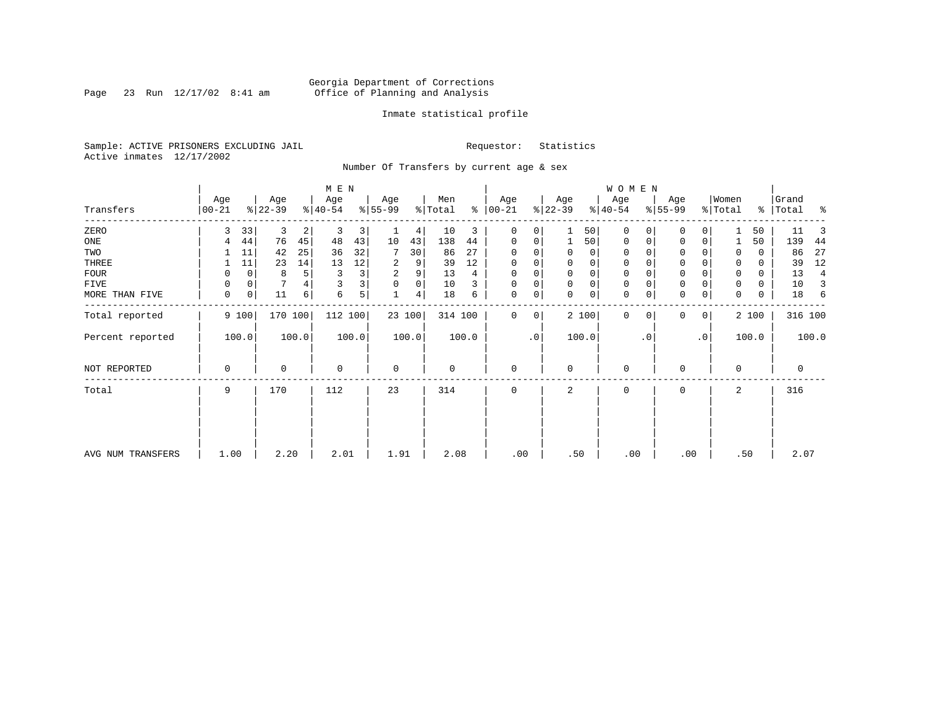Page 23 Run  $12/17/02$  8:41 am

## Inmate statistical profile

Sample: ACTIVE PRISONERS EXCLUDING JAIL **Requestor:** Statistics Active inmates 12/17/2002

Number Of Transfers by current age & sex

|                   |                  |    |                  |                | M E N            |                |                  |        |                |                 |                   |                 |                  |       | W O M E N        |             |                 |              |                  |       |                    |       |
|-------------------|------------------|----|------------------|----------------|------------------|----------------|------------------|--------|----------------|-----------------|-------------------|-----------------|------------------|-------|------------------|-------------|-----------------|--------------|------------------|-------|--------------------|-------|
| Transfers         | Age<br>$00 - 21$ |    | Age<br>$ 22-39 $ |                | Age<br>$ 40-54 $ |                | Age<br>$8 55-99$ |        | Men<br>% Total | န္              | Age<br>$ 00 - 21$ |                 | Age<br>$ 22-39 $ |       | Age<br>$ 40-54 $ |             | Age<br>$ 55-99$ |              | Women<br>% Total |       | Grand<br>%   Total | ႜ     |
| ZERO              | 3                | 33 | 3                | $\overline{2}$ | 3                | 3              |                  | 4      | 10             | 3               | 0                 | 0               |                  | 50    | $\mathbf{0}$     | $\Omega$    | $\Omega$        | $\Omega$     |                  | 50    | 11                 | 3     |
| ONE               |                  | 44 | 76               | 45             | 48               | 43             | 10               | 43     | 138            | 44              | 0                 | 0               |                  | 50    | 0                | 0           | 0               | 0            |                  | 50    | 139                | 44    |
| TWO               |                  | 11 | 42               | 25             | 36               | 32             |                  | 30     | 86             | 27              | $\Omega$          |                 | 0                | 0     | $\mathbf 0$      | 0           | $\Omega$        |              | 0                | 0     | 86                 | 27    |
| THREE             |                  | 11 | 23               | 14             | 13               | $12$           | 2                | 9      | 39             | 12              | $\Omega$          |                 | 0                | 0     | 0                | $\Omega$    | 0               |              | 0                | 0     | 39                 | 12    |
| <b>FOUR</b>       | 0                | 0  | 8                | 5 <sup>1</sup> | 3                | 3              | 2                | 9      | 13             | $4\overline{ }$ | $\Omega$          |                 | 0                | 0     | $\mathbf 0$      |             | $\mathbf 0$     |              |                  | 0     | 13                 | 4     |
| FIVE              | 0                | 0  |                  |                | 3                | 3 <sub>1</sub> | $\mathbf 0$      | 0      | 10             | 3               | $\Omega$          | 0               | 0                | 0     | 0                | $\Omega$    | 0               |              | 0                | 0     | 10                 | 3     |
| MORE THAN FIVE    | 0                | 0  | 11               | 6              | 6                | 5              | 1                | 4      | 18             | 6               | 0                 | 0               | 0                | 0     | $\mathbf 0$      | $\mathbf 0$ | $\mathbf 0$     | 0            | 0                | 0     | 18                 | 6     |
| Total reported    | 9 100            |    | 170 100          |                | 112 100          |                |                  | 23 100 | 314 100        |                 | $\Omega$          | 0               |                  | 2 100 | $\mathbf{0}$     | $\mathbf 0$ | 0               | $\mathbf{0}$ |                  | 2 100 | 316 100            |       |
| Percent reported  | 100.0            |    |                  | 100.0          |                  | 100.0          |                  | 100.0  |                | 100.0           |                   | .0 <sup>1</sup> |                  | 100.0 |                  | $\cdot$ 0   |                 | $\cdot$ 0    |                  | 100.0 |                    | 100.0 |
| NOT REPORTED      | 0                |    | $\Omega$         |                | $\mathbf 0$      |                | $\mathbf 0$      |        | 0              |                 | 0                 |                 | 0                |       | $\mathbf 0$      |             | 0               |              | $\Omega$         |       | $\mathbf 0$        |       |
| Total             | 9                |    | 170              |                | 112              |                | 23               |        | 314            |                 | 0                 |                 | 2                |       | $\mathbf 0$      |             | 0               |              | 2                |       | 316                |       |
|                   |                  |    |                  |                |                  |                |                  |        |                |                 |                   |                 |                  |       |                  |             |                 |              |                  |       |                    |       |
|                   |                  |    |                  |                |                  |                |                  |        |                |                 |                   |                 |                  |       |                  |             |                 |              |                  |       |                    |       |
| AVG NUM TRANSFERS | 1.00             |    | 2.20             |                | 2.01             |                | 1.91             |        | 2.08           |                 | .00               |                 | .50              |       | .00              |             | .00             |              | .50              |       | 2.07               |       |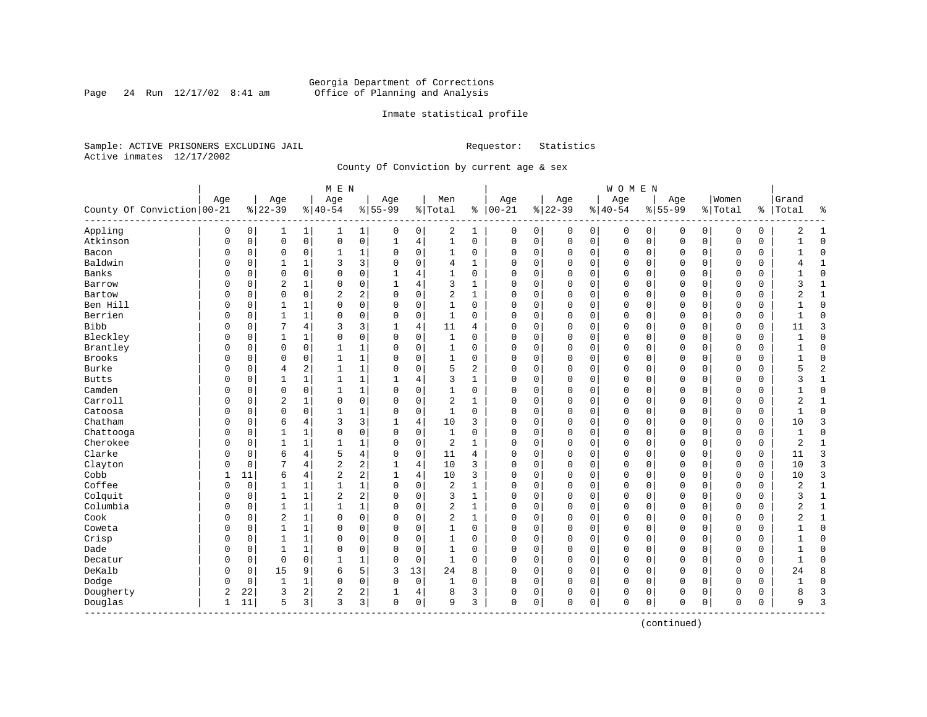Page 24 Run  $12/17/02$  8:41 am

## Inmate statistical profile

Sample: ACTIVE PRISONERS EXCLUDING JAIL **Requestor:** Statistics Active inmates 12/17/2002

County Of Conviction by current age & sex

| Age<br>Age<br>Age<br>Men<br>Age<br>Women<br>Grand<br>Age<br>Age<br>Age<br>Age<br>County Of Conviction 00-21<br>$8 22-39$<br>$8 40-54$<br>$8 55-99$<br>% Total<br>$8   00 - 21$<br>$ 22-39$<br>$8155 - 99$<br>$8 40-54$<br>% Total<br>Total<br>ႜၟ<br>Appling<br>2<br>0<br>0<br>$\mathbf 1$<br>$\mathbf 1$<br>0<br>0<br>1<br>0<br>0<br>0<br>0<br>2<br>1<br>0<br>0<br>0<br>0<br>0<br>0<br>1<br>$\mathsf{O}$<br>0<br>Atkinson<br>$\mathbf 0$<br>$\mathsf 0$<br>$\overline{4}$<br>$\mathbf{1}$<br>$\mathsf 0$<br>$\mathsf 0$<br>$\mathbf 0$<br>$\mathbf 0$<br>0<br>$\mathbf 1$<br>$\mathbf 0$<br>$\Omega$<br>$\Omega$<br>0<br>$\mathbf 0$<br>$\Omega$<br>O<br>0<br>$\mathbf{1}$<br>1<br>$\mathbf 0$<br>$\mathbf 0$<br>Bacon<br>0<br>0<br>0<br>0<br>1<br>$\Omega$<br>1<br>0<br>$\Omega$<br>0<br>0<br>$\Omega$<br>0<br>$\Omega$<br>$\Omega$<br>0<br>$\Omega$<br>1<br>Baldwin<br>3<br>0<br>1<br>3<br>$\Omega$<br>0<br>4<br>1<br>0<br>0<br>$\Omega$<br>0<br>U<br>1<br>0<br>$\Omega$<br>0<br>0<br>0<br>0<br>4<br>Banks<br>$\mathbf 0$<br>0<br>0<br>0<br>0<br>4<br>$\mathbf{1}$<br>0<br>0<br>$\Omega$<br>$\Omega$<br>$\Omega$<br>$\Omega$<br>$\Omega$<br>U<br>1<br>O<br>$\Omega$<br>0<br>C<br>$\overline{c}$<br>0<br>3<br>1<br>0<br>4<br>1<br>0<br>0<br>$\Omega$<br>$\Omega$<br>0<br>$\Omega$<br>0<br>3<br>Barrow<br>0<br>0<br>1<br>$\Omega$<br>$\Omega$<br>0<br>2<br>$\overline{2}$<br>$\mathbf 0$<br>$\mathbf 0$<br>$\overline{2}$<br>$\mathbf 0$<br>0<br>$\mathbf 0$<br>$\mathbf 0$<br>$\Omega$<br>1<br>0<br>0<br>0<br>0<br>2<br>Bartow<br>0<br>0<br>$\Omega$<br>$\Omega$<br>0<br>Ben Hill<br>0<br>$\mathsf 0$<br>$\mathbf{1}$<br>0<br>$\mathbf{1}$<br>$\Omega$<br>$\Omega$<br>$\mathbf 0$<br>0<br>$\mathbf 0$<br>$\mathbf 0$<br>$\Omega$<br>0<br>1<br>$\Omega$<br>$\Omega$<br>$\Omega$<br>$\mathbf 0$<br>$\Omega$<br>0<br>Berrien<br>$\mathbf{1}$<br>$\mathbf{1}$<br>$\mathbf 0$<br>0<br>$\Omega$<br>$\mathbf 0$<br>$\mathbf{1}$<br>$\Omega$<br>$\Omega$<br>0<br>$\mathbf 0$<br>$\Omega$<br>$\mathbf 0$<br>$\Omega$<br>O<br>0<br>$\Omega$<br>$\Omega$<br>$\mathbf 0$<br>0<br>$\mathbf{1}$<br><b>Bibb</b><br>3<br>4<br>3<br>O<br>0<br>4<br>11<br>$\Omega$<br>0<br>0<br>0<br>0<br>$\Omega$<br>0<br>$\Omega$<br>11<br>4<br>$\Omega$<br>0<br>Bleckley<br>0<br>$\mathbf 0$<br>O<br>0<br>1<br>1<br>0<br>$\Omega$<br>1<br>$\Omega$<br>$\Omega$<br>0<br>$\Omega$<br>0<br>$\Omega$<br>$\mathsf{C}$<br>$\Omega$<br>$\Omega$<br>$\mathbf 0$<br>0<br>$\mathbf{1}$<br>Brantley<br>$\mathbf 0$<br>1<br>$\mathbf 0$<br>0<br>$\mathbf 0$<br>0<br>$\mathbf 0$<br>$\mathbf{1}$<br>$\Omega$<br>1<br>$\Omega$<br>$\Omega$<br>$\Omega$<br>$\Omega$<br>$\mathbf 0$<br>$\Omega$<br>0<br>$\Omega$<br>0<br>0<br>1<br>Brooks<br>$\mathsf{O}\xspace$<br>0<br>$\mathbf 1$<br>$\mathbf 1$<br>0<br>$\mathbf 0$<br>$\mathbf 0$<br>0<br>0<br>0<br>$\Omega$<br>1<br>0<br>0<br>$\Omega$<br>O<br>0<br>C<br>$\Omega$<br>0<br>1<br>5<br>Burke<br>2<br>$\mathbf{1}$<br>1<br>$\mathbf 0$<br>2<br>5<br>0<br>$\overline{4}$<br>$\Omega$<br>$\Omega$<br>0<br>$\Omega$<br>0<br>$\Omega$<br>0<br>O<br>0<br>O<br>$\Omega$<br>0<br>1<br>3<br><b>Butts</b><br>1<br>$\mathbf{1}$<br>4<br>1<br>$\Omega$<br>0<br>0<br>0<br>0<br>$\Omega$<br>3<br>0<br>0<br>$\mathbf{1}$<br>$\mathbf{1}$<br>$\Omega$<br>0<br>0<br>0<br>Camden<br>$\mathbf 0$<br>0<br>1<br>$\mathbf 0$<br>0<br>$\Omega$<br>$\mathbf{1}$<br>$\Omega$<br>1<br>0<br>$\Omega$<br>0<br>0<br>0<br>$\Omega$<br>$\Omega$<br>$\Omega$<br>$\Omega$<br>$\Omega$<br>0<br>Carroll<br>0<br>$\overline{c}$<br>$\Omega$<br>$\mathbf 0$<br>$\overline{2}$<br>2<br>O<br>0<br>$\mathbf{1}$<br>$\Omega$<br>$\mathbf{1}$<br>$\Omega$<br>0<br>$\Omega$<br>$\Omega$<br>$\Omega$<br>$\sqrt{ }$<br>$\Omega$<br>$\Omega$<br>$\Omega$<br>0<br>Catoosa<br>$\mathbf 0$<br>$\mathbf 0$<br>1<br>$\mathbf 0$<br>$\mathbf{1}$<br>0<br>$\mathbf 0$<br>$\Omega$<br>0<br>$\Omega$<br>-1<br>$\Omega$<br>$\Omega$<br>$\Omega$<br>$\Omega$<br>$\Omega$<br>$\mathbf 0$<br>$\Omega$<br>$\Omega$<br>0<br>1<br>Chatham<br>3<br>0<br>6<br>4<br>3<br>4<br>10<br>3<br>$\mathbf 0$<br>$\Omega$<br>$\Omega$<br>$\mathbf 0$<br>$\Omega$<br>0<br>10<br>0<br>0<br>$\Omega$<br>$\Omega$<br>1<br>C<br>0<br>$\mathbf{1}$<br>$\mathbf{1}$<br>$\Omega$<br>$\mathbf 0$<br>$\Omega$<br>Chattooga<br>O<br>0<br>1<br>0<br>0<br>$\Omega$<br>0<br>$\Omega$<br>0<br>$\Omega$<br>$\mathbf 0$<br>$\Omega$<br>$\Omega$<br>0<br>1<br>Cherokee<br>1<br>$\mathbf 0$<br>$\overline{2}$<br>2<br>0<br>0<br>1<br>1<br>$\mathbf{1}$<br>$\Omega$<br>1<br>$\Omega$<br>0<br>0<br>0<br>0<br>$\Omega$<br>0<br>$\Omega$<br>0<br>$\Omega$<br>Clarke<br>4<br>5<br>4<br>6<br>0<br>0<br>0<br>0<br>0<br>0<br>0<br>11<br>4<br>0<br>$\Omega$<br>0<br>$\mathbf 0$<br>0<br>0<br>0<br>11<br>2<br>Clayton<br>2<br>$\Omega$<br>7<br>$\overline{4}$<br>4<br>10<br>3<br>0<br>$\Omega$<br>$\Omega$<br>$\Omega$<br>$\Omega$<br>0<br>10<br>O<br>1<br>$\Omega$<br>$\Omega$<br>$\Omega$<br>$\Omega$ |                |
|-------------------------------------------------------------------------------------------------------------------------------------------------------------------------------------------------------------------------------------------------------------------------------------------------------------------------------------------------------------------------------------------------------------------------------------------------------------------------------------------------------------------------------------------------------------------------------------------------------------------------------------------------------------------------------------------------------------------------------------------------------------------------------------------------------------------------------------------------------------------------------------------------------------------------------------------------------------------------------------------------------------------------------------------------------------------------------------------------------------------------------------------------------------------------------------------------------------------------------------------------------------------------------------------------------------------------------------------------------------------------------------------------------------------------------------------------------------------------------------------------------------------------------------------------------------------------------------------------------------------------------------------------------------------------------------------------------------------------------------------------------------------------------------------------------------------------------------------------------------------------------------------------------------------------------------------------------------------------------------------------------------------------------------------------------------------------------------------------------------------------------------------------------------------------------------------------------------------------------------------------------------------------------------------------------------------------------------------------------------------------------------------------------------------------------------------------------------------------------------------------------------------------------------------------------------------------------------------------------------------------------------------------------------------------------------------------------------------------------------------------------------------------------------------------------------------------------------------------------------------------------------------------------------------------------------------------------------------------------------------------------------------------------------------------------------------------------------------------------------------------------------------------------------------------------------------------------------------------------------------------------------------------------------------------------------------------------------------------------------------------------------------------------------------------------------------------------------------------------------------------------------------------------------------------------------------------------------------------------------------------------------------------------------------------------------------------------------------------------------------------------------------------------------------------------------------------------------------------------------------------------------------------------------------------------------------------------------------------------------------------------------------------------------------------------------------------------------------------------------------------------------------------------------------------------------------------------------------------------------------------------------------------------------------------------------------------------------------------------------------------------------------------------------------------------------------------------------------------------------------------------------------------------------------------------------------------------------------------------------------------------------------------------------------------------------------------------------------------------------------------------------------------------------------------------------------------------------------------------------------------------------------------------|----------------|
|                                                                                                                                                                                                                                                                                                                                                                                                                                                                                                                                                                                                                                                                                                                                                                                                                                                                                                                                                                                                                                                                                                                                                                                                                                                                                                                                                                                                                                                                                                                                                                                                                                                                                                                                                                                                                                                                                                                                                                                                                                                                                                                                                                                                                                                                                                                                                                                                                                                                                                                                                                                                                                                                                                                                                                                                                                                                                                                                                                                                                                                                                                                                                                                                                                                                                                                                                                                                                                                                                                                                                                                                                                                                                                                                                                                                                                                                                                                                                                                                                                                                                                                                                                                                                                                                                                                                                                                                                                                                                                                                                                                                                                                                                                                                                                                                                                                                                                       |                |
|                                                                                                                                                                                                                                                                                                                                                                                                                                                                                                                                                                                                                                                                                                                                                                                                                                                                                                                                                                                                                                                                                                                                                                                                                                                                                                                                                                                                                                                                                                                                                                                                                                                                                                                                                                                                                                                                                                                                                                                                                                                                                                                                                                                                                                                                                                                                                                                                                                                                                                                                                                                                                                                                                                                                                                                                                                                                                                                                                                                                                                                                                                                                                                                                                                                                                                                                                                                                                                                                                                                                                                                                                                                                                                                                                                                                                                                                                                                                                                                                                                                                                                                                                                                                                                                                                                                                                                                                                                                                                                                                                                                                                                                                                                                                                                                                                                                                                                       | ႜ              |
|                                                                                                                                                                                                                                                                                                                                                                                                                                                                                                                                                                                                                                                                                                                                                                                                                                                                                                                                                                                                                                                                                                                                                                                                                                                                                                                                                                                                                                                                                                                                                                                                                                                                                                                                                                                                                                                                                                                                                                                                                                                                                                                                                                                                                                                                                                                                                                                                                                                                                                                                                                                                                                                                                                                                                                                                                                                                                                                                                                                                                                                                                                                                                                                                                                                                                                                                                                                                                                                                                                                                                                                                                                                                                                                                                                                                                                                                                                                                                                                                                                                                                                                                                                                                                                                                                                                                                                                                                                                                                                                                                                                                                                                                                                                                                                                                                                                                                                       | 1              |
|                                                                                                                                                                                                                                                                                                                                                                                                                                                                                                                                                                                                                                                                                                                                                                                                                                                                                                                                                                                                                                                                                                                                                                                                                                                                                                                                                                                                                                                                                                                                                                                                                                                                                                                                                                                                                                                                                                                                                                                                                                                                                                                                                                                                                                                                                                                                                                                                                                                                                                                                                                                                                                                                                                                                                                                                                                                                                                                                                                                                                                                                                                                                                                                                                                                                                                                                                                                                                                                                                                                                                                                                                                                                                                                                                                                                                                                                                                                                                                                                                                                                                                                                                                                                                                                                                                                                                                                                                                                                                                                                                                                                                                                                                                                                                                                                                                                                                                       | $\mathbf 0$    |
|                                                                                                                                                                                                                                                                                                                                                                                                                                                                                                                                                                                                                                                                                                                                                                                                                                                                                                                                                                                                                                                                                                                                                                                                                                                                                                                                                                                                                                                                                                                                                                                                                                                                                                                                                                                                                                                                                                                                                                                                                                                                                                                                                                                                                                                                                                                                                                                                                                                                                                                                                                                                                                                                                                                                                                                                                                                                                                                                                                                                                                                                                                                                                                                                                                                                                                                                                                                                                                                                                                                                                                                                                                                                                                                                                                                                                                                                                                                                                                                                                                                                                                                                                                                                                                                                                                                                                                                                                                                                                                                                                                                                                                                                                                                                                                                                                                                                                                       | $\mathbf 0$    |
|                                                                                                                                                                                                                                                                                                                                                                                                                                                                                                                                                                                                                                                                                                                                                                                                                                                                                                                                                                                                                                                                                                                                                                                                                                                                                                                                                                                                                                                                                                                                                                                                                                                                                                                                                                                                                                                                                                                                                                                                                                                                                                                                                                                                                                                                                                                                                                                                                                                                                                                                                                                                                                                                                                                                                                                                                                                                                                                                                                                                                                                                                                                                                                                                                                                                                                                                                                                                                                                                                                                                                                                                                                                                                                                                                                                                                                                                                                                                                                                                                                                                                                                                                                                                                                                                                                                                                                                                                                                                                                                                                                                                                                                                                                                                                                                                                                                                                                       | 1              |
|                                                                                                                                                                                                                                                                                                                                                                                                                                                                                                                                                                                                                                                                                                                                                                                                                                                                                                                                                                                                                                                                                                                                                                                                                                                                                                                                                                                                                                                                                                                                                                                                                                                                                                                                                                                                                                                                                                                                                                                                                                                                                                                                                                                                                                                                                                                                                                                                                                                                                                                                                                                                                                                                                                                                                                                                                                                                                                                                                                                                                                                                                                                                                                                                                                                                                                                                                                                                                                                                                                                                                                                                                                                                                                                                                                                                                                                                                                                                                                                                                                                                                                                                                                                                                                                                                                                                                                                                                                                                                                                                                                                                                                                                                                                                                                                                                                                                                                       | $\mathbf 0$    |
|                                                                                                                                                                                                                                                                                                                                                                                                                                                                                                                                                                                                                                                                                                                                                                                                                                                                                                                                                                                                                                                                                                                                                                                                                                                                                                                                                                                                                                                                                                                                                                                                                                                                                                                                                                                                                                                                                                                                                                                                                                                                                                                                                                                                                                                                                                                                                                                                                                                                                                                                                                                                                                                                                                                                                                                                                                                                                                                                                                                                                                                                                                                                                                                                                                                                                                                                                                                                                                                                                                                                                                                                                                                                                                                                                                                                                                                                                                                                                                                                                                                                                                                                                                                                                                                                                                                                                                                                                                                                                                                                                                                                                                                                                                                                                                                                                                                                                                       | $\mathbf{1}$   |
|                                                                                                                                                                                                                                                                                                                                                                                                                                                                                                                                                                                                                                                                                                                                                                                                                                                                                                                                                                                                                                                                                                                                                                                                                                                                                                                                                                                                                                                                                                                                                                                                                                                                                                                                                                                                                                                                                                                                                                                                                                                                                                                                                                                                                                                                                                                                                                                                                                                                                                                                                                                                                                                                                                                                                                                                                                                                                                                                                                                                                                                                                                                                                                                                                                                                                                                                                                                                                                                                                                                                                                                                                                                                                                                                                                                                                                                                                                                                                                                                                                                                                                                                                                                                                                                                                                                                                                                                                                                                                                                                                                                                                                                                                                                                                                                                                                                                                                       | 1              |
|                                                                                                                                                                                                                                                                                                                                                                                                                                                                                                                                                                                                                                                                                                                                                                                                                                                                                                                                                                                                                                                                                                                                                                                                                                                                                                                                                                                                                                                                                                                                                                                                                                                                                                                                                                                                                                                                                                                                                                                                                                                                                                                                                                                                                                                                                                                                                                                                                                                                                                                                                                                                                                                                                                                                                                                                                                                                                                                                                                                                                                                                                                                                                                                                                                                                                                                                                                                                                                                                                                                                                                                                                                                                                                                                                                                                                                                                                                                                                                                                                                                                                                                                                                                                                                                                                                                                                                                                                                                                                                                                                                                                                                                                                                                                                                                                                                                                                                       | $\mathbf 0$    |
|                                                                                                                                                                                                                                                                                                                                                                                                                                                                                                                                                                                                                                                                                                                                                                                                                                                                                                                                                                                                                                                                                                                                                                                                                                                                                                                                                                                                                                                                                                                                                                                                                                                                                                                                                                                                                                                                                                                                                                                                                                                                                                                                                                                                                                                                                                                                                                                                                                                                                                                                                                                                                                                                                                                                                                                                                                                                                                                                                                                                                                                                                                                                                                                                                                                                                                                                                                                                                                                                                                                                                                                                                                                                                                                                                                                                                                                                                                                                                                                                                                                                                                                                                                                                                                                                                                                                                                                                                                                                                                                                                                                                                                                                                                                                                                                                                                                                                                       | $\Omega$       |
|                                                                                                                                                                                                                                                                                                                                                                                                                                                                                                                                                                                                                                                                                                                                                                                                                                                                                                                                                                                                                                                                                                                                                                                                                                                                                                                                                                                                                                                                                                                                                                                                                                                                                                                                                                                                                                                                                                                                                                                                                                                                                                                                                                                                                                                                                                                                                                                                                                                                                                                                                                                                                                                                                                                                                                                                                                                                                                                                                                                                                                                                                                                                                                                                                                                                                                                                                                                                                                                                                                                                                                                                                                                                                                                                                                                                                                                                                                                                                                                                                                                                                                                                                                                                                                                                                                                                                                                                                                                                                                                                                                                                                                                                                                                                                                                                                                                                                                       | 3              |
|                                                                                                                                                                                                                                                                                                                                                                                                                                                                                                                                                                                                                                                                                                                                                                                                                                                                                                                                                                                                                                                                                                                                                                                                                                                                                                                                                                                                                                                                                                                                                                                                                                                                                                                                                                                                                                                                                                                                                                                                                                                                                                                                                                                                                                                                                                                                                                                                                                                                                                                                                                                                                                                                                                                                                                                                                                                                                                                                                                                                                                                                                                                                                                                                                                                                                                                                                                                                                                                                                                                                                                                                                                                                                                                                                                                                                                                                                                                                                                                                                                                                                                                                                                                                                                                                                                                                                                                                                                                                                                                                                                                                                                                                                                                                                                                                                                                                                                       | $\Omega$       |
|                                                                                                                                                                                                                                                                                                                                                                                                                                                                                                                                                                                                                                                                                                                                                                                                                                                                                                                                                                                                                                                                                                                                                                                                                                                                                                                                                                                                                                                                                                                                                                                                                                                                                                                                                                                                                                                                                                                                                                                                                                                                                                                                                                                                                                                                                                                                                                                                                                                                                                                                                                                                                                                                                                                                                                                                                                                                                                                                                                                                                                                                                                                                                                                                                                                                                                                                                                                                                                                                                                                                                                                                                                                                                                                                                                                                                                                                                                                                                                                                                                                                                                                                                                                                                                                                                                                                                                                                                                                                                                                                                                                                                                                                                                                                                                                                                                                                                                       | $\mathbf 0$    |
|                                                                                                                                                                                                                                                                                                                                                                                                                                                                                                                                                                                                                                                                                                                                                                                                                                                                                                                                                                                                                                                                                                                                                                                                                                                                                                                                                                                                                                                                                                                                                                                                                                                                                                                                                                                                                                                                                                                                                                                                                                                                                                                                                                                                                                                                                                                                                                                                                                                                                                                                                                                                                                                                                                                                                                                                                                                                                                                                                                                                                                                                                                                                                                                                                                                                                                                                                                                                                                                                                                                                                                                                                                                                                                                                                                                                                                                                                                                                                                                                                                                                                                                                                                                                                                                                                                                                                                                                                                                                                                                                                                                                                                                                                                                                                                                                                                                                                                       | $\mathbf 0$    |
|                                                                                                                                                                                                                                                                                                                                                                                                                                                                                                                                                                                                                                                                                                                                                                                                                                                                                                                                                                                                                                                                                                                                                                                                                                                                                                                                                                                                                                                                                                                                                                                                                                                                                                                                                                                                                                                                                                                                                                                                                                                                                                                                                                                                                                                                                                                                                                                                                                                                                                                                                                                                                                                                                                                                                                                                                                                                                                                                                                                                                                                                                                                                                                                                                                                                                                                                                                                                                                                                                                                                                                                                                                                                                                                                                                                                                                                                                                                                                                                                                                                                                                                                                                                                                                                                                                                                                                                                                                                                                                                                                                                                                                                                                                                                                                                                                                                                                                       | $\overline{2}$ |
|                                                                                                                                                                                                                                                                                                                                                                                                                                                                                                                                                                                                                                                                                                                                                                                                                                                                                                                                                                                                                                                                                                                                                                                                                                                                                                                                                                                                                                                                                                                                                                                                                                                                                                                                                                                                                                                                                                                                                                                                                                                                                                                                                                                                                                                                                                                                                                                                                                                                                                                                                                                                                                                                                                                                                                                                                                                                                                                                                                                                                                                                                                                                                                                                                                                                                                                                                                                                                                                                                                                                                                                                                                                                                                                                                                                                                                                                                                                                                                                                                                                                                                                                                                                                                                                                                                                                                                                                                                                                                                                                                                                                                                                                                                                                                                                                                                                                                                       | 1              |
|                                                                                                                                                                                                                                                                                                                                                                                                                                                                                                                                                                                                                                                                                                                                                                                                                                                                                                                                                                                                                                                                                                                                                                                                                                                                                                                                                                                                                                                                                                                                                                                                                                                                                                                                                                                                                                                                                                                                                                                                                                                                                                                                                                                                                                                                                                                                                                                                                                                                                                                                                                                                                                                                                                                                                                                                                                                                                                                                                                                                                                                                                                                                                                                                                                                                                                                                                                                                                                                                                                                                                                                                                                                                                                                                                                                                                                                                                                                                                                                                                                                                                                                                                                                                                                                                                                                                                                                                                                                                                                                                                                                                                                                                                                                                                                                                                                                                                                       | $\mathbf 0$    |
|                                                                                                                                                                                                                                                                                                                                                                                                                                                                                                                                                                                                                                                                                                                                                                                                                                                                                                                                                                                                                                                                                                                                                                                                                                                                                                                                                                                                                                                                                                                                                                                                                                                                                                                                                                                                                                                                                                                                                                                                                                                                                                                                                                                                                                                                                                                                                                                                                                                                                                                                                                                                                                                                                                                                                                                                                                                                                                                                                                                                                                                                                                                                                                                                                                                                                                                                                                                                                                                                                                                                                                                                                                                                                                                                                                                                                                                                                                                                                                                                                                                                                                                                                                                                                                                                                                                                                                                                                                                                                                                                                                                                                                                                                                                                                                                                                                                                                                       | $\mathbf{1}$   |
|                                                                                                                                                                                                                                                                                                                                                                                                                                                                                                                                                                                                                                                                                                                                                                                                                                                                                                                                                                                                                                                                                                                                                                                                                                                                                                                                                                                                                                                                                                                                                                                                                                                                                                                                                                                                                                                                                                                                                                                                                                                                                                                                                                                                                                                                                                                                                                                                                                                                                                                                                                                                                                                                                                                                                                                                                                                                                                                                                                                                                                                                                                                                                                                                                                                                                                                                                                                                                                                                                                                                                                                                                                                                                                                                                                                                                                                                                                                                                                                                                                                                                                                                                                                                                                                                                                                                                                                                                                                                                                                                                                                                                                                                                                                                                                                                                                                                                                       | $\Omega$       |
|                                                                                                                                                                                                                                                                                                                                                                                                                                                                                                                                                                                                                                                                                                                                                                                                                                                                                                                                                                                                                                                                                                                                                                                                                                                                                                                                                                                                                                                                                                                                                                                                                                                                                                                                                                                                                                                                                                                                                                                                                                                                                                                                                                                                                                                                                                                                                                                                                                                                                                                                                                                                                                                                                                                                                                                                                                                                                                                                                                                                                                                                                                                                                                                                                                                                                                                                                                                                                                                                                                                                                                                                                                                                                                                                                                                                                                                                                                                                                                                                                                                                                                                                                                                                                                                                                                                                                                                                                                                                                                                                                                                                                                                                                                                                                                                                                                                                                                       | 3              |
|                                                                                                                                                                                                                                                                                                                                                                                                                                                                                                                                                                                                                                                                                                                                                                                                                                                                                                                                                                                                                                                                                                                                                                                                                                                                                                                                                                                                                                                                                                                                                                                                                                                                                                                                                                                                                                                                                                                                                                                                                                                                                                                                                                                                                                                                                                                                                                                                                                                                                                                                                                                                                                                                                                                                                                                                                                                                                                                                                                                                                                                                                                                                                                                                                                                                                                                                                                                                                                                                                                                                                                                                                                                                                                                                                                                                                                                                                                                                                                                                                                                                                                                                                                                                                                                                                                                                                                                                                                                                                                                                                                                                                                                                                                                                                                                                                                                                                                       | $\Omega$       |
|                                                                                                                                                                                                                                                                                                                                                                                                                                                                                                                                                                                                                                                                                                                                                                                                                                                                                                                                                                                                                                                                                                                                                                                                                                                                                                                                                                                                                                                                                                                                                                                                                                                                                                                                                                                                                                                                                                                                                                                                                                                                                                                                                                                                                                                                                                                                                                                                                                                                                                                                                                                                                                                                                                                                                                                                                                                                                                                                                                                                                                                                                                                                                                                                                                                                                                                                                                                                                                                                                                                                                                                                                                                                                                                                                                                                                                                                                                                                                                                                                                                                                                                                                                                                                                                                                                                                                                                                                                                                                                                                                                                                                                                                                                                                                                                                                                                                                                       | 1              |
|                                                                                                                                                                                                                                                                                                                                                                                                                                                                                                                                                                                                                                                                                                                                                                                                                                                                                                                                                                                                                                                                                                                                                                                                                                                                                                                                                                                                                                                                                                                                                                                                                                                                                                                                                                                                                                                                                                                                                                                                                                                                                                                                                                                                                                                                                                                                                                                                                                                                                                                                                                                                                                                                                                                                                                                                                                                                                                                                                                                                                                                                                                                                                                                                                                                                                                                                                                                                                                                                                                                                                                                                                                                                                                                                                                                                                                                                                                                                                                                                                                                                                                                                                                                                                                                                                                                                                                                                                                                                                                                                                                                                                                                                                                                                                                                                                                                                                                       | 3              |
|                                                                                                                                                                                                                                                                                                                                                                                                                                                                                                                                                                                                                                                                                                                                                                                                                                                                                                                                                                                                                                                                                                                                                                                                                                                                                                                                                                                                                                                                                                                                                                                                                                                                                                                                                                                                                                                                                                                                                                                                                                                                                                                                                                                                                                                                                                                                                                                                                                                                                                                                                                                                                                                                                                                                                                                                                                                                                                                                                                                                                                                                                                                                                                                                                                                                                                                                                                                                                                                                                                                                                                                                                                                                                                                                                                                                                                                                                                                                                                                                                                                                                                                                                                                                                                                                                                                                                                                                                                                                                                                                                                                                                                                                                                                                                                                                                                                                                                       | 3              |
| 2<br>Cobb<br>$\overline{2}$<br>10<br>11<br>6<br>4<br>4<br>3<br>0<br>$\mathbf 0$<br>$\Omega$<br>$\Omega$<br>$\Omega$<br>10<br>$\mathbf{1}$<br>1<br>$\Omega$<br>$\Omega$<br>$\Omega$<br>$\Omega$<br>0                                                                                                                                                                                                                                                                                                                                                                                                                                                                                                                                                                                                                                                                                                                                                                                                                                                                                                                                                                                                                                                                                                                                                                                                                                                                                                                                                                                                                                                                                                                                                                                                                                                                                                                                                                                                                                                                                                                                                                                                                                                                                                                                                                                                                                                                                                                                                                                                                                                                                                                                                                                                                                                                                                                                                                                                                                                                                                                                                                                                                                                                                                                                                                                                                                                                                                                                                                                                                                                                                                                                                                                                                                                                                                                                                                                                                                                                                                                                                                                                                                                                                                                                                                                                                                                                                                                                                                                                                                                                                                                                                                                                                                                                                                   | 3              |
| Coffee<br>0<br>$\mathbf{1}$<br>$\mathbf{1}$<br>$\mathbf 1$<br>$\mathsf{O}\xspace$<br>$\overline{2}$<br>$\mathbf{1}$<br>0<br>$\overline{2}$<br>0<br>$\mathbf{1}$<br>$\Omega$<br>$\mathbf 0$<br>$\Omega$<br>$\Omega$<br>$\mathbf 0$<br>$\Omega$<br>0<br>$\Omega$<br>$\Omega$<br>$\Omega$                                                                                                                                                                                                                                                                                                                                                                                                                                                                                                                                                                                                                                                                                                                                                                                                                                                                                                                                                                                                                                                                                                                                                                                                                                                                                                                                                                                                                                                                                                                                                                                                                                                                                                                                                                                                                                                                                                                                                                                                                                                                                                                                                                                                                                                                                                                                                                                                                                                                                                                                                                                                                                                                                                                                                                                                                                                                                                                                                                                                                                                                                                                                                                                                                                                                                                                                                                                                                                                                                                                                                                                                                                                                                                                                                                                                                                                                                                                                                                                                                                                                                                                                                                                                                                                                                                                                                                                                                                                                                                                                                                                                                | $\mathbf{1}$   |
| 2<br>Colquit<br>$\sqrt{2}$<br>3<br>$\mathbf{1}$<br>$\mathbf{1}$<br>$\mathbf 0$<br>$\mathbf{1}$<br>0<br>$\Omega$<br>$\Omega$<br>$\Omega$<br>3<br>O<br>0<br>$\Omega$<br>$\Omega$<br>$\Omega$<br>$\Omega$<br>$\mathbf 0$<br>$\Omega$<br>0                                                                                                                                                                                                                                                                                                                                                                                                                                                                                                                                                                                                                                                                                                                                                                                                                                                                                                                                                                                                                                                                                                                                                                                                                                                                                                                                                                                                                                                                                                                                                                                                                                                                                                                                                                                                                                                                                                                                                                                                                                                                                                                                                                                                                                                                                                                                                                                                                                                                                                                                                                                                                                                                                                                                                                                                                                                                                                                                                                                                                                                                                                                                                                                                                                                                                                                                                                                                                                                                                                                                                                                                                                                                                                                                                                                                                                                                                                                                                                                                                                                                                                                                                                                                                                                                                                                                                                                                                                                                                                                                                                                                                                                                | $\mathbf{1}$   |
| Columbia<br>$\mathbf{1}$<br>$\mathbf{1}$<br>1<br>$\mathbf 0$<br>2<br>2<br>0<br>0<br>$\mathbf{1}$<br>$\Omega$<br>1<br>$\Omega$<br>0<br>$\Omega$<br>0<br>0<br>$\Omega$<br>$\Omega$<br>0<br>$\Omega$<br>0                                                                                                                                                                                                                                                                                                                                                                                                                                                                                                                                                                                                                                                                                                                                                                                                                                                                                                                                                                                                                                                                                                                                                                                                                                                                                                                                                                                                                                                                                                                                                                                                                                                                                                                                                                                                                                                                                                                                                                                                                                                                                                                                                                                                                                                                                                                                                                                                                                                                                                                                                                                                                                                                                                                                                                                                                                                                                                                                                                                                                                                                                                                                                                                                                                                                                                                                                                                                                                                                                                                                                                                                                                                                                                                                                                                                                                                                                                                                                                                                                                                                                                                                                                                                                                                                                                                                                                                                                                                                                                                                                                                                                                                                                                | $\mathbf{1}$   |
| Cook<br>$\overline{2}$<br>0<br>2<br>1<br>$\Omega$<br>$\Omega$<br>0<br>0<br>$\Omega$<br>$\Omega$<br>0<br>2<br>0<br>0<br>1<br>C<br>$\Omega$<br>0<br>0<br>$\Omega$<br>0                                                                                                                                                                                                                                                                                                                                                                                                                                                                                                                                                                                                                                                                                                                                                                                                                                                                                                                                                                                                                                                                                                                                                                                                                                                                                                                                                                                                                                                                                                                                                                                                                                                                                                                                                                                                                                                                                                                                                                                                                                                                                                                                                                                                                                                                                                                                                                                                                                                                                                                                                                                                                                                                                                                                                                                                                                                                                                                                                                                                                                                                                                                                                                                                                                                                                                                                                                                                                                                                                                                                                                                                                                                                                                                                                                                                                                                                                                                                                                                                                                                                                                                                                                                                                                                                                                                                                                                                                                                                                                                                                                                                                                                                                                                                  | 1              |
| 0<br>$\mathbf{1}$<br>Coweta<br>0<br>1<br>1<br>0<br>$\Omega$<br>0<br>$\Omega$<br>0<br>0<br>$\Omega$<br>$\Omega$<br>$\Omega$<br>0<br>O<br>$\Omega$<br>$\Omega$<br>0<br>$\mathbf 0$                                                                                                                                                                                                                                                                                                                                                                                                                                                                                                                                                                                                                                                                                                                                                                                                                                                                                                                                                                                                                                                                                                                                                                                                                                                                                                                                                                                                                                                                                                                                                                                                                                                                                                                                                                                                                                                                                                                                                                                                                                                                                                                                                                                                                                                                                                                                                                                                                                                                                                                                                                                                                                                                                                                                                                                                                                                                                                                                                                                                                                                                                                                                                                                                                                                                                                                                                                                                                                                                                                                                                                                                                                                                                                                                                                                                                                                                                                                                                                                                                                                                                                                                                                                                                                                                                                                                                                                                                                                                                                                                                                                                                                                                                                                      | $\mathbf 0$    |
| Crisp<br>0<br>0<br>0<br>1<br>1<br>0<br>$\Omega$<br>0<br>1<br>0<br>$\Omega$<br>0<br>$\mathbf 0$<br>$\Omega$<br>0<br>$\Omega$<br>0<br>0<br>0<br>0<br>1                                                                                                                                                                                                                                                                                                                                                                                                                                                                                                                                                                                                                                                                                                                                                                                                                                                                                                                                                                                                                                                                                                                                                                                                                                                                                                                                                                                                                                                                                                                                                                                                                                                                                                                                                                                                                                                                                                                                                                                                                                                                                                                                                                                                                                                                                                                                                                                                                                                                                                                                                                                                                                                                                                                                                                                                                                                                                                                                                                                                                                                                                                                                                                                                                                                                                                                                                                                                                                                                                                                                                                                                                                                                                                                                                                                                                                                                                                                                                                                                                                                                                                                                                                                                                                                                                                                                                                                                                                                                                                                                                                                                                                                                                                                                                  | $\mathbf 0$    |
| Dade<br>$\mathbf{1}$<br>0<br>$\mathbf 0$<br>$\mathbf{1}$<br>0<br>$\mathbf 0$<br>$\mathbf 0$<br>0<br>0<br>1<br>0<br>$\Omega$<br>0<br>$\Omega$<br>0<br>0<br>0<br>0<br>0<br>$\mathbf{1}$<br>C                                                                                                                                                                                                                                                                                                                                                                                                                                                                                                                                                                                                                                                                                                                                                                                                                                                                                                                                                                                                                                                                                                                                                                                                                                                                                                                                                                                                                                                                                                                                                                                                                                                                                                                                                                                                                                                                                                                                                                                                                                                                                                                                                                                                                                                                                                                                                                                                                                                                                                                                                                                                                                                                                                                                                                                                                                                                                                                                                                                                                                                                                                                                                                                                                                                                                                                                                                                                                                                                                                                                                                                                                                                                                                                                                                                                                                                                                                                                                                                                                                                                                                                                                                                                                                                                                                                                                                                                                                                                                                                                                                                                                                                                                                            | $\Omega$       |
| $\mathbf 0$<br>$\mathbf 0$<br>1<br>$\mathbf{1}$<br>Decatur<br>$\mathbf{1}$<br>$\Omega$<br>$\mathbf 0$<br>$\Omega$<br>$\Omega$<br>0<br>$\Omega$<br>$\Omega$<br>$\Omega$<br>$\mathbf{1}$<br>0<br>0<br>$\Omega$<br>$\Omega$<br>$\mathbf 0$<br>$\Omega$<br>$\Omega$                                                                                                                                                                                                                                                                                                                                                                                                                                                                                                                                                                                                                                                                                                                                                                                                                                                                                                                                                                                                                                                                                                                                                                                                                                                                                                                                                                                                                                                                                                                                                                                                                                                                                                                                                                                                                                                                                                                                                                                                                                                                                                                                                                                                                                                                                                                                                                                                                                                                                                                                                                                                                                                                                                                                                                                                                                                                                                                                                                                                                                                                                                                                                                                                                                                                                                                                                                                                                                                                                                                                                                                                                                                                                                                                                                                                                                                                                                                                                                                                                                                                                                                                                                                                                                                                                                                                                                                                                                                                                                                                                                                                                                       | $\Omega$       |
| DeKalb<br>5<br>15<br>9<br>3<br>13<br>24<br>8<br>0<br>$\mathbf 0$<br>24<br>0<br>0<br>6<br>$\Omega$<br>0<br>$\Omega$<br>$\mathbf 0$<br>$\Omega$<br>$\Omega$<br>0<br>$\Omega$                                                                                                                                                                                                                                                                                                                                                                                                                                                                                                                                                                                                                                                                                                                                                                                                                                                                                                                                                                                                                                                                                                                                                                                                                                                                                                                                                                                                                                                                                                                                                                                                                                                                                                                                                                                                                                                                                                                                                                                                                                                                                                                                                                                                                                                                                                                                                                                                                                                                                                                                                                                                                                                                                                                                                                                                                                                                                                                                                                                                                                                                                                                                                                                                                                                                                                                                                                                                                                                                                                                                                                                                                                                                                                                                                                                                                                                                                                                                                                                                                                                                                                                                                                                                                                                                                                                                                                                                                                                                                                                                                                                                                                                                                                                            | 8              |
| 0<br>Dodge<br>$\mathsf 0$<br>0<br>$\mathbf 0$<br>$\Omega$<br>0<br>0<br>1<br>1<br>$\Omega$<br>$\Omega$<br>1<br>O<br>$\Omega$<br>$\Omega$<br>$\Omega$<br>0<br>$\Omega$<br>$\Omega$<br>$\Omega$<br>1                                                                                                                                                                                                                                                                                                                                                                                                                                                                                                                                                                                                                                                                                                                                                                                                                                                                                                                                                                                                                                                                                                                                                                                                                                                                                                                                                                                                                                                                                                                                                                                                                                                                                                                                                                                                                                                                                                                                                                                                                                                                                                                                                                                                                                                                                                                                                                                                                                                                                                                                                                                                                                                                                                                                                                                                                                                                                                                                                                                                                                                                                                                                                                                                                                                                                                                                                                                                                                                                                                                                                                                                                                                                                                                                                                                                                                                                                                                                                                                                                                                                                                                                                                                                                                                                                                                                                                                                                                                                                                                                                                                                                                                                                                     | $\mathbf 0$    |
| Dougherty<br>2<br>22<br>3<br>$\overline{a}$<br>2<br>2<br>4<br>8<br>3<br>0<br>0<br>0<br>8<br>1<br>0<br>$\Omega$<br>0<br>0<br>$\Omega$<br>0<br>$\Omega$                                                                                                                                                                                                                                                                                                                                                                                                                                                                                                                                                                                                                                                                                                                                                                                                                                                                                                                                                                                                                                                                                                                                                                                                                                                                                                                                                                                                                                                                                                                                                                                                                                                                                                                                                                                                                                                                                                                                                                                                                                                                                                                                                                                                                                                                                                                                                                                                                                                                                                                                                                                                                                                                                                                                                                                                                                                                                                                                                                                                                                                                                                                                                                                                                                                                                                                                                                                                                                                                                                                                                                                                                                                                                                                                                                                                                                                                                                                                                                                                                                                                                                                                                                                                                                                                                                                                                                                                                                                                                                                                                                                                                                                                                                                                                 | 3              |
| 3<br>3<br>Douglas<br>11<br>5<br>3<br>$\mathbf 0$<br>$\mathbf 0$<br>9<br>3<br>0<br>$\mathbf 0$<br>0<br>9<br>1<br>$\Omega$<br>0<br>0<br>$\Omega$<br>$\Omega$<br>0<br>$\Omega$<br>----------                                                                                                                                                                                                                                                                                                                                                                                                                                                                                                                                                                                                                                                                                                                                                                                                                                                                                                                                                                                                                                                                                                                                                                                                                                                                                                                                                                                                                                                                                                                                                                                                                                                                                                                                                                                                                                                                                                                                                                                                                                                                                                                                                                                                                                                                                                                                                                                                                                                                                                                                                                                                                                                                                                                                                                                                                                                                                                                                                                                                                                                                                                                                                                                                                                                                                                                                                                                                                                                                                                                                                                                                                                                                                                                                                                                                                                                                                                                                                                                                                                                                                                                                                                                                                                                                                                                                                                                                                                                                                                                                                                                                                                                                                                             | 3              |

(continued)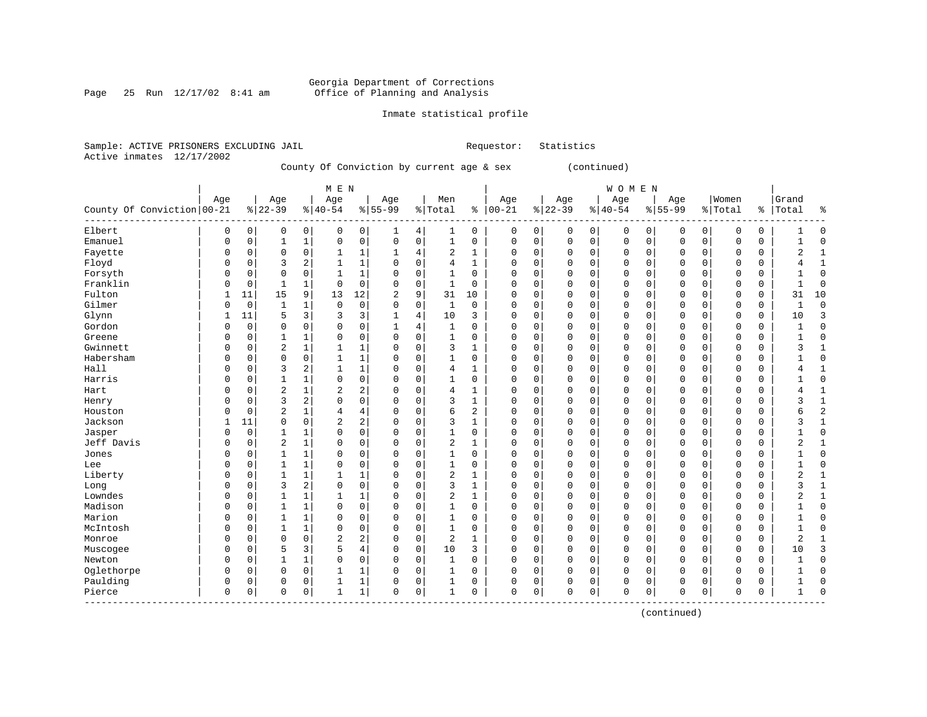Page 25 Run  $12/17/02$  8:41 am

## Inmate statistical profile

|                           | Sample: ACTIVE PRISONERS EXCLUDING JAIL |                                            | Requestor: Statistics |  |
|---------------------------|-----------------------------------------|--------------------------------------------|-----------------------|--|
| Active inmates 12/17/2002 |                                         |                                            |                       |  |
|                           |                                         | County Of Conviction by gurront 200 & dove | $\sim$ $\sim$ $+$     |  |

County Of Conviction by current age & sex (continued)

|                              |              |             |                |                | M E N          |                |                |             |                |              |             |             |          |          | WOMEN        |          |          |          |          |             |                |                |
|------------------------------|--------------|-------------|----------------|----------------|----------------|----------------|----------------|-------------|----------------|--------------|-------------|-------------|----------|----------|--------------|----------|----------|----------|----------|-------------|----------------|----------------|
|                              | Age          |             | Age            |                | Age            |                | Age            |             | Men            |              | Age         |             | Age      |          | Age          |          | Age      |          | Women    |             | Grand          |                |
| County Of Conviction   00-21 |              |             | $ 22-39$       |                | $ 40-54$       |                | $8 55-99$      |             | % Total        | နွ           | $ 00-21$    |             | $ 22-39$ |          | $ 40-54$     |          | $ 55-99$ |          | % Total  | ి           | Total          | $\frac{9}{2}$  |
| Elbert                       | 0            | 0           | 0              | 0              | 0              | 0              | 1              | 4           | 1              | 0            | $\mathbf 0$ | 0           | 0        | 0        | 0            | 0        | 0        | 0        | $\Omega$ | 0           |                | $\Omega$       |
| Emanuel                      | $\Omega$     | 0           | 1              | $\mathbf 1$    | $\Omega$       | $\mathbf 0$    | $\mathbf 0$    | 0           | $\mathbf{1}$   | 0            | $\Omega$    | $\mathbf 0$ | $\Omega$ | 0        | $\Omega$     | 0        | $\Omega$ | 0        | $\Omega$ | $\mathbf 0$ | 1              | $\cap$         |
| Fayette                      | 0            | $\mathbf 0$ | $\mathbf 0$    | 0              |                | $\mathbf{1}$   | $\mathbf{1}$   | 4           | 2              | $\mathbf 1$  | $\Omega$    | $\mathbf 0$ | $\Omega$ | $\Omega$ | $\mathbf{0}$ | 0        | $\Omega$ | 0        | $\Omega$ | $\Omega$    | $\overline{2}$ | $\mathbf{1}$   |
| Floyd                        | $\Omega$     | $\Omega$    | 3              | 2              | $\mathbf{1}$   | $\mathbf{1}$   | $\Omega$       | $\Omega$    | $\overline{4}$ | 1            | U           | $\Omega$    | $\Omega$ | $\Omega$ | $\Omega$     | $\Omega$ | $\Omega$ | $\Omega$ | $\Omega$ | $\Omega$    | 4              | $\mathbf{1}$   |
| Forsyth                      | $\Omega$     | 0           | 0              | $\mathbf 0$    | 1              | 1              | $\Omega$       | 0           | $\mathbf{1}$   | 0            | O           | $\Omega$    | $\Omega$ | $\Omega$ | $\mathbf 0$  | $\Omega$ | $\Omega$ | $\Omega$ | $\Omega$ | $\Omega$    |                | $\Omega$       |
| Franklin                     | $\Omega$     | 0           | 1              | 1              | 0              | $\mathbf 0$    | $\Omega$       | $\mathbf 0$ | 1              | 0            |             | $\mathbf 0$ | $\Omega$ | $\Omega$ | $\Omega$     | $\Omega$ | 0        | $\Omega$ | $\Omega$ | 0           | 1              | $\Omega$       |
| Fulton                       |              | 11          | 15             | 9              | 13             | 12             | $\overline{2}$ | 9           | 31             | 10           |             | 0           | $\Omega$ | $\Omega$ | $\Omega$     | $\Omega$ | $\Omega$ | 0        | $\Omega$ | 0           | 31             | 10             |
| Gilmer                       | $\Omega$     | 0           | $\mathbf{1}$   | $\mathbf 1$    | 0              | $\mathbf 0$    | $\Omega$       | 0           | $\mathbf 1$    | $\mathbf 0$  | $\Omega$    | $\mathbf 0$ | $\Omega$ | $\Omega$ | $\Omega$     | $\Omega$ | $\Omega$ | 0        | $\Omega$ | $\mathbf 0$ | $\mathbf{1}$   | $\Omega$       |
| Glynn                        | $\mathbf{1}$ | 11          | 5              | 3              | 3              | 3              | 1              | 4           | 10             | 3            | $\Omega$    | $\mathbf 0$ | $\Omega$ | $\Omega$ | $\Omega$     | $\Omega$ | $\Omega$ | 0        | $\Omega$ | $\mathbf 0$ | 10             | 3              |
| Gordon                       | $\Omega$     | 0           | $\Omega$       | 0              | 0              | $\mathbf 0$    | 1              | 4           | 1              | 0            | $\Omega$    | $\mathbf 0$ | $\Omega$ | $\Omega$ | $\mathbf 0$  | $\Omega$ | $\Omega$ | 0        | $\Omega$ | 0           |                | $\Omega$       |
| Greene                       | $\Omega$     | $\Omega$    | 1              | $\mathbf 1$    | 0              | $\mathbf 0$    | $\mathbf 0$    | 0           | $\mathbf{1}$   | 0            | $\Omega$    | $\mathbf 0$ | $\Omega$ | U        | $\Omega$     | $\Omega$ | $\Omega$ | 0        | $\Omega$ | $\mathbf 0$ | 1              | $\Omega$       |
| Gwinnett                     | $\Omega$     | $\Omega$    | $\overline{2}$ | $\mathbf 1$    |                | $\mathbf{1}$   | $\Omega$       | $\Omega$    | 3              | $\mathbf{1}$ | $\cap$      | $\Omega$    | $\Omega$ | $\Omega$ | $\Omega$     | $\Omega$ | $\Omega$ | $\Omega$ | $\Omega$ | $\Omega$    | 3              | $\mathbf{1}$   |
| Habersham                    | $\Omega$     | $\Omega$    | $\Omega$       | $\mathbf 0$    | $\mathbf{1}$   | $\mathbf{1}$   | $\Omega$       | $\Omega$    | 1              | 0            | $\Omega$    | $\Omega$    | $\Omega$ | $\Omega$ | $\Omega$     | $\Omega$ | $\Omega$ | $\Omega$ | $\Omega$ | $\Omega$    | 1              | $\Omega$       |
| Hall                         | $\Omega$     | $\Omega$    | 3              | $\overline{c}$ | 1              | $\mathbf{1}$   | $\Omega$       | 0           | 4              | 1            | $\Omega$    | $\mathbf 0$ | $\Omega$ | $\Omega$ | $\Omega$     | $\Omega$ | 0        | $\Omega$ | $\Omega$ | 0           | 4              |                |
| Harris                       | $\sqrt{ }$   | 0           | 1              | 1              | $\Omega$       | $\mathsf 0$    | $\Omega$       | 0           | 1              | $\mathbf 0$  |             | 0           | 0        | 0        | $\Omega$     | $\Omega$ | $\Omega$ | 0        | $\Omega$ | 0           |                | $\Omega$       |
| Hart                         | C            | $\Omega$    | $\overline{2}$ | 1              | 2              | 2              | $\Omega$       | 0           | 4              | $\mathbf 1$  |             | 0           | $\Omega$ | 0        | $\Omega$     | $\Omega$ | $\Omega$ | 0        | $\Omega$ | $\mathbf 0$ | 4              | $\overline{1}$ |
| Henry                        | $\Omega$     | $\Omega$    | 3              | $\sqrt{2}$     | $\Omega$       | $\mathbf 0$    | $\Omega$       | 0           | 3              | $\mathbf{1}$ |             | $\mathbf 0$ | $\Omega$ | $\Omega$ | $\Omega$     | $\Omega$ | $\Omega$ | 0        | $\Omega$ | $\Omega$    | 3              | $\mathbf{1}$   |
| Houston                      | $\Omega$     | $\mathbf 0$ | $\overline{2}$ | $\mathbf 1$    | 4              | $\overline{4}$ | $\mathbf 0$    | $\mathbf 0$ | 6              | 2            | $\cap$      | $\mathbf 0$ | $\Omega$ | $\Omega$ | $\mathbf{0}$ | $\Omega$ | $\Omega$ | 0        | $\Omega$ | $\Omega$    | 6              | 2              |
| Jackson                      |              | 11          | $\Omega$       | 0              | $\overline{2}$ | $\mathbf{2}$   | $\Omega$       | $\mathbf 0$ | 3              | 1            |             | $\mathbf 0$ | 0        | O        | $\Omega$     | $\Omega$ | $\Omega$ | 0        | $\Omega$ | 0           | 3              |                |
| Jasper                       | $\Omega$     | $\mathbf 0$ | $\mathbf{1}$   | $\mathbf 1$    | $\Omega$       | $\mathbf 0$    | $\mathbf 0$    | $\mathbf 0$ | $\mathbf{1}$   | $\mathbf 0$  | $\cap$      | $\mathbf 0$ | $\Omega$ | $\Omega$ | $\Omega$     | $\Omega$ | $\Omega$ | 0        | $\Omega$ | $\Omega$    | 1              | $\cap$         |
| Jeff Davis                   | $\Omega$     | $\Omega$    | $\overline{2}$ | $1\,$          | $\Omega$       | $\mathbf 0$    | $\Omega$       | $\Omega$    | 2              | 1            | $\Omega$    | $\Omega$    | $\Omega$ | $\Omega$ | $\Omega$     | $\Omega$ | $\Omega$ | $\Omega$ | $\Omega$ | $\Omega$    | $\overline{2}$ | $\mathbf{1}$   |
| Jones                        | $\Omega$     | $\Omega$    | 1              | $\mathbf 1$    | $\Omega$       | $\mathbf 0$    | $\mathbf 0$    | 0           | $\mathbf 1$    | 0            | $\Omega$    | $\Omega$    | $\Omega$ | $\Omega$ | $\mathbf{0}$ | $\Omega$ | $\Omega$ | $\Omega$ | $\Omega$ | $\Omega$    | 1              | $\Omega$       |
| Lee                          | $\Omega$     | 0           | 1              | $\mathbf 1$    | 0              | $\mathbf 0$    | $\mathbf 0$    | $\mathbf 0$ | $\mathbf{1}$   | 0            | $\Omega$    | $\mathbf 0$ | $\Omega$ | $\Omega$ | $\mathbf{0}$ | $\Omega$ | 0        | 0        | $\Omega$ | 0           | 1              | $\Omega$       |
| Liberty                      | C            | $\Omega$    | $\mathbf{1}$   | $\mathbf 1$    | 1              | $\mathbf{1}$   | $\Omega$       | $\mathbf 0$ | 2              | $\mathbf 1$  |             | $\mathbf 0$ | $\Omega$ | $\Omega$ | $\mathbf 0$  | $\Omega$ | $\Omega$ | 0        | $\Omega$ | $\mathbf 0$ | 2              | $\mathbf{1}$   |
| Long                         | C            | O           | 3              | $\overline{2}$ | $\Omega$       | $\mathbf 0$    | $\Omega$       | $\mathbf 0$ | 3              | $\mathbf{1}$ | $\cap$      | $\mathbf 0$ | $\Omega$ | $\Omega$ | $\Omega$     | $\Omega$ | $\Omega$ | 0        | $\Omega$ | $\Omega$    | 3              | $\overline{1}$ |
| Lowndes                      | $\Omega$     | $\Omega$    | $\mathbf 1$    | $\mathbf 1$    | $\mathbf{1}$   | $\mathbf{1}$   | $\mathbf 0$    | $\mathbf 0$ | $\overline{2}$ | 1            | $\cap$      | $\mathbf 0$ | $\Omega$ | $\Omega$ | $\Omega$     | $\Omega$ | $\Omega$ | 0        | $\Omega$ | $\Omega$    | $\overline{a}$ | $\overline{1}$ |
| Madison                      | $\Omega$     | $\Omega$    | $\mathbf{1}$   | $\mathbf 1$    | 0              | $\mathbf 0$    | $\mathbf 0$    | $\mathbf 0$ | $\mathbf{1}$   | $\mathbf 0$  | $\Omega$    | $\mathbf 0$ | $\Omega$ | $\Omega$ | $\Omega$     | $\Omega$ | $\Omega$ | 0        | $\Omega$ | 0           |                | $\Omega$       |
| Marion                       | 0            | $\Omega$    |                | $\mathbf 1$    | 0              | $\mathbf 0$    | 0              | 0           | 1              | 0            | O           | 0           | 0        | 0        | $\Omega$     | O        | 0        | 0        | 0        | 0           |                | $\Omega$       |
| McIntosh                     | $\Omega$     | $\Omega$    | 1              | $1\,$          | 0              | $\mathbf 0$    | $\mathbf 0$    | 0           | $\mathbf{1}$   | 0            | $\cap$      | $\mathbf 0$ | $\Omega$ | $\Omega$ | $\Omega$     | $\Omega$ | $\Omega$ | 0        | $\Omega$ | 0           | 1              |                |
| Monroe                       | $\Omega$     | $\Omega$    | $\Omega$       | $\mathbf 0$    | $\overline{2}$ | 2              | $\Omega$       | $\mathbf 0$ | 2              | 1            | U           | $\Omega$    | $\Omega$ | $\Omega$ | $\Omega$     | $\Omega$ | $\Omega$ | $\Omega$ | $\Omega$ | $\Omega$    | $\overline{2}$ |                |
| Muscogee                     | $\Omega$     | $\Omega$    | 5              | 3              | 5              | $\overline{4}$ | $\mathbf 0$    | $\mathbf 0$ | 10             | 3            | $\Omega$    | $\mathbf 0$ | $\Omega$ | $\Omega$ | $\mathbf{0}$ | $\Omega$ | $\Omega$ | 0        | $\Omega$ | $\mathbf 0$ | 10             |                |
| Newton                       | $\Omega$     | $\Omega$    | 1              | $\mathbf 1$    | 0              | $\mathbf 0$    | $\mathbf 0$    | $\mathbf 0$ | 1              | 0            | $\Omega$    | $\mathbf 0$ | $\Omega$ | $\Omega$ | $\Omega$     | $\Omega$ | 0        | 0        | $\Omega$ | $\mathbf 0$ | $\mathbf{1}$   | $\Omega$       |
| Oglethorpe                   | 0            | $\Omega$    | $\Omega$       | $\mathbf 0$    | 1              | $\mathbf{1}$   | $\mathbf 0$    | $\mathbf 0$ | 1              | $\mathbf 0$  |             | $\mathbf 0$ | 0        | 0        | $\mathbf 0$  | $\Omega$ | 0        | 0        | $\Omega$ | 0           | $\mathbf{1}$   | O              |
| Paulding                     | 0            | 0           | $\Omega$       | $\mathbf 0$    |                | $\mathbf{1}$   | $\mathbf 0$    | 0           | $\mathbf{1}$   | $\mathbf 0$  | $\Omega$    | $\mathbf 0$ | 0        | 0        | $\mathbf 0$  | 0        | 0        | 0        | $\Omega$ | 0           | $\mathbf{1}$   | $\cap$         |
| Pierce                       | $\mathbf 0$  | 0           | $\mathbf 0$    | $\mathbf 0$    | 1              | $\mathbf{1}$   | $\mathbf 0$    | 0           | $\mathbf{1}$   | 0            | $\Omega$    | $\mathbf 0$ | 0        | 0        | $\Omega$     | 0        | $\Omega$ | 0        | $\Omega$ | 0           | $\mathbf{1}$   | $\cap$         |

(continued)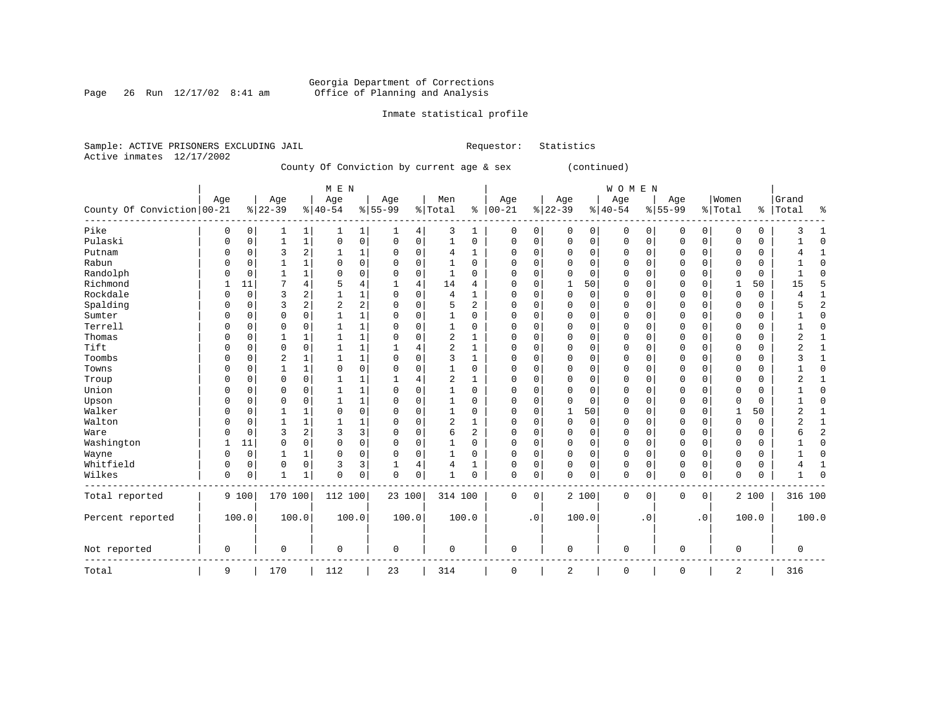Page 26 Run  $12/17/02$  8:41 am

## Inmate statistical profile

|  | Sample: ACTIVE PRISONERS EXCLUDING JAIL |  |                                           |  |  | Requestor: Statistics |  |
|--|-----------------------------------------|--|-------------------------------------------|--|--|-----------------------|--|
|  | Active inmates 12/17/2002               |  |                                           |  |  |                       |  |
|  |                                         |  | County Of Conviction by current age & sex |  |  | (continued)           |  |

|                            |             |             |                |              | M E N      |                |             |             |                |          |             |             |             |             | WOMEN       |             |             |             |              |             |                |                |
|----------------------------|-------------|-------------|----------------|--------------|------------|----------------|-------------|-------------|----------------|----------|-------------|-------------|-------------|-------------|-------------|-------------|-------------|-------------|--------------|-------------|----------------|----------------|
|                            | Age         |             | Age            |              | Age        |                | Age         |             | Men            |          | Age         |             | Age         |             | Age         |             | Age         |             | Women        |             | Grand          |                |
| County Of Conviction 00-21 |             |             | $8 22-39$      |              | $ 40-54$   |                | $8 55-99$   |             | % Total        |          | $% 100-21$  |             | $ 22-39$    |             | $ 40-54$    |             | $8 55-99$   |             | % Total      | ွေ          | Total          | ್ಠಿ            |
| Pike                       | $\Omega$    | 0           | 1              | 1            |            | 1              | 1           | 4           | 3              | 1        | 0           | 0           | 0           | 0           | $\mathbf 0$ | 0           | 0           | $\mathbf 0$ | 0            | 0           | 3              | -1             |
| Pulaski                    | $\Omega$    | $\mathbf 0$ | 1              | $\mathbf 1$  | 0          | $\mathbf 0$    | 0           | $\mathbf 0$ | 1              | 0        | 0           | $\mathbf 0$ | $\mathbf 0$ | $\mathbf 0$ | $\mathbf 0$ | 0           | $\mathbf 0$ | 0           | 0            | $\mathbf 0$ |                | $\Omega$       |
| Putnam                     | $\Omega$    | 0           | 3              | 2            |            | 1              | 0           | $\mathbf 0$ | $\overline{4}$ | 1        | 0           | 0           | $\Omega$    | 0           | 0           | 0           | $\mathbf 0$ | 0           | $\Omega$     | 0           | 4              | $\mathbf{1}$   |
| Rabun                      | $\Omega$    | $\Omega$    | $\mathbf{1}$   | 1            | $\Omega$   | $\mathbf 0$    | 0           | $\mathbf 0$ | 1              | $\Omega$ | $\Omega$    | 0           | $\Omega$    | 0           | 0           | 0           | $\mathbf 0$ | 0           | $\Omega$     | 0           |                | $\Omega$       |
| Randolph                   | $\Omega$    | $\Omega$    | -1             | 1            | $\Omega$   | $\mathbf 0$    | 0           | $\mathbf 0$ | 1              | $\Omega$ | $\Omega$    | 0           | $\Omega$    | 0           | 0           | 0           | $\mathbf 0$ | 0           | $\Omega$     | 0           |                | $\Omega$       |
| Richmond                   |             | 11          | 7              | 4            | 5          | $\overline{4}$ | 1           | 4           | 14             | 4        | $\Omega$    | $\mathbf 0$ | 1           | 50          | 0           | 0           | $\mathbf 0$ | $\mathbf 0$ | $\mathbf{1}$ | 50          | 15             | 5              |
| Rockdale                   | ∩           | $\mathbf 0$ | 3              | 2            |            | $\mathbf{1}$   | 0           | $\Omega$    | $\overline{4}$ | 1        | 0           | $\mathbf 0$ | $\mathbf 0$ | $\mathbf 0$ | $\mathbf 0$ | 0           | $\mathbf 0$ | $\mathbf 0$ | $\mathbf 0$  | $\mathbf 0$ | 4              | $\mathbf{1}$   |
| Spalding                   | $\Omega$    | $\Omega$    | 3              | 2            | $\sqrt{2}$ | $\sqrt{2}$     | 0           | $\Omega$    | 5              | 2        | $\Omega$    | 0           | $\Omega$    | 0           | 0           | 0           | $\mathbf 0$ | 0           | $\Omega$     | 0           | 5              | $\overline{2}$ |
| Sumter                     | $\Omega$    | $\Omega$    | $\Omega$       | 0            |            | $\mathbf 1$    | 0           | 0           | 1              | $\Omega$ | $\Omega$    | 0           | 0           | 0           | 0           | 0           | 0           | 0           | $\Omega$     | 0           |                | $\Omega$       |
| Terrell                    | $\Omega$    | $\Omega$    | $\Omega$       | 0            |            | 1              | 0           | 0           | 1              | 0        | $\Omega$    | 0           | 0           | 0           | 0           | $\Omega$    | 0           | 0           | $\Omega$     | 0           |                | $\Omega$       |
| Thomas                     | $\Omega$    | $\Omega$    | 1              | 1            |            | 1              | 0           | 0           | 2              |          | $\Omega$    | 0           | 0           | 0           | 0           | $\Omega$    | 0           | 0           | $\Omega$     | 0           | 2              | $\mathbf{1}$   |
| Tift                       | $\Omega$    | $\Omega$    | $\Omega$       | 0            |            | 1              |             | 4           | 2              |          | $\Omega$    | 0           | 0           | 0           | 0           | $\Omega$    | $\mathbf 0$ | 0           | $\Omega$     | 0           | 2              | 1              |
| Toombs                     | $\Omega$    | $\Omega$    | $\overline{2}$ | 1            |            | 1              | 0           | $\mathbf 0$ | 3              | 1        | $\Omega$    | $\mathbf 0$ | $\Omega$    | $\mathbf 0$ | $\mathbf 0$ | $\Omega$    | $\mathbf 0$ | $\mathbf 0$ | $\Omega$     | $\mathbf 0$ | 3              | $\mathbf{1}$   |
| Towns                      | $\Omega$    | $\Omega$    | $\mathbf{1}$   | $\mathbf{1}$ | $\Omega$   | $\mathbf 0$    | 0           | 0           | $\mathbf{1}$   | 0        | 0           | $\mathbf 0$ | 0           | $\mathbf 0$ | $\mathbf 0$ | 0           | $\mathbf 0$ | $\mathbf 0$ | $\Omega$     | $\mathbf 0$ |                | $\mathbf 0$    |
| Troup                      | $\Omega$    | $\Omega$    | $\Omega$       | 0            |            | 1              |             | 4           | $\overline{2}$ |          | $\Omega$    | $\mathbf 0$ | $\Omega$    | $\mathbf 0$ | $\mathbf 0$ | 0           | $\mathbf 0$ | $\mathbf 0$ | $\Omega$     | $\mathbf 0$ | $\overline{2}$ | $\mathbf{1}$   |
| Union                      | $\Omega$    | $\Omega$    | $\Omega$       | 0            |            | 1              | 0           | 0           |                | 0        | $\Omega$    | 0           | $\Omega$    | 0           | 0           | 0           | 0           | 0           | 0            | 0           |                | 0              |
| Upson                      | $\Omega$    | $\Omega$    | $\Omega$       | 0            |            | 1              | 0           | 0           |                | 0        | $\Omega$    | 0           | $\Omega$    | 0           | 0           | 0           | 0           | 0           | $\Omega$     | 0           |                | 0              |
| Walker                     | $\Omega$    | $\Omega$    |                | 1            | $\Omega$   | $\mathbf 0$    | 0           | 0           |                | 0        | $\Omega$    | 0           | 1           | 50          | 0           | 0           | $\mathbf 0$ | 0           | $\mathbf{1}$ | 50          | 2              | 1              |
| Walton                     | $\Omega$    | $\Omega$    |                | 1            |            | 1              | 0           | 0           | $\overline{c}$ |          | $\Omega$    | $\mathbf 0$ | $\mathbf 0$ | $\mathbf 0$ | 0           | 0           | $\mathbf 0$ | $\mathbf 0$ | $\Omega$     | $\mathbf 0$ | $\overline{2}$ | $\mathbf{1}$   |
| Ware                       | $\Omega$    | $\Omega$    | 3              | 2            | 3          | 3              | 0           | 0           | 6              | 2        | $\Omega$    | $\mathbf 0$ | 0           | $\mathbf 0$ | 0           | 0           | $\mathbf 0$ | $\mathbf 0$ | 0            | $\mathbf 0$ | 6              | $\overline{2}$ |
| Washington                 |             | 11          | 0              | 0            | $\Omega$   | $\mathbf 0$    | 0           | $\Omega$    |                | 0        | $\Omega$    | $\mathbf 0$ | $\Omega$    | $\mathbf 0$ | 0           | 0           | $\mathbf 0$ | 0           | $\Omega$     | 0           |                | $\Omega$       |
| Wayne                      | $\Omega$    | 0           | 1              | 1            | $\Omega$   | 0              | 0           | 0           | 1              | 0        | $\Omega$    | 0           | 0           | 0           | 0           | 0           | 0           | 0           | 0            | 0           |                | $\Omega$       |
| Whitfield                  | $\Omega$    | 0           | 0              | 0            | 3          | 3              | 1           | 4           | 4              | 1        | 0           | 0           | $\Omega$    | 0           | 0           | 0           | 0           | 0           | 0            | 0           | 4              | $\mathbf{1}$   |
| Wilkes                     | $\Omega$    | 0           | $\mathbf{1}$   | 1            | $\Omega$   | $\mathbf 0$    | 0           | 0           | 1              | 0        | 0           | 0           | 0           | 0           | 0           | 0           | $\mathbf 0$ | 0           | 0            | 0           | 1              | $\Omega$       |
| Total reported             |             | 9 100       | 170 100        |              | 112 100    |                | 23 100      |             | 314 100        |          | $\mathbf 0$ | $\mathbf 0$ |             | 2 100       | $\mathbf 0$ | $\mathbf 0$ | $\mathbf 0$ | $\mathbf 0$ |              | 2 100       | 316 100        |                |
| Percent reported           |             | 100.0       | 100.0          |              | 100.0      |                | 100.0       |             |                | 100.0    |             | $\cdot$ 0   |             | 100.0       |             | . 0         |             | $\cdot$ 0   |              | 100.0       |                | 100.0          |
|                            |             |             |                |              |            |                |             |             |                |          |             |             |             |             |             |             |             |             |              |             |                |                |
| Not reported               | $\mathbf 0$ |             | $\mathbf 0$    |              | 0          |                | $\mathbf 0$ |             | $\mathbf 0$    |          | $\mathbf 0$ |             | $\mathbf 0$ |             | $\mathbf 0$ |             | $\mathbf 0$ |             | $\mathbf 0$  |             | 0              |                |
| Total                      | 9           |             | 170            |              | 112        |                | 23          |             | 314            |          | $\mathbf 0$ |             | 2           |             | $\mathbf 0$ |             | $\mathbf 0$ |             | 2            |             | 316            |                |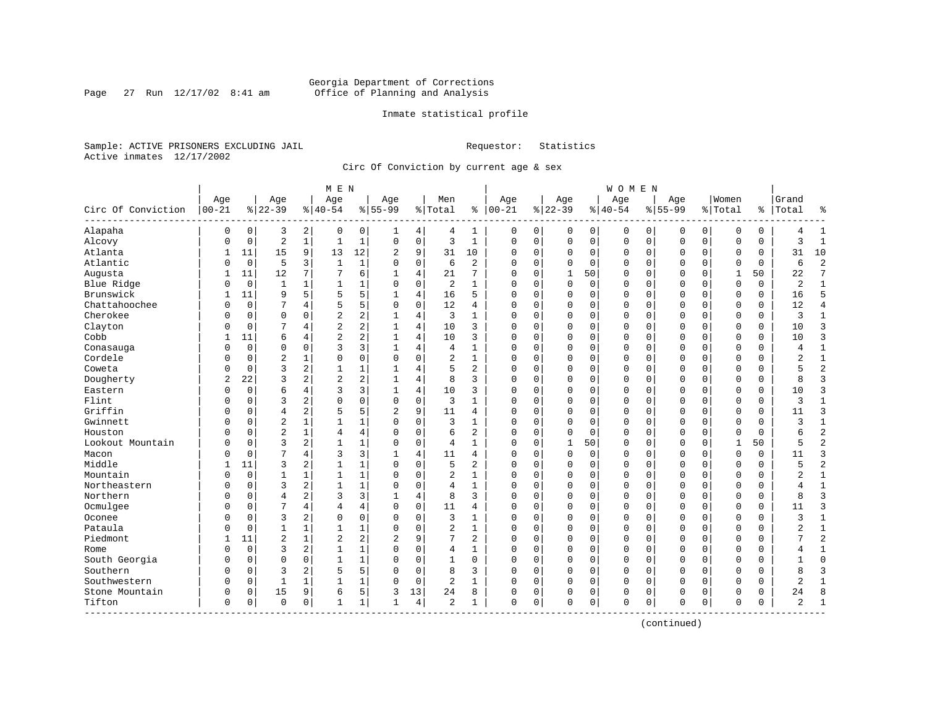Page 27 Run  $12/17/02$  8:41 am

## Inmate statistical profile

Sample: ACTIVE PRISONERS EXCLUDING JAIL **Requestor:** Statistics Active inmates 12/17/2002

Circ Of Conviction by current age & sex

| Age<br>Women<br>Age<br>Age<br>Age<br>Men<br>Age<br>Age<br>Age<br>Grand<br>Age<br>$ 00 - 21$<br>$8   00 - 21$<br>$ 22-39$<br>Circ Of Conviction<br>$8 22-39$<br>$8 40-54$<br>$8 55-99$<br>% Total<br>$8 40-54$<br>$8155 - 99$<br>% Total<br>ి<br>Total<br>ို့<br>Alapaha<br>$\overline{a}$<br>$\mathbf 0$<br>0<br>0<br>3<br>$\overline{0}$<br>1<br>0<br>0<br>0<br>0<br>$\mathbf{1}$<br>0<br>4<br>4<br>0<br>0<br>0<br>0<br>0<br>4<br>ı<br>$\overline{a}$<br>Alcovy<br>$\mathbf{1}$<br>$\mathbf{1}$<br>0<br>3<br>$\mathbf{1}$<br>3<br>$\mathbf{1}$<br>$\mathbf{1}$<br>$\mathbf 0$<br>$\mathbf{0}$<br>0<br>$\Omega$<br>$\mathbf 0$<br>0<br>$\Omega$<br>$\mathbf 0$<br>O<br>$\mathbf 0$<br>0<br>0<br>0<br>Atlanta<br>15<br>9<br>13<br>12<br>9<br>10<br>2<br>31<br>10<br>$\Omega$<br>0<br>0<br>0<br>0<br>0<br>$\Omega$<br>31<br>11<br>$\Omega$<br>$\Omega$<br>0<br>1<br>$\overline{2}$<br>Atlantic<br>$\overline{0}$<br>5<br>$\mathbf{1}$<br>$\mathbf 0$<br>$\overline{a}$<br>6<br>3<br>1<br>6<br>0<br>0<br>$\Omega$<br>0<br>$\Omega$<br>0<br>O<br>$\Omega$<br>$\Omega$<br>$\Omega$<br>0<br>$\mathbf 0$<br>7<br>12<br>7<br>6<br>7<br>Augusta<br>11<br>7<br>$\overline{4}$<br>21<br>0<br>$\mathbf{1}$<br>50<br>$\Omega$<br>$\mathbf{1}$<br>50<br>22<br>$\mathbf{1}$<br>$\Omega$<br>0<br>$\Omega$<br>$\Omega$<br>1<br>Blue Ridge<br>$\overline{0}$<br>1<br>$\Omega$<br>2<br>0<br>$\Omega$<br>$\Omega$<br>$\Omega$<br>$\Omega$<br>$\overline{2}$<br>1<br>$\mathbf{1}$<br>$\Omega$<br>$\mathbf{1}$<br>$\Omega$<br>0<br>0<br>$\Omega$<br>$\Omega$<br>$\mathbf{1}$<br>0<br>Brunswick<br>5<br>5<br>5<br>16<br>5<br>9<br>4<br>5<br>0<br>$\mathbf 0$<br>$\mathbf 0$<br>$\Omega$<br>0<br>16<br>11<br>$\Omega$<br>$\Omega$<br>0<br>$\Omega$<br>$\Omega$<br>1<br>Chattahoochee<br>5<br>5<br>$\Omega$<br>12<br>0<br>12<br>$\overline{4}$<br>0<br>7<br>4<br>$\Omega$<br>4<br>$\Omega$<br>0<br>0<br>$\mathbf 0$<br>$\Omega$<br>$\Omega$<br>$\Omega$<br>0<br>N<br>$\Omega$<br>Cherokee<br>$\mathbf 0$<br>$\overline{a}$<br>2<br>3<br>$\mathbf{1}$<br>0<br>0<br>4<br>1<br>$\Omega$<br>0<br>$\Omega$<br>0<br>0<br>$\mathbf 0$<br>$\Omega$<br>0<br>$\Omega$<br>0<br>3<br>$\mathbf{1}$<br>N<br>2<br>Clayton<br>$\overline{c}$<br>10<br>3<br>$\overline{4}$<br>10<br>3<br>$\Omega$<br>0<br>$\Omega$<br>$\Omega$<br>$\Omega$<br>$\Omega$<br>4<br>$\Omega$<br>0<br>$\mathbf 0$<br>$\Omega$<br>0<br>N<br>$\overline{a}$<br>Cobb<br>$\overline{a}$<br>3<br>11<br>6<br>$\mathbf{1}$<br>$\overline{4}$<br>10<br>3<br>$\Omega$<br>0<br>$\Omega$<br>$\Omega$<br>$\Omega$<br>$\Omega$<br>$\Omega$<br>10<br>4<br>$\Omega$<br>$\Omega$<br>0<br>3<br>$\Omega$<br>$\mathbf 0$<br>$\Omega$<br>3<br>$\overline{4}$<br>0<br>$\mathbf 0$<br>$\Omega$<br>$\mathbf{1}$<br>Conasauga<br>$\mathbf{1}$<br>$\mathbf{1}$<br>$\Omega$<br>$\Omega$<br>0<br>$\Omega$<br>$\Omega$<br>$\Omega$<br>0<br>N<br>4<br>4<br>$\overline{a}$<br>0<br>$\mathbf 0$<br>$\overline{\mathbf{c}}$<br>Cordele<br>$\Omega$<br>$\Omega$<br>$\mathbf{1}$<br>0<br>$\mathbf 0$<br>$\mathbf 0$<br>$\Omega$<br>2<br>$\mathbf{1}$<br>0<br>$\Omega$<br>0<br>$\Omega$<br>$\Omega$<br>0<br>$\Omega$<br>U<br>$\overline{c}$<br>3<br>2<br>$\mathbf 1$<br>5<br>2<br>5<br>Coweta<br>0<br>1<br>4<br>$\Omega$<br>0<br>$\Omega$<br>0<br>0<br>$\mathbf 0$<br>$\Omega$<br>$\Omega$<br>$\Omega$<br>0<br>N<br>Dougherty<br>3<br>$\overline{2}$<br>2<br>8<br>3<br>2<br>22<br>2<br>4<br>3<br>$\Omega$<br>0<br>0<br>0<br>0<br>8<br>$\Omega$<br>0<br>$\Omega$<br>$\Omega$<br>0<br>3<br>3<br>6<br>3<br>$\overline{4}$<br>10<br>3<br>0<br>$\Omega$<br>10<br>Eastern<br>$\Omega$<br>4<br>$\Omega$<br>$\Omega$<br>0<br>$\Omega$<br>$\Omega$<br>$\Omega$<br>$\Omega$<br>0<br>0<br>Flint<br>ζ<br>2<br>$\Omega$<br>0<br>$\Omega$<br>$\Omega$<br>3<br>0<br>$\Omega$<br>$\Omega$<br>3<br>$\mathbf{1}$<br>$\Omega$<br>$\mathbf{1}$<br>$\Omega$<br>$\Omega$<br>O<br>$\Omega$<br>$\Omega$<br>$\cap$<br>0<br>N<br>Griffin<br>5<br>9<br>$\overline{4}$<br>2<br>5<br>$\overline{2}$<br>11<br>0<br>$\Omega$<br>3<br>$\Omega$<br>$\Omega$<br>$\Omega$<br>$\Omega$<br>0<br>$\Omega$<br>$\Omega$<br>$\Omega$<br>0<br>11<br>4<br>0<br>$\overline{2}$<br>Gwinnett<br>1<br>$\mathbf 0$<br>3<br>0<br>$\mathbf 0$<br>$\mathbf 0$<br>3<br>$\mathbf{1}$<br>0<br>$\mathbf{1}$<br>1<br>$\Omega$<br>0<br>$\mathbf 0$<br>$\Omega$<br>$\Omega$<br>0<br>N<br>U<br>$\Omega$<br>$\overline{c}$<br>$\overline{2}$<br>Houston<br>6<br>2<br>1<br>4<br>4<br>0<br>$\Omega$<br>0<br>0<br>0<br>0<br>$\Omega$<br>$\Omega$<br>O<br>0<br>6<br>0<br>n<br>$\Omega$<br>U<br>3<br>$\overline{2}$<br>Lookout Mountain<br>2<br>1<br>0<br>$\Omega$<br>0<br>50<br>0<br>$\mathbf 0$<br>0<br>0<br>50<br>5<br>0<br>1<br>$\Omega$<br>4<br>1<br>1<br>$\mathbf{1}$<br>7<br>3<br>3<br>$\overline{4}$<br>3<br>$\overline{4}$<br>Macon<br>$\Omega$<br>11<br>4<br>$\Omega$<br>0<br>$\Omega$<br>0<br>0<br>$\mathbf 0$<br>$\Omega$<br>$\Omega$<br>$\Omega$<br>$\Omega$<br>11<br>N<br>Middle<br>$\mathbf{1}$<br>$\overline{c}$<br>11<br>3<br>2<br>$\overline{1}$<br>$\Omega$<br>5<br>2<br>0<br>$\Omega$<br>$\Omega$<br>$\Omega$<br>$\Omega$<br>0<br>$\Omega$<br>$\Omega$<br>$\Omega$<br>$\bigcap$<br>0<br>1<br>Mountain<br>$\mathbf 1$<br>$\Omega$<br>2<br>0<br>$\mathbf 0$<br>2<br>$\mathbf{1}$<br>0<br>1<br>$\mathbf{1}$<br>$\Omega$<br>$\Omega$<br>0<br>$\mathbf 0$<br>$\Omega$<br>$\Omega$<br>$\Omega$<br>0<br>N<br>1<br>O<br>$\mathbf{1}$<br>2<br>Northeastern<br>3<br>$\mathbf{1}$<br>$\mathbf 1$<br>$\mathbf 0$<br>$\mathbf{1}$<br>0<br>$\mathbf 0$<br>$\mathbf 0$<br>$\mathbf{1}$<br>0<br>4<br>0<br>$\Omega$<br>$\Omega$<br>0<br>0<br>$\Omega$<br>0<br>4<br>N<br>3<br>Northern<br>3<br>3<br>3<br>$\overline{4}$<br>2<br>4<br>8<br>$\Omega$<br>0<br>0<br>0<br>$\Omega$<br>0<br>O<br>0<br>8<br>0<br>$\Omega$<br>$\mathbf 0$<br>N<br>Ocmulgee<br>3<br>7<br>4<br>4<br>0<br>11<br>$\mathbf 0$<br>0<br>0<br>$\Omega$<br>4<br>$\mathbf 0$<br>4<br>$\Omega$<br>0<br>0<br>$\mathbf 0$<br>$\Omega$<br>$\Omega$<br>0<br>11<br>N<br>Oconee<br>3<br>2<br>0<br>$\Omega$<br>3<br>3<br>$\Omega$<br>$\Omega$<br>0<br>$\Omega$<br>0<br>$\Omega$<br>$\Omega$<br>$\Omega$<br>$\mathbf 0$<br>1<br>$\Omega$<br>O<br>$\mathbf{1}$<br>$\Omega$<br>0<br>N<br>Pataula<br>$\mathbf 1$<br>$\Omega$<br>2<br>$\Omega$<br>2<br>$\mathbf{1}$<br>$\Omega$<br>1<br>1<br>$\mathbf{1}$<br>$\Omega$<br>1<br>$\Omega$<br>0<br>$\Omega$<br>0<br>$\Omega$<br>$\Omega$<br>$\Omega$<br>$\cap$<br>0<br>U<br>2<br>7<br>$\overline{c}$<br>Piedmont<br>2<br>$\overline{2}$<br>9<br>2<br>0<br>7<br>11<br>$\mathbf{1}$<br>2<br>$\Omega$<br>$\Omega$<br>0<br>0<br>$\Omega$<br>$\Omega$<br>$\Omega$<br>0<br>0<br>$\overline{c}$<br>$\mathbf 0$<br>3<br>$\mathbf 1$<br>$\mathbf 0$<br>0<br>$\mathbf 0$<br>$\mathbf{1}$<br>1<br>1<br>0<br>$\mathbf 0$<br>$\Omega$<br>$\Omega$<br>0<br>Rome<br>O<br>$\Omega$<br>4<br>$\Omega$<br>$\Omega$<br>0<br>4<br>$\Omega$<br>$\mathbf 1$<br>$\mathbf 0$<br>South Georgia<br>0<br>$\mathbf{1}$<br>0<br>1<br>0<br>$\Omega$<br>0<br>0<br>0<br>0<br>0<br>$\Omega$<br>$\Omega$<br>$\mathbf 0$<br>$\Omega$<br>$\Omega$<br>0<br>N<br>Southern<br>2<br>5<br>3<br>5<br>$\mathbf 0$<br>8<br>3<br>$\Omega$<br>0<br>$\Omega$<br>8<br>ζ<br>0<br>$\Omega$<br>$\Omega$<br>$\Omega$<br>0<br>$\mathbf 0$<br>$\Omega$<br>$\Omega$<br>$\Omega$<br>N<br>Southwestern<br>1<br>2<br>0<br>2<br>1<br>0<br>1<br>$\Omega$<br>0<br>0<br>$\Omega$<br>$\Omega$<br>1<br>N<br>0<br>1<br>$\Omega$<br>0<br>$\Omega$<br>0<br>Stone Mountain<br>15<br>5<br>13<br>24<br>8<br>0<br>9<br>6<br>3<br>8<br>0<br>0<br>0<br>0<br>0<br>24<br>0<br>$\Omega$<br>0<br>$\Omega$<br>0<br>$\Omega$<br>Tifton<br>0<br>$\mathbf 1$<br>2<br>0<br>$\mathsf 0$<br>2<br>0<br>$\Omega$<br>$\mathbf 0$<br>0<br>$\Omega$<br>0<br>0<br>$\mathbf{1}$<br>0<br>-1<br>4<br>1<br>$\Omega$<br>$\Omega$<br>0<br>1<br>----------- |  |  | M E N |  |  |  |  | W O M E N |  |  |  |  |
|--------------------------------------------------------------------------------------------------------------------------------------------------------------------------------------------------------------------------------------------------------------------------------------------------------------------------------------------------------------------------------------------------------------------------------------------------------------------------------------------------------------------------------------------------------------------------------------------------------------------------------------------------------------------------------------------------------------------------------------------------------------------------------------------------------------------------------------------------------------------------------------------------------------------------------------------------------------------------------------------------------------------------------------------------------------------------------------------------------------------------------------------------------------------------------------------------------------------------------------------------------------------------------------------------------------------------------------------------------------------------------------------------------------------------------------------------------------------------------------------------------------------------------------------------------------------------------------------------------------------------------------------------------------------------------------------------------------------------------------------------------------------------------------------------------------------------------------------------------------------------------------------------------------------------------------------------------------------------------------------------------------------------------------------------------------------------------------------------------------------------------------------------------------------------------------------------------------------------------------------------------------------------------------------------------------------------------------------------------------------------------------------------------------------------------------------------------------------------------------------------------------------------------------------------------------------------------------------------------------------------------------------------------------------------------------------------------------------------------------------------------------------------------------------------------------------------------------------------------------------------------------------------------------------------------------------------------------------------------------------------------------------------------------------------------------------------------------------------------------------------------------------------------------------------------------------------------------------------------------------------------------------------------------------------------------------------------------------------------------------------------------------------------------------------------------------------------------------------------------------------------------------------------------------------------------------------------------------------------------------------------------------------------------------------------------------------------------------------------------------------------------------------------------------------------------------------------------------------------------------------------------------------------------------------------------------------------------------------------------------------------------------------------------------------------------------------------------------------------------------------------------------------------------------------------------------------------------------------------------------------------------------------------------------------------------------------------------------------------------------------------------------------------------------------------------------------------------------------------------------------------------------------------------------------------------------------------------------------------------------------------------------------------------------------------------------------------------------------------------------------------------------------------------------------------------------------------------------------------------------------------------------------------------------------------------------------------------------------------------------------------------------------------------------------------------------------------------------------------------------------------------------------------------------------------------------------------------------------------------------------------------------------------------------------------------------------------------------------------------------------------------------------------------------------------------------------------------------------------------------------------------------------------------------------------------------------------------------------------------------------------------------------------------------------------------------------------------------------------------------------------------------------------------------------------------------------------------------------------------------------------------------------------------------------------------------------------------------------------------------------------------------------------------------------------------------------------------------------------------------------------------------------------------------------------------------------------------------------------------------------------------------------------------------------------------------------------------------------------------------------------------------------------------------------------------------------------------------------------------------------------------------------------------------------------------------------------------------------------------------------------------------------------------------------------------------------------------------------------------------------------------------------------------------------------------------------------------------------------------------------------------------------------------------------------------------------------------------------------------------------------------------------------------------------------------------------------------------------------------------------------------------------------------------------------------------------------------------------------------------------------------------------------------------------------------------------------------------------------------------------------------------------------------------------------------------------------------------------------------------------------------------------------------------------------------------------------------------------------------------------------------------------------------------------------------------------------------------------------------------------------------------------------------|--|--|-------|--|--|--|--|-----------|--|--|--|--|
|                                                                                                                                                                                                                                                                                                                                                                                                                                                                                                                                                                                                                                                                                                                                                                                                                                                                                                                                                                                                                                                                                                                                                                                                                                                                                                                                                                                                                                                                                                                                                                                                                                                                                                                                                                                                                                                                                                                                                                                                                                                                                                                                                                                                                                                                                                                                                                                                                                                                                                                                                                                                                                                                                                                                                                                                                                                                                                                                                                                                                                                                                                                                                                                                                                                                                                                                                                                                                                                                                                                                                                                                                                                                                                                                                                                                                                                                                                                                                                                                                                                                                                                                                                                                                                                                                                                                                                                                                                                                                                                                                                                                                                                                                                                                                                                                                                                                                                                                                                                                                                                                                                                                                                                                                                                                                                                                                                                                                                                                                                                                                                                                                                                                                                                                                                                                                                                                                                                                                                                                                                                                                                                                                                                                                                                                                                                                                                                                                                                                                                                                                                                                                                                                                                                                                                                                                                                                                                                                                                                                                                                                                                                                                                                                                                                                                                                                                                                                                                                                                                                                                                                                                                                                                                                                                                                      |  |  |       |  |  |  |  |           |  |  |  |  |
|                                                                                                                                                                                                                                                                                                                                                                                                                                                                                                                                                                                                                                                                                                                                                                                                                                                                                                                                                                                                                                                                                                                                                                                                                                                                                                                                                                                                                                                                                                                                                                                                                                                                                                                                                                                                                                                                                                                                                                                                                                                                                                                                                                                                                                                                                                                                                                                                                                                                                                                                                                                                                                                                                                                                                                                                                                                                                                                                                                                                                                                                                                                                                                                                                                                                                                                                                                                                                                                                                                                                                                                                                                                                                                                                                                                                                                                                                                                                                                                                                                                                                                                                                                                                                                                                                                                                                                                                                                                                                                                                                                                                                                                                                                                                                                                                                                                                                                                                                                                                                                                                                                                                                                                                                                                                                                                                                                                                                                                                                                                                                                                                                                                                                                                                                                                                                                                                                                                                                                                                                                                                                                                                                                                                                                                                                                                                                                                                                                                                                                                                                                                                                                                                                                                                                                                                                                                                                                                                                                                                                                                                                                                                                                                                                                                                                                                                                                                                                                                                                                                                                                                                                                                                                                                                                                                      |  |  |       |  |  |  |  |           |  |  |  |  |
|                                                                                                                                                                                                                                                                                                                                                                                                                                                                                                                                                                                                                                                                                                                                                                                                                                                                                                                                                                                                                                                                                                                                                                                                                                                                                                                                                                                                                                                                                                                                                                                                                                                                                                                                                                                                                                                                                                                                                                                                                                                                                                                                                                                                                                                                                                                                                                                                                                                                                                                                                                                                                                                                                                                                                                                                                                                                                                                                                                                                                                                                                                                                                                                                                                                                                                                                                                                                                                                                                                                                                                                                                                                                                                                                                                                                                                                                                                                                                                                                                                                                                                                                                                                                                                                                                                                                                                                                                                                                                                                                                                                                                                                                                                                                                                                                                                                                                                                                                                                                                                                                                                                                                                                                                                                                                                                                                                                                                                                                                                                                                                                                                                                                                                                                                                                                                                                                                                                                                                                                                                                                                                                                                                                                                                                                                                                                                                                                                                                                                                                                                                                                                                                                                                                                                                                                                                                                                                                                                                                                                                                                                                                                                                                                                                                                                                                                                                                                                                                                                                                                                                                                                                                                                                                                                                                      |  |  |       |  |  |  |  |           |  |  |  |  |
|                                                                                                                                                                                                                                                                                                                                                                                                                                                                                                                                                                                                                                                                                                                                                                                                                                                                                                                                                                                                                                                                                                                                                                                                                                                                                                                                                                                                                                                                                                                                                                                                                                                                                                                                                                                                                                                                                                                                                                                                                                                                                                                                                                                                                                                                                                                                                                                                                                                                                                                                                                                                                                                                                                                                                                                                                                                                                                                                                                                                                                                                                                                                                                                                                                                                                                                                                                                                                                                                                                                                                                                                                                                                                                                                                                                                                                                                                                                                                                                                                                                                                                                                                                                                                                                                                                                                                                                                                                                                                                                                                                                                                                                                                                                                                                                                                                                                                                                                                                                                                                                                                                                                                                                                                                                                                                                                                                                                                                                                                                                                                                                                                                                                                                                                                                                                                                                                                                                                                                                                                                                                                                                                                                                                                                                                                                                                                                                                                                                                                                                                                                                                                                                                                                                                                                                                                                                                                                                                                                                                                                                                                                                                                                                                                                                                                                                                                                                                                                                                                                                                                                                                                                                                                                                                                                                      |  |  |       |  |  |  |  |           |  |  |  |  |
|                                                                                                                                                                                                                                                                                                                                                                                                                                                                                                                                                                                                                                                                                                                                                                                                                                                                                                                                                                                                                                                                                                                                                                                                                                                                                                                                                                                                                                                                                                                                                                                                                                                                                                                                                                                                                                                                                                                                                                                                                                                                                                                                                                                                                                                                                                                                                                                                                                                                                                                                                                                                                                                                                                                                                                                                                                                                                                                                                                                                                                                                                                                                                                                                                                                                                                                                                                                                                                                                                                                                                                                                                                                                                                                                                                                                                                                                                                                                                                                                                                                                                                                                                                                                                                                                                                                                                                                                                                                                                                                                                                                                                                                                                                                                                                                                                                                                                                                                                                                                                                                                                                                                                                                                                                                                                                                                                                                                                                                                                                                                                                                                                                                                                                                                                                                                                                                                                                                                                                                                                                                                                                                                                                                                                                                                                                                                                                                                                                                                                                                                                                                                                                                                                                                                                                                                                                                                                                                                                                                                                                                                                                                                                                                                                                                                                                                                                                                                                                                                                                                                                                                                                                                                                                                                                                                      |  |  |       |  |  |  |  |           |  |  |  |  |
|                                                                                                                                                                                                                                                                                                                                                                                                                                                                                                                                                                                                                                                                                                                                                                                                                                                                                                                                                                                                                                                                                                                                                                                                                                                                                                                                                                                                                                                                                                                                                                                                                                                                                                                                                                                                                                                                                                                                                                                                                                                                                                                                                                                                                                                                                                                                                                                                                                                                                                                                                                                                                                                                                                                                                                                                                                                                                                                                                                                                                                                                                                                                                                                                                                                                                                                                                                                                                                                                                                                                                                                                                                                                                                                                                                                                                                                                                                                                                                                                                                                                                                                                                                                                                                                                                                                                                                                                                                                                                                                                                                                                                                                                                                                                                                                                                                                                                                                                                                                                                                                                                                                                                                                                                                                                                                                                                                                                                                                                                                                                                                                                                                                                                                                                                                                                                                                                                                                                                                                                                                                                                                                                                                                                                                                                                                                                                                                                                                                                                                                                                                                                                                                                                                                                                                                                                                                                                                                                                                                                                                                                                                                                                                                                                                                                                                                                                                                                                                                                                                                                                                                                                                                                                                                                                                                      |  |  |       |  |  |  |  |           |  |  |  |  |
|                                                                                                                                                                                                                                                                                                                                                                                                                                                                                                                                                                                                                                                                                                                                                                                                                                                                                                                                                                                                                                                                                                                                                                                                                                                                                                                                                                                                                                                                                                                                                                                                                                                                                                                                                                                                                                                                                                                                                                                                                                                                                                                                                                                                                                                                                                                                                                                                                                                                                                                                                                                                                                                                                                                                                                                                                                                                                                                                                                                                                                                                                                                                                                                                                                                                                                                                                                                                                                                                                                                                                                                                                                                                                                                                                                                                                                                                                                                                                                                                                                                                                                                                                                                                                                                                                                                                                                                                                                                                                                                                                                                                                                                                                                                                                                                                                                                                                                                                                                                                                                                                                                                                                                                                                                                                                                                                                                                                                                                                                                                                                                                                                                                                                                                                                                                                                                                                                                                                                                                                                                                                                                                                                                                                                                                                                                                                                                                                                                                                                                                                                                                                                                                                                                                                                                                                                                                                                                                                                                                                                                                                                                                                                                                                                                                                                                                                                                                                                                                                                                                                                                                                                                                                                                                                                                                      |  |  |       |  |  |  |  |           |  |  |  |  |
|                                                                                                                                                                                                                                                                                                                                                                                                                                                                                                                                                                                                                                                                                                                                                                                                                                                                                                                                                                                                                                                                                                                                                                                                                                                                                                                                                                                                                                                                                                                                                                                                                                                                                                                                                                                                                                                                                                                                                                                                                                                                                                                                                                                                                                                                                                                                                                                                                                                                                                                                                                                                                                                                                                                                                                                                                                                                                                                                                                                                                                                                                                                                                                                                                                                                                                                                                                                                                                                                                                                                                                                                                                                                                                                                                                                                                                                                                                                                                                                                                                                                                                                                                                                                                                                                                                                                                                                                                                                                                                                                                                                                                                                                                                                                                                                                                                                                                                                                                                                                                                                                                                                                                                                                                                                                                                                                                                                                                                                                                                                                                                                                                                                                                                                                                                                                                                                                                                                                                                                                                                                                                                                                                                                                                                                                                                                                                                                                                                                                                                                                                                                                                                                                                                                                                                                                                                                                                                                                                                                                                                                                                                                                                                                                                                                                                                                                                                                                                                                                                                                                                                                                                                                                                                                                                                                      |  |  |       |  |  |  |  |           |  |  |  |  |
|                                                                                                                                                                                                                                                                                                                                                                                                                                                                                                                                                                                                                                                                                                                                                                                                                                                                                                                                                                                                                                                                                                                                                                                                                                                                                                                                                                                                                                                                                                                                                                                                                                                                                                                                                                                                                                                                                                                                                                                                                                                                                                                                                                                                                                                                                                                                                                                                                                                                                                                                                                                                                                                                                                                                                                                                                                                                                                                                                                                                                                                                                                                                                                                                                                                                                                                                                                                                                                                                                                                                                                                                                                                                                                                                                                                                                                                                                                                                                                                                                                                                                                                                                                                                                                                                                                                                                                                                                                                                                                                                                                                                                                                                                                                                                                                                                                                                                                                                                                                                                                                                                                                                                                                                                                                                                                                                                                                                                                                                                                                                                                                                                                                                                                                                                                                                                                                                                                                                                                                                                                                                                                                                                                                                                                                                                                                                                                                                                                                                                                                                                                                                                                                                                                                                                                                                                                                                                                                                                                                                                                                                                                                                                                                                                                                                                                                                                                                                                                                                                                                                                                                                                                                                                                                                                                                      |  |  |       |  |  |  |  |           |  |  |  |  |
|                                                                                                                                                                                                                                                                                                                                                                                                                                                                                                                                                                                                                                                                                                                                                                                                                                                                                                                                                                                                                                                                                                                                                                                                                                                                                                                                                                                                                                                                                                                                                                                                                                                                                                                                                                                                                                                                                                                                                                                                                                                                                                                                                                                                                                                                                                                                                                                                                                                                                                                                                                                                                                                                                                                                                                                                                                                                                                                                                                                                                                                                                                                                                                                                                                                                                                                                                                                                                                                                                                                                                                                                                                                                                                                                                                                                                                                                                                                                                                                                                                                                                                                                                                                                                                                                                                                                                                                                                                                                                                                                                                                                                                                                                                                                                                                                                                                                                                                                                                                                                                                                                                                                                                                                                                                                                                                                                                                                                                                                                                                                                                                                                                                                                                                                                                                                                                                                                                                                                                                                                                                                                                                                                                                                                                                                                                                                                                                                                                                                                                                                                                                                                                                                                                                                                                                                                                                                                                                                                                                                                                                                                                                                                                                                                                                                                                                                                                                                                                                                                                                                                                                                                                                                                                                                                                                      |  |  |       |  |  |  |  |           |  |  |  |  |
|                                                                                                                                                                                                                                                                                                                                                                                                                                                                                                                                                                                                                                                                                                                                                                                                                                                                                                                                                                                                                                                                                                                                                                                                                                                                                                                                                                                                                                                                                                                                                                                                                                                                                                                                                                                                                                                                                                                                                                                                                                                                                                                                                                                                                                                                                                                                                                                                                                                                                                                                                                                                                                                                                                                                                                                                                                                                                                                                                                                                                                                                                                                                                                                                                                                                                                                                                                                                                                                                                                                                                                                                                                                                                                                                                                                                                                                                                                                                                                                                                                                                                                                                                                                                                                                                                                                                                                                                                                                                                                                                                                                                                                                                                                                                                                                                                                                                                                                                                                                                                                                                                                                                                                                                                                                                                                                                                                                                                                                                                                                                                                                                                                                                                                                                                                                                                                                                                                                                                                                                                                                                                                                                                                                                                                                                                                                                                                                                                                                                                                                                                                                                                                                                                                                                                                                                                                                                                                                                                                                                                                                                                                                                                                                                                                                                                                                                                                                                                                                                                                                                                                                                                                                                                                                                                                                      |  |  |       |  |  |  |  |           |  |  |  |  |
|                                                                                                                                                                                                                                                                                                                                                                                                                                                                                                                                                                                                                                                                                                                                                                                                                                                                                                                                                                                                                                                                                                                                                                                                                                                                                                                                                                                                                                                                                                                                                                                                                                                                                                                                                                                                                                                                                                                                                                                                                                                                                                                                                                                                                                                                                                                                                                                                                                                                                                                                                                                                                                                                                                                                                                                                                                                                                                                                                                                                                                                                                                                                                                                                                                                                                                                                                                                                                                                                                                                                                                                                                                                                                                                                                                                                                                                                                                                                                                                                                                                                                                                                                                                                                                                                                                                                                                                                                                                                                                                                                                                                                                                                                                                                                                                                                                                                                                                                                                                                                                                                                                                                                                                                                                                                                                                                                                                                                                                                                                                                                                                                                                                                                                                                                                                                                                                                                                                                                                                                                                                                                                                                                                                                                                                                                                                                                                                                                                                                                                                                                                                                                                                                                                                                                                                                                                                                                                                                                                                                                                                                                                                                                                                                                                                                                                                                                                                                                                                                                                                                                                                                                                                                                                                                                                                      |  |  |       |  |  |  |  |           |  |  |  |  |
|                                                                                                                                                                                                                                                                                                                                                                                                                                                                                                                                                                                                                                                                                                                                                                                                                                                                                                                                                                                                                                                                                                                                                                                                                                                                                                                                                                                                                                                                                                                                                                                                                                                                                                                                                                                                                                                                                                                                                                                                                                                                                                                                                                                                                                                                                                                                                                                                                                                                                                                                                                                                                                                                                                                                                                                                                                                                                                                                                                                                                                                                                                                                                                                                                                                                                                                                                                                                                                                                                                                                                                                                                                                                                                                                                                                                                                                                                                                                                                                                                                                                                                                                                                                                                                                                                                                                                                                                                                                                                                                                                                                                                                                                                                                                                                                                                                                                                                                                                                                                                                                                                                                                                                                                                                                                                                                                                                                                                                                                                                                                                                                                                                                                                                                                                                                                                                                                                                                                                                                                                                                                                                                                                                                                                                                                                                                                                                                                                                                                                                                                                                                                                                                                                                                                                                                                                                                                                                                                                                                                                                                                                                                                                                                                                                                                                                                                                                                                                                                                                                                                                                                                                                                                                                                                                                                      |  |  |       |  |  |  |  |           |  |  |  |  |
|                                                                                                                                                                                                                                                                                                                                                                                                                                                                                                                                                                                                                                                                                                                                                                                                                                                                                                                                                                                                                                                                                                                                                                                                                                                                                                                                                                                                                                                                                                                                                                                                                                                                                                                                                                                                                                                                                                                                                                                                                                                                                                                                                                                                                                                                                                                                                                                                                                                                                                                                                                                                                                                                                                                                                                                                                                                                                                                                                                                                                                                                                                                                                                                                                                                                                                                                                                                                                                                                                                                                                                                                                                                                                                                                                                                                                                                                                                                                                                                                                                                                                                                                                                                                                                                                                                                                                                                                                                                                                                                                                                                                                                                                                                                                                                                                                                                                                                                                                                                                                                                                                                                                                                                                                                                                                                                                                                                                                                                                                                                                                                                                                                                                                                                                                                                                                                                                                                                                                                                                                                                                                                                                                                                                                                                                                                                                                                                                                                                                                                                                                                                                                                                                                                                                                                                                                                                                                                                                                                                                                                                                                                                                                                                                                                                                                                                                                                                                                                                                                                                                                                                                                                                                                                                                                                                      |  |  |       |  |  |  |  |           |  |  |  |  |
|                                                                                                                                                                                                                                                                                                                                                                                                                                                                                                                                                                                                                                                                                                                                                                                                                                                                                                                                                                                                                                                                                                                                                                                                                                                                                                                                                                                                                                                                                                                                                                                                                                                                                                                                                                                                                                                                                                                                                                                                                                                                                                                                                                                                                                                                                                                                                                                                                                                                                                                                                                                                                                                                                                                                                                                                                                                                                                                                                                                                                                                                                                                                                                                                                                                                                                                                                                                                                                                                                                                                                                                                                                                                                                                                                                                                                                                                                                                                                                                                                                                                                                                                                                                                                                                                                                                                                                                                                                                                                                                                                                                                                                                                                                                                                                                                                                                                                                                                                                                                                                                                                                                                                                                                                                                                                                                                                                                                                                                                                                                                                                                                                                                                                                                                                                                                                                                                                                                                                                                                                                                                                                                                                                                                                                                                                                                                                                                                                                                                                                                                                                                                                                                                                                                                                                                                                                                                                                                                                                                                                                                                                                                                                                                                                                                                                                                                                                                                                                                                                                                                                                                                                                                                                                                                                                                      |  |  |       |  |  |  |  |           |  |  |  |  |
|                                                                                                                                                                                                                                                                                                                                                                                                                                                                                                                                                                                                                                                                                                                                                                                                                                                                                                                                                                                                                                                                                                                                                                                                                                                                                                                                                                                                                                                                                                                                                                                                                                                                                                                                                                                                                                                                                                                                                                                                                                                                                                                                                                                                                                                                                                                                                                                                                                                                                                                                                                                                                                                                                                                                                                                                                                                                                                                                                                                                                                                                                                                                                                                                                                                                                                                                                                                                                                                                                                                                                                                                                                                                                                                                                                                                                                                                                                                                                                                                                                                                                                                                                                                                                                                                                                                                                                                                                                                                                                                                                                                                                                                                                                                                                                                                                                                                                                                                                                                                                                                                                                                                                                                                                                                                                                                                                                                                                                                                                                                                                                                                                                                                                                                                                                                                                                                                                                                                                                                                                                                                                                                                                                                                                                                                                                                                                                                                                                                                                                                                                                                                                                                                                                                                                                                                                                                                                                                                                                                                                                                                                                                                                                                                                                                                                                                                                                                                                                                                                                                                                                                                                                                                                                                                                                                      |  |  |       |  |  |  |  |           |  |  |  |  |
|                                                                                                                                                                                                                                                                                                                                                                                                                                                                                                                                                                                                                                                                                                                                                                                                                                                                                                                                                                                                                                                                                                                                                                                                                                                                                                                                                                                                                                                                                                                                                                                                                                                                                                                                                                                                                                                                                                                                                                                                                                                                                                                                                                                                                                                                                                                                                                                                                                                                                                                                                                                                                                                                                                                                                                                                                                                                                                                                                                                                                                                                                                                                                                                                                                                                                                                                                                                                                                                                                                                                                                                                                                                                                                                                                                                                                                                                                                                                                                                                                                                                                                                                                                                                                                                                                                                                                                                                                                                                                                                                                                                                                                                                                                                                                                                                                                                                                                                                                                                                                                                                                                                                                                                                                                                                                                                                                                                                                                                                                                                                                                                                                                                                                                                                                                                                                                                                                                                                                                                                                                                                                                                                                                                                                                                                                                                                                                                                                                                                                                                                                                                                                                                                                                                                                                                                                                                                                                                                                                                                                                                                                                                                                                                                                                                                                                                                                                                                                                                                                                                                                                                                                                                                                                                                                                                      |  |  |       |  |  |  |  |           |  |  |  |  |
|                                                                                                                                                                                                                                                                                                                                                                                                                                                                                                                                                                                                                                                                                                                                                                                                                                                                                                                                                                                                                                                                                                                                                                                                                                                                                                                                                                                                                                                                                                                                                                                                                                                                                                                                                                                                                                                                                                                                                                                                                                                                                                                                                                                                                                                                                                                                                                                                                                                                                                                                                                                                                                                                                                                                                                                                                                                                                                                                                                                                                                                                                                                                                                                                                                                                                                                                                                                                                                                                                                                                                                                                                                                                                                                                                                                                                                                                                                                                                                                                                                                                                                                                                                                                                                                                                                                                                                                                                                                                                                                                                                                                                                                                                                                                                                                                                                                                                                                                                                                                                                                                                                                                                                                                                                                                                                                                                                                                                                                                                                                                                                                                                                                                                                                                                                                                                                                                                                                                                                                                                                                                                                                                                                                                                                                                                                                                                                                                                                                                                                                                                                                                                                                                                                                                                                                                                                                                                                                                                                                                                                                                                                                                                                                                                                                                                                                                                                                                                                                                                                                                                                                                                                                                                                                                                                                      |  |  |       |  |  |  |  |           |  |  |  |  |
|                                                                                                                                                                                                                                                                                                                                                                                                                                                                                                                                                                                                                                                                                                                                                                                                                                                                                                                                                                                                                                                                                                                                                                                                                                                                                                                                                                                                                                                                                                                                                                                                                                                                                                                                                                                                                                                                                                                                                                                                                                                                                                                                                                                                                                                                                                                                                                                                                                                                                                                                                                                                                                                                                                                                                                                                                                                                                                                                                                                                                                                                                                                                                                                                                                                                                                                                                                                                                                                                                                                                                                                                                                                                                                                                                                                                                                                                                                                                                                                                                                                                                                                                                                                                                                                                                                                                                                                                                                                                                                                                                                                                                                                                                                                                                                                                                                                                                                                                                                                                                                                                                                                                                                                                                                                                                                                                                                                                                                                                                                                                                                                                                                                                                                                                                                                                                                                                                                                                                                                                                                                                                                                                                                                                                                                                                                                                                                                                                                                                                                                                                                                                                                                                                                                                                                                                                                                                                                                                                                                                                                                                                                                                                                                                                                                                                                                                                                                                                                                                                                                                                                                                                                                                                                                                                                                      |  |  |       |  |  |  |  |           |  |  |  |  |
|                                                                                                                                                                                                                                                                                                                                                                                                                                                                                                                                                                                                                                                                                                                                                                                                                                                                                                                                                                                                                                                                                                                                                                                                                                                                                                                                                                                                                                                                                                                                                                                                                                                                                                                                                                                                                                                                                                                                                                                                                                                                                                                                                                                                                                                                                                                                                                                                                                                                                                                                                                                                                                                                                                                                                                                                                                                                                                                                                                                                                                                                                                                                                                                                                                                                                                                                                                                                                                                                                                                                                                                                                                                                                                                                                                                                                                                                                                                                                                                                                                                                                                                                                                                                                                                                                                                                                                                                                                                                                                                                                                                                                                                                                                                                                                                                                                                                                                                                                                                                                                                                                                                                                                                                                                                                                                                                                                                                                                                                                                                                                                                                                                                                                                                                                                                                                                                                                                                                                                                                                                                                                                                                                                                                                                                                                                                                                                                                                                                                                                                                                                                                                                                                                                                                                                                                                                                                                                                                                                                                                                                                                                                                                                                                                                                                                                                                                                                                                                                                                                                                                                                                                                                                                                                                                                                      |  |  |       |  |  |  |  |           |  |  |  |  |
|                                                                                                                                                                                                                                                                                                                                                                                                                                                                                                                                                                                                                                                                                                                                                                                                                                                                                                                                                                                                                                                                                                                                                                                                                                                                                                                                                                                                                                                                                                                                                                                                                                                                                                                                                                                                                                                                                                                                                                                                                                                                                                                                                                                                                                                                                                                                                                                                                                                                                                                                                                                                                                                                                                                                                                                                                                                                                                                                                                                                                                                                                                                                                                                                                                                                                                                                                                                                                                                                                                                                                                                                                                                                                                                                                                                                                                                                                                                                                                                                                                                                                                                                                                                                                                                                                                                                                                                                                                                                                                                                                                                                                                                                                                                                                                                                                                                                                                                                                                                                                                                                                                                                                                                                                                                                                                                                                                                                                                                                                                                                                                                                                                                                                                                                                                                                                                                                                                                                                                                                                                                                                                                                                                                                                                                                                                                                                                                                                                                                                                                                                                                                                                                                                                                                                                                                                                                                                                                                                                                                                                                                                                                                                                                                                                                                                                                                                                                                                                                                                                                                                                                                                                                                                                                                                                                      |  |  |       |  |  |  |  |           |  |  |  |  |
|                                                                                                                                                                                                                                                                                                                                                                                                                                                                                                                                                                                                                                                                                                                                                                                                                                                                                                                                                                                                                                                                                                                                                                                                                                                                                                                                                                                                                                                                                                                                                                                                                                                                                                                                                                                                                                                                                                                                                                                                                                                                                                                                                                                                                                                                                                                                                                                                                                                                                                                                                                                                                                                                                                                                                                                                                                                                                                                                                                                                                                                                                                                                                                                                                                                                                                                                                                                                                                                                                                                                                                                                                                                                                                                                                                                                                                                                                                                                                                                                                                                                                                                                                                                                                                                                                                                                                                                                                                                                                                                                                                                                                                                                                                                                                                                                                                                                                                                                                                                                                                                                                                                                                                                                                                                                                                                                                                                                                                                                                                                                                                                                                                                                                                                                                                                                                                                                                                                                                                                                                                                                                                                                                                                                                                                                                                                                                                                                                                                                                                                                                                                                                                                                                                                                                                                                                                                                                                                                                                                                                                                                                                                                                                                                                                                                                                                                                                                                                                                                                                                                                                                                                                                                                                                                                                                      |  |  |       |  |  |  |  |           |  |  |  |  |
|                                                                                                                                                                                                                                                                                                                                                                                                                                                                                                                                                                                                                                                                                                                                                                                                                                                                                                                                                                                                                                                                                                                                                                                                                                                                                                                                                                                                                                                                                                                                                                                                                                                                                                                                                                                                                                                                                                                                                                                                                                                                                                                                                                                                                                                                                                                                                                                                                                                                                                                                                                                                                                                                                                                                                                                                                                                                                                                                                                                                                                                                                                                                                                                                                                                                                                                                                                                                                                                                                                                                                                                                                                                                                                                                                                                                                                                                                                                                                                                                                                                                                                                                                                                                                                                                                                                                                                                                                                                                                                                                                                                                                                                                                                                                                                                                                                                                                                                                                                                                                                                                                                                                                                                                                                                                                                                                                                                                                                                                                                                                                                                                                                                                                                                                                                                                                                                                                                                                                                                                                                                                                                                                                                                                                                                                                                                                                                                                                                                                                                                                                                                                                                                                                                                                                                                                                                                                                                                                                                                                                                                                                                                                                                                                                                                                                                                                                                                                                                                                                                                                                                                                                                                                                                                                                                                      |  |  |       |  |  |  |  |           |  |  |  |  |
|                                                                                                                                                                                                                                                                                                                                                                                                                                                                                                                                                                                                                                                                                                                                                                                                                                                                                                                                                                                                                                                                                                                                                                                                                                                                                                                                                                                                                                                                                                                                                                                                                                                                                                                                                                                                                                                                                                                                                                                                                                                                                                                                                                                                                                                                                                                                                                                                                                                                                                                                                                                                                                                                                                                                                                                                                                                                                                                                                                                                                                                                                                                                                                                                                                                                                                                                                                                                                                                                                                                                                                                                                                                                                                                                                                                                                                                                                                                                                                                                                                                                                                                                                                                                                                                                                                                                                                                                                                                                                                                                                                                                                                                                                                                                                                                                                                                                                                                                                                                                                                                                                                                                                                                                                                                                                                                                                                                                                                                                                                                                                                                                                                                                                                                                                                                                                                                                                                                                                                                                                                                                                                                                                                                                                                                                                                                                                                                                                                                                                                                                                                                                                                                                                                                                                                                                                                                                                                                                                                                                                                                                                                                                                                                                                                                                                                                                                                                                                                                                                                                                                                                                                                                                                                                                                                                      |  |  |       |  |  |  |  |           |  |  |  |  |
|                                                                                                                                                                                                                                                                                                                                                                                                                                                                                                                                                                                                                                                                                                                                                                                                                                                                                                                                                                                                                                                                                                                                                                                                                                                                                                                                                                                                                                                                                                                                                                                                                                                                                                                                                                                                                                                                                                                                                                                                                                                                                                                                                                                                                                                                                                                                                                                                                                                                                                                                                                                                                                                                                                                                                                                                                                                                                                                                                                                                                                                                                                                                                                                                                                                                                                                                                                                                                                                                                                                                                                                                                                                                                                                                                                                                                                                                                                                                                                                                                                                                                                                                                                                                                                                                                                                                                                                                                                                                                                                                                                                                                                                                                                                                                                                                                                                                                                                                                                                                                                                                                                                                                                                                                                                                                                                                                                                                                                                                                                                                                                                                                                                                                                                                                                                                                                                                                                                                                                                                                                                                                                                                                                                                                                                                                                                                                                                                                                                                                                                                                                                                                                                                                                                                                                                                                                                                                                                                                                                                                                                                                                                                                                                                                                                                                                                                                                                                                                                                                                                                                                                                                                                                                                                                                                                      |  |  |       |  |  |  |  |           |  |  |  |  |
|                                                                                                                                                                                                                                                                                                                                                                                                                                                                                                                                                                                                                                                                                                                                                                                                                                                                                                                                                                                                                                                                                                                                                                                                                                                                                                                                                                                                                                                                                                                                                                                                                                                                                                                                                                                                                                                                                                                                                                                                                                                                                                                                                                                                                                                                                                                                                                                                                                                                                                                                                                                                                                                                                                                                                                                                                                                                                                                                                                                                                                                                                                                                                                                                                                                                                                                                                                                                                                                                                                                                                                                                                                                                                                                                                                                                                                                                                                                                                                                                                                                                                                                                                                                                                                                                                                                                                                                                                                                                                                                                                                                                                                                                                                                                                                                                                                                                                                                                                                                                                                                                                                                                                                                                                                                                                                                                                                                                                                                                                                                                                                                                                                                                                                                                                                                                                                                                                                                                                                                                                                                                                                                                                                                                                                                                                                                                                                                                                                                                                                                                                                                                                                                                                                                                                                                                                                                                                                                                                                                                                                                                                                                                                                                                                                                                                                                                                                                                                                                                                                                                                                                                                                                                                                                                                                                      |  |  |       |  |  |  |  |           |  |  |  |  |
|                                                                                                                                                                                                                                                                                                                                                                                                                                                                                                                                                                                                                                                                                                                                                                                                                                                                                                                                                                                                                                                                                                                                                                                                                                                                                                                                                                                                                                                                                                                                                                                                                                                                                                                                                                                                                                                                                                                                                                                                                                                                                                                                                                                                                                                                                                                                                                                                                                                                                                                                                                                                                                                                                                                                                                                                                                                                                                                                                                                                                                                                                                                                                                                                                                                                                                                                                                                                                                                                                                                                                                                                                                                                                                                                                                                                                                                                                                                                                                                                                                                                                                                                                                                                                                                                                                                                                                                                                                                                                                                                                                                                                                                                                                                                                                                                                                                                                                                                                                                                                                                                                                                                                                                                                                                                                                                                                                                                                                                                                                                                                                                                                                                                                                                                                                                                                                                                                                                                                                                                                                                                                                                                                                                                                                                                                                                                                                                                                                                                                                                                                                                                                                                                                                                                                                                                                                                                                                                                                                                                                                                                                                                                                                                                                                                                                                                                                                                                                                                                                                                                                                                                                                                                                                                                                                                      |  |  |       |  |  |  |  |           |  |  |  |  |
|                                                                                                                                                                                                                                                                                                                                                                                                                                                                                                                                                                                                                                                                                                                                                                                                                                                                                                                                                                                                                                                                                                                                                                                                                                                                                                                                                                                                                                                                                                                                                                                                                                                                                                                                                                                                                                                                                                                                                                                                                                                                                                                                                                                                                                                                                                                                                                                                                                                                                                                                                                                                                                                                                                                                                                                                                                                                                                                                                                                                                                                                                                                                                                                                                                                                                                                                                                                                                                                                                                                                                                                                                                                                                                                                                                                                                                                                                                                                                                                                                                                                                                                                                                                                                                                                                                                                                                                                                                                                                                                                                                                                                                                                                                                                                                                                                                                                                                                                                                                                                                                                                                                                                                                                                                                                                                                                                                                                                                                                                                                                                                                                                                                                                                                                                                                                                                                                                                                                                                                                                                                                                                                                                                                                                                                                                                                                                                                                                                                                                                                                                                                                                                                                                                                                                                                                                                                                                                                                                                                                                                                                                                                                                                                                                                                                                                                                                                                                                                                                                                                                                                                                                                                                                                                                                                                      |  |  |       |  |  |  |  |           |  |  |  |  |
|                                                                                                                                                                                                                                                                                                                                                                                                                                                                                                                                                                                                                                                                                                                                                                                                                                                                                                                                                                                                                                                                                                                                                                                                                                                                                                                                                                                                                                                                                                                                                                                                                                                                                                                                                                                                                                                                                                                                                                                                                                                                                                                                                                                                                                                                                                                                                                                                                                                                                                                                                                                                                                                                                                                                                                                                                                                                                                                                                                                                                                                                                                                                                                                                                                                                                                                                                                                                                                                                                                                                                                                                                                                                                                                                                                                                                                                                                                                                                                                                                                                                                                                                                                                                                                                                                                                                                                                                                                                                                                                                                                                                                                                                                                                                                                                                                                                                                                                                                                                                                                                                                                                                                                                                                                                                                                                                                                                                                                                                                                                                                                                                                                                                                                                                                                                                                                                                                                                                                                                                                                                                                                                                                                                                                                                                                                                                                                                                                                                                                                                                                                                                                                                                                                                                                                                                                                                                                                                                                                                                                                                                                                                                                                                                                                                                                                                                                                                                                                                                                                                                                                                                                                                                                                                                                                                      |  |  |       |  |  |  |  |           |  |  |  |  |
|                                                                                                                                                                                                                                                                                                                                                                                                                                                                                                                                                                                                                                                                                                                                                                                                                                                                                                                                                                                                                                                                                                                                                                                                                                                                                                                                                                                                                                                                                                                                                                                                                                                                                                                                                                                                                                                                                                                                                                                                                                                                                                                                                                                                                                                                                                                                                                                                                                                                                                                                                                                                                                                                                                                                                                                                                                                                                                                                                                                                                                                                                                                                                                                                                                                                                                                                                                                                                                                                                                                                                                                                                                                                                                                                                                                                                                                                                                                                                                                                                                                                                                                                                                                                                                                                                                                                                                                                                                                                                                                                                                                                                                                                                                                                                                                                                                                                                                                                                                                                                                                                                                                                                                                                                                                                                                                                                                                                                                                                                                                                                                                                                                                                                                                                                                                                                                                                                                                                                                                                                                                                                                                                                                                                                                                                                                                                                                                                                                                                                                                                                                                                                                                                                                                                                                                                                                                                                                                                                                                                                                                                                                                                                                                                                                                                                                                                                                                                                                                                                                                                                                                                                                                                                                                                                                                      |  |  |       |  |  |  |  |           |  |  |  |  |
|                                                                                                                                                                                                                                                                                                                                                                                                                                                                                                                                                                                                                                                                                                                                                                                                                                                                                                                                                                                                                                                                                                                                                                                                                                                                                                                                                                                                                                                                                                                                                                                                                                                                                                                                                                                                                                                                                                                                                                                                                                                                                                                                                                                                                                                                                                                                                                                                                                                                                                                                                                                                                                                                                                                                                                                                                                                                                                                                                                                                                                                                                                                                                                                                                                                                                                                                                                                                                                                                                                                                                                                                                                                                                                                                                                                                                                                                                                                                                                                                                                                                                                                                                                                                                                                                                                                                                                                                                                                                                                                                                                                                                                                                                                                                                                                                                                                                                                                                                                                                                                                                                                                                                                                                                                                                                                                                                                                                                                                                                                                                                                                                                                                                                                                                                                                                                                                                                                                                                                                                                                                                                                                                                                                                                                                                                                                                                                                                                                                                                                                                                                                                                                                                                                                                                                                                                                                                                                                                                                                                                                                                                                                                                                                                                                                                                                                                                                                                                                                                                                                                                                                                                                                                                                                                                                                      |  |  |       |  |  |  |  |           |  |  |  |  |
|                                                                                                                                                                                                                                                                                                                                                                                                                                                                                                                                                                                                                                                                                                                                                                                                                                                                                                                                                                                                                                                                                                                                                                                                                                                                                                                                                                                                                                                                                                                                                                                                                                                                                                                                                                                                                                                                                                                                                                                                                                                                                                                                                                                                                                                                                                                                                                                                                                                                                                                                                                                                                                                                                                                                                                                                                                                                                                                                                                                                                                                                                                                                                                                                                                                                                                                                                                                                                                                                                                                                                                                                                                                                                                                                                                                                                                                                                                                                                                                                                                                                                                                                                                                                                                                                                                                                                                                                                                                                                                                                                                                                                                                                                                                                                                                                                                                                                                                                                                                                                                                                                                                                                                                                                                                                                                                                                                                                                                                                                                                                                                                                                                                                                                                                                                                                                                                                                                                                                                                                                                                                                                                                                                                                                                                                                                                                                                                                                                                                                                                                                                                                                                                                                                                                                                                                                                                                                                                                                                                                                                                                                                                                                                                                                                                                                                                                                                                                                                                                                                                                                                                                                                                                                                                                                                                      |  |  |       |  |  |  |  |           |  |  |  |  |
|                                                                                                                                                                                                                                                                                                                                                                                                                                                                                                                                                                                                                                                                                                                                                                                                                                                                                                                                                                                                                                                                                                                                                                                                                                                                                                                                                                                                                                                                                                                                                                                                                                                                                                                                                                                                                                                                                                                                                                                                                                                                                                                                                                                                                                                                                                                                                                                                                                                                                                                                                                                                                                                                                                                                                                                                                                                                                                                                                                                                                                                                                                                                                                                                                                                                                                                                                                                                                                                                                                                                                                                                                                                                                                                                                                                                                                                                                                                                                                                                                                                                                                                                                                                                                                                                                                                                                                                                                                                                                                                                                                                                                                                                                                                                                                                                                                                                                                                                                                                                                                                                                                                                                                                                                                                                                                                                                                                                                                                                                                                                                                                                                                                                                                                                                                                                                                                                                                                                                                                                                                                                                                                                                                                                                                                                                                                                                                                                                                                                                                                                                                                                                                                                                                                                                                                                                                                                                                                                                                                                                                                                                                                                                                                                                                                                                                                                                                                                                                                                                                                                                                                                                                                                                                                                                                                      |  |  |       |  |  |  |  |           |  |  |  |  |
|                                                                                                                                                                                                                                                                                                                                                                                                                                                                                                                                                                                                                                                                                                                                                                                                                                                                                                                                                                                                                                                                                                                                                                                                                                                                                                                                                                                                                                                                                                                                                                                                                                                                                                                                                                                                                                                                                                                                                                                                                                                                                                                                                                                                                                                                                                                                                                                                                                                                                                                                                                                                                                                                                                                                                                                                                                                                                                                                                                                                                                                                                                                                                                                                                                                                                                                                                                                                                                                                                                                                                                                                                                                                                                                                                                                                                                                                                                                                                                                                                                                                                                                                                                                                                                                                                                                                                                                                                                                                                                                                                                                                                                                                                                                                                                                                                                                                                                                                                                                                                                                                                                                                                                                                                                                                                                                                                                                                                                                                                                                                                                                                                                                                                                                                                                                                                                                                                                                                                                                                                                                                                                                                                                                                                                                                                                                                                                                                                                                                                                                                                                                                                                                                                                                                                                                                                                                                                                                                                                                                                                                                                                                                                                                                                                                                                                                                                                                                                                                                                                                                                                                                                                                                                                                                                                                      |  |  |       |  |  |  |  |           |  |  |  |  |
|                                                                                                                                                                                                                                                                                                                                                                                                                                                                                                                                                                                                                                                                                                                                                                                                                                                                                                                                                                                                                                                                                                                                                                                                                                                                                                                                                                                                                                                                                                                                                                                                                                                                                                                                                                                                                                                                                                                                                                                                                                                                                                                                                                                                                                                                                                                                                                                                                                                                                                                                                                                                                                                                                                                                                                                                                                                                                                                                                                                                                                                                                                                                                                                                                                                                                                                                                                                                                                                                                                                                                                                                                                                                                                                                                                                                                                                                                                                                                                                                                                                                                                                                                                                                                                                                                                                                                                                                                                                                                                                                                                                                                                                                                                                                                                                                                                                                                                                                                                                                                                                                                                                                                                                                                                                                                                                                                                                                                                                                                                                                                                                                                                                                                                                                                                                                                                                                                                                                                                                                                                                                                                                                                                                                                                                                                                                                                                                                                                                                                                                                                                                                                                                                                                                                                                                                                                                                                                                                                                                                                                                                                                                                                                                                                                                                                                                                                                                                                                                                                                                                                                                                                                                                                                                                                                                      |  |  |       |  |  |  |  |           |  |  |  |  |
|                                                                                                                                                                                                                                                                                                                                                                                                                                                                                                                                                                                                                                                                                                                                                                                                                                                                                                                                                                                                                                                                                                                                                                                                                                                                                                                                                                                                                                                                                                                                                                                                                                                                                                                                                                                                                                                                                                                                                                                                                                                                                                                                                                                                                                                                                                                                                                                                                                                                                                                                                                                                                                                                                                                                                                                                                                                                                                                                                                                                                                                                                                                                                                                                                                                                                                                                                                                                                                                                                                                                                                                                                                                                                                                                                                                                                                                                                                                                                                                                                                                                                                                                                                                                                                                                                                                                                                                                                                                                                                                                                                                                                                                                                                                                                                                                                                                                                                                                                                                                                                                                                                                                                                                                                                                                                                                                                                                                                                                                                                                                                                                                                                                                                                                                                                                                                                                                                                                                                                                                                                                                                                                                                                                                                                                                                                                                                                                                                                                                                                                                                                                                                                                                                                                                                                                                                                                                                                                                                                                                                                                                                                                                                                                                                                                                                                                                                                                                                                                                                                                                                                                                                                                                                                                                                                                      |  |  |       |  |  |  |  |           |  |  |  |  |
|                                                                                                                                                                                                                                                                                                                                                                                                                                                                                                                                                                                                                                                                                                                                                                                                                                                                                                                                                                                                                                                                                                                                                                                                                                                                                                                                                                                                                                                                                                                                                                                                                                                                                                                                                                                                                                                                                                                                                                                                                                                                                                                                                                                                                                                                                                                                                                                                                                                                                                                                                                                                                                                                                                                                                                                                                                                                                                                                                                                                                                                                                                                                                                                                                                                                                                                                                                                                                                                                                                                                                                                                                                                                                                                                                                                                                                                                                                                                                                                                                                                                                                                                                                                                                                                                                                                                                                                                                                                                                                                                                                                                                                                                                                                                                                                                                                                                                                                                                                                                                                                                                                                                                                                                                                                                                                                                                                                                                                                                                                                                                                                                                                                                                                                                                                                                                                                                                                                                                                                                                                                                                                                                                                                                                                                                                                                                                                                                                                                                                                                                                                                                                                                                                                                                                                                                                                                                                                                                                                                                                                                                                                                                                                                                                                                                                                                                                                                                                                                                                                                                                                                                                                                                                                                                                                                      |  |  |       |  |  |  |  |           |  |  |  |  |
|                                                                                                                                                                                                                                                                                                                                                                                                                                                                                                                                                                                                                                                                                                                                                                                                                                                                                                                                                                                                                                                                                                                                                                                                                                                                                                                                                                                                                                                                                                                                                                                                                                                                                                                                                                                                                                                                                                                                                                                                                                                                                                                                                                                                                                                                                                                                                                                                                                                                                                                                                                                                                                                                                                                                                                                                                                                                                                                                                                                                                                                                                                                                                                                                                                                                                                                                                                                                                                                                                                                                                                                                                                                                                                                                                                                                                                                                                                                                                                                                                                                                                                                                                                                                                                                                                                                                                                                                                                                                                                                                                                                                                                                                                                                                                                                                                                                                                                                                                                                                                                                                                                                                                                                                                                                                                                                                                                                                                                                                                                                                                                                                                                                                                                                                                                                                                                                                                                                                                                                                                                                                                                                                                                                                                                                                                                                                                                                                                                                                                                                                                                                                                                                                                                                                                                                                                                                                                                                                                                                                                                                                                                                                                                                                                                                                                                                                                                                                                                                                                                                                                                                                                                                                                                                                                                                      |  |  |       |  |  |  |  |           |  |  |  |  |

(continued)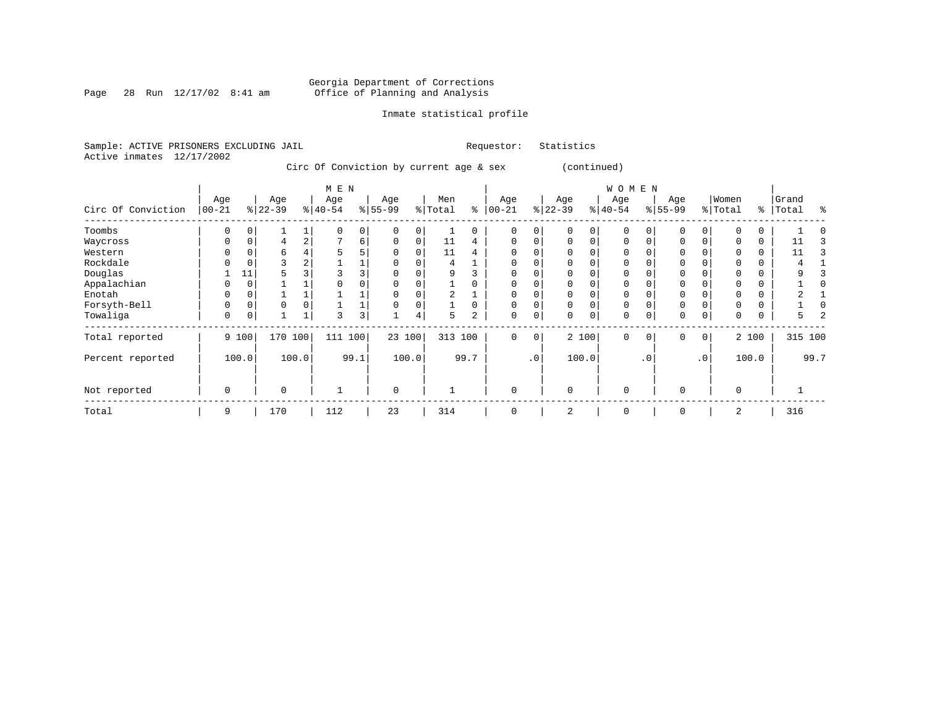Page 28 Run  $12/17/02$  8:41 am

## Inmate statistical profile

|                           | Sample: ACTIVE PRISONERS EXCLUDING JAIL | Requestor: Statistics |  |
|---------------------------|-----------------------------------------|-----------------------|--|
| Active inmates 12/17/2002 |                                         |                       |  |

Circ Of Conviction by current age & sex (continued)

|                    |            |          |           |                | M E N     |                |             |          |         |                |             |           |          |             | <b>WOMEN</b> |             |             |             |          |       |         |      |
|--------------------|------------|----------|-----------|----------------|-----------|----------------|-------------|----------|---------|----------------|-------------|-----------|----------|-------------|--------------|-------------|-------------|-------------|----------|-------|---------|------|
|                    | Age        |          | Age       |                | Age       |                | Age         |          | Men     |                | Age         |           | Age      |             | Age          |             | Age         |             | Women    |       | Grand   |      |
| Circ Of Conviction | $100 - 21$ |          | $8 22-39$ |                | $ 40-54 $ |                | $ 55-99$    |          | % Total | နွ             | $ 00 - 21$  |           | $ 22-39$ |             | $ 40-54 $    |             | $ 55-99$    |             | % Total  | ႜ     | Total   | ႜ    |
| Toombs             | 0          | $\Omega$ |           |                |           | 0 <sup>1</sup> |             | $\Omega$ |         | 0              | $\Omega$    | 0         |          | 0           | 0            |             | $\Omega$    |             |          | 0     |         |      |
| Waycross           | 0          | $\Omega$ | 4         | $\overline{a}$ |           | 6              | $\Omega$    | $\Omega$ | 11      | 4              | $\Omega$    | 0         | $\Omega$ | $\Omega$    | $\Omega$     | $\Omega$    | $\Omega$    |             | $\Omega$ | 0     | 11      |      |
| Western            | O          |          | 6         |                | 5         | 5              |             | 0        | 11      | 4              | $\Omega$    |           |          |             | $\Omega$     |             | $\Omega$    |             | $\Omega$ | 0     | 11      |      |
| Rockdale           | 0          | 0        | 3         | ∠              |           |                |             |          | 4       |                | 0           | 0         |          |             | 0            |             | 0           |             | $\Omega$ | 0     |         |      |
| Douglas            |            | 11       |           |                |           | 3              |             |          | 9       |                | $\Omega$    |           |          |             | O            |             | $\Omega$    |             |          | 0     |         |      |
| Appalachian        | O          | $\Omega$ |           |                |           | 0              |             |          |         |                |             |           |          |             | $\Omega$     |             |             |             |          | 0     |         |      |
| Enotah             | 0          | 0        |           |                |           |                |             |          | 2       |                | 0           | 0         |          | 0           | 0            |             | $\Omega$    |             |          | 0     |         |      |
| Forsyth-Bell       | 0          | $\Omega$ | $\Omega$  |                |           |                |             |          |         |                | $\Omega$    | 0         | $\Omega$ | $\Omega$    | $\Omega$     |             | $\Omega$    |             | O        | 0     |         |      |
| Towaliga           | 0          | 0        |           |                | 3         | 3              |             | 4        | 5       | $\overline{a}$ | $\mathbf 0$ | 0         | $\Omega$ | $\mathbf 0$ | $\mathbf 0$  | $\mathbf 0$ | $\mathbf 0$ | $\mathbf 0$ | 0        | 0     | 5       |      |
| Total reported     |            | 9 100    | 170       | 100            | 111       | 100            | 23 100      |          | 313 100 |                | $\Omega$    | 0         |          | 2 100       | $\Omega$     | $\Omega$    | $\Omega$    | $\Omega$    |          | 2 100 | 315 100 |      |
| Percent reported   |            | 100.0    |           | 100.0          |           | 99.1           |             | 100.0    |         | 99.7           |             | $\cdot$ 0 |          | 100.0       |              | $\cdot$ 0   |             | $\cdot$ 0   |          | 100.0 |         | 99.7 |
| Not reported       | 0          |          | $\Omega$  |                |           |                | $\mathbf 0$ |          |         |                | $\mathbf 0$ |           | $\Omega$ |             | 0            |             | 0           |             | $\Omega$ |       |         |      |
| Total              | 9          |          | 170       |                | 112       |                | 23          |          | 314     |                | $\Omega$    |           | 2        |             | $\mathbf 0$  |             | $\Omega$    |             | 2        |       | 316     |      |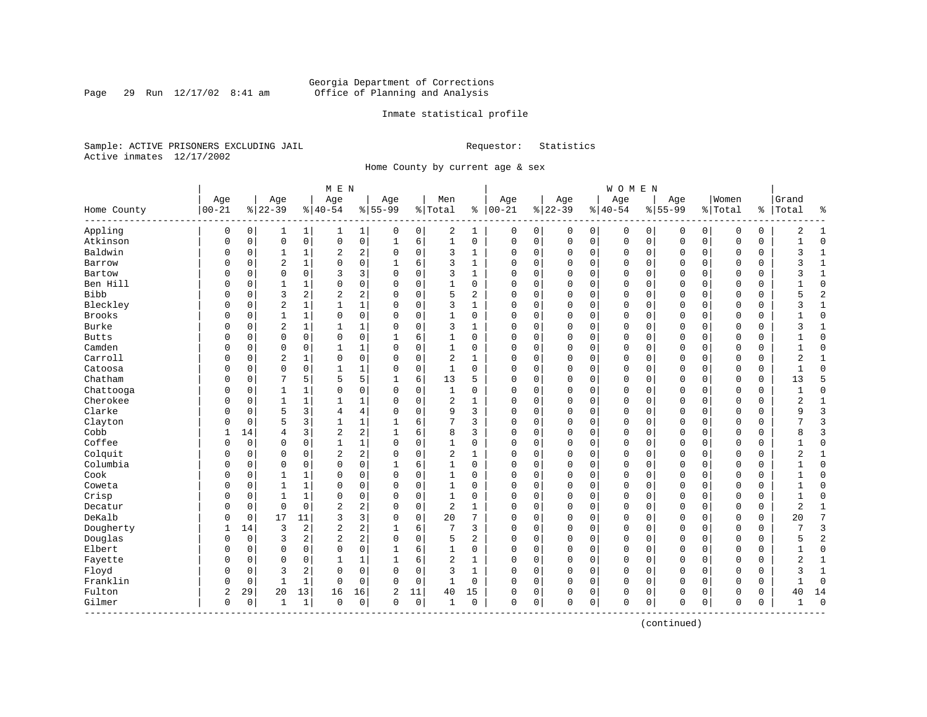Page 29 Run  $12/17/02$  8:41 am

## Inmate statistical profile

Sample: ACTIVE PRISONERS EXCLUDING JAIL **Requestor:** Statistics Active inmates 12/17/2002

Home County by current age & sex

|               |           |          |                |                | $M$ $\,$ E $\,$ N |                         |              |             |                |                |               |   |              |             | WOMEN     |             |              |             |             |          |                |                |
|---------------|-----------|----------|----------------|----------------|-------------------|-------------------------|--------------|-------------|----------------|----------------|---------------|---|--------------|-------------|-----------|-------------|--------------|-------------|-------------|----------|----------------|----------------|
|               | Age       |          | Age            |                | Age               |                         | Age          |             | Men            |                | Age           |   | Age          |             | Age       |             | Age          |             | Women       |          | Grand          |                |
| Home County   | $00 - 21$ |          | $8 22-39$      |                | $ 40-54$          |                         | $8 55-99$    |             | % Total        |                | $8   00 - 21$ |   | $ 22-39$     |             | $8 40-54$ |             | $8155 - 99$  |             | % Total     | %        | Total          | နွ             |
| Appling       | 0         | 0        | 1              | $\mathbf 1$    | 1                 | 1                       | 0            | 0           | 2              | 1              | 0             | 0 | 0            | 0           | 0         | 0           | 0            | 0           | 0           | 0        | 2              | 1              |
| Atkinson      | 0         | 0        | $\mathbf 0$    | $\mathsf{O}$   | 0                 | 0                       | $\mathbf 1$  | 6           | $\mathbf 1$    | 0              | $\mathbf 0$   | 0 | $\mathbf 0$  | $\mathbf 0$ | 0         | $\mathbf 0$ | $\mathbf 0$  | $\mathbf 0$ | $\mathbf 0$ | 0        | $\mathbf{1}$   | $\Omega$       |
| Baldwin       | 0         | 0        | $\mathbf{1}$   | 1              | 2                 | 2                       | $\Omega$     | 0           | 3              | 1              | $\Omega$      | 0 | $\mathbf 0$  | 0           | 0         | $\mathbf 0$ | $\mathbf 0$  | $\mathbf 0$ | $\mathbf 0$ | 0        | 3              | 1              |
| Barrow        | O         | 0        | 2              | $\mathbf{1}$   | $\Omega$          | 0                       |              | 6           | 3              | 1              | $\Omega$      | 0 | $\Omega$     | 0           | $\Omega$  | $\mathbf 0$ | $\Omega$     | $\Omega$    | $\Omega$    | $\Omega$ |                | $\mathbf{1}$   |
| Bartow        | O         | $\Omega$ | $\Omega$       | $\Omega$       | 3                 | 3                       | $\Omega$     | $\Omega$    | 3              | 1              | $\Omega$      | O | $\Omega$     | $\Omega$    | $\Omega$  | $\Omega$    | $\Omega$     | $\Omega$    | $\Omega$    | $\Omega$ | ς              | $\mathbf{1}$   |
| Ben Hill      | U         | $\Omega$ | $\mathbf{1}$   | 1              | 0                 | 0                       | $\Omega$     | $\Omega$    | $\mathbf{1}$   | 0              | $\Omega$      | 0 | $\mathbf 0$  | 0           | $\Omega$  | $\mathbf 0$ | $\Omega$     | $\Omega$    | $\mathbf 0$ | 0        |                | $\mathbf{0}$   |
| <b>Bibb</b>   | U         | 0        | 3              | $\overline{a}$ | 2                 | 2                       | O            | $\mathbf 0$ | 5              | 2              | 0             | 0 | $\mathbf 0$  | $\mathbf 0$ | 0         | 0           | 0            | 0           | $\mathbf 0$ | 0        | 5              | $\overline{2}$ |
| Bleckley      | 0         | 0        | $\overline{2}$ | $\mathbf{1}$   | $\mathbf{1}$      | $\mathbf{1}$            | 0            | $\mathbf 0$ | 3              | $\mathbf{1}$   | $\Omega$      | 0 | $\mathbf{0}$ | 0           | $\Omega$  | $\mathbf 0$ | $\Omega$     | $\Omega$    | $\Omega$    | 0        | 3              | $\mathbf{1}$   |
| <b>Brooks</b> | O         | 0        | $\mathbf{1}$   | $\mathbf{1}$   | $\Omega$          | 0                       | $\Omega$     | $\mathbf 0$ | $\mathbf{1}$   | $\Omega$       | $\Omega$      | 0 | $\mathbf{0}$ | $\mathbf 0$ | $\Omega$  | $\mathbf 0$ | $\mathbf{0}$ | $\Omega$    | $\Omega$    | 0        |                | $\Omega$       |
| Burke         | O         | 0        | $\overline{2}$ | $\mathbf 1$    | 1                 | 1                       | $\Omega$     | $\mathbf 0$ | 3              | 1              | $\mathbf 0$   | 0 | $\mathbf 0$  | 0           | 0         | 0           | 0            | 0           | 0           | 0        | ζ              | $\mathbf{1}$   |
| <b>Butts</b>  | U         | 0        | $\mathbf 0$    | $\mathbf 0$    | 0                 | 0                       |              | 6           | 1              | 0              | $\Omega$      | O | $\mathbf 0$  | $\mathbf 0$ | $\Omega$  | $\mathbf 0$ | $\Omega$     | $\Omega$    | $\mathbf 0$ | 0        |                | $\Omega$       |
| Camden        | 0         | 0        | $\mathbf 0$    | 0              | $\mathbf{1}$      | 1                       | $\Omega$     | 0           | 1              | 0              | 0             | 0 | $\mathbf 0$  | 0           | 0         | $\mathbf 0$ | $\Omega$     | $\mathbf 0$ | $\mathbf 0$ | 0        | -1             | $\Omega$       |
| Carroll       |           | 0        | 2              | 1              | 0                 | 0                       | $\Omega$     | $\mathbf 0$ | 2              | 1              | 0             | 0 | $\mathbf 0$  | $\mathbf 0$ | 0         | $\mathbf 0$ | 0            | 0           | 0           | 0        | 2              | 1              |
| Catoosa       | O         | 0        | $\mathbf 0$    | $\Omega$       | $\mathbf{1}$      | 1                       | 0            | $\mathbf 0$ | $\mathbf 1$    | $\Omega$       | $\Omega$      | 0 | $\Omega$     | 0           | $\Omega$  | $\mathbf 0$ | $\Omega$     | $\Omega$    | $\mathbf 0$ | 0        | $\mathbf{1}$   | $\Omega$       |
| Chatham       | O         | 0        | 7              | 5              | 5                 | 5                       | -1           | 6           | 13             | 5              | $\Omega$      | 0 | $\mathbf 0$  | $\mathbf 0$ | $\Omega$  | $\mathbf 0$ | $\mathbf{0}$ | 0           | $\mathbf 0$ | 0        | 13             | 5              |
| Chattooga     | U         | 0        | 1              | 1              | $\Omega$          | 0                       | $\Omega$     | 0           | 1              | 0              | 0             | 0 | $\mathbf 0$  | 0           | 0         | 0           | 0            | 0           | 0           | 0        |                | $\mathbf 0$    |
| Cherokee      | O         | 0        | 1              | 1              | $\mathbf{1}$      | 1                       | $\Omega$     | 0           | 2              | 1              | 0             | 0 | $\mathbf 0$  | 0           | 0         | $\mathbf 0$ | $\Omega$     | 0           | $\mathbf 0$ | 0        | 2              | 1              |
| Clarke        | 0         | $\Omega$ | 5              | 3              | 4                 | 4                       | $\Omega$     | $\Omega$    | 9              | 3              | $\Omega$      | 0 | $\Omega$     | $\Omega$    | $\Omega$  | $\Omega$    | $\Omega$     | $\Omega$    | $\mathbf 0$ | $\Omega$ | 9              | 3              |
| Clayton       | U         | $\Omega$ | 5              | 3              | $\mathbf{1}$      | 1                       | 1            | 6           | 7              | 3              | 0             | 0 | $\mathbf 0$  | $\mathbf 0$ | 0         | $\mathbf 0$ | $\Omega$     | $\Omega$    | $\mathbf 0$ | 0        |                | 3              |
| Cobb          | 1         | 14       | 4              | 3              | $\overline{c}$    | $\overline{\mathbf{c}}$ | 1            | 6           | 8              | 3              | $\Omega$      | 0 | $\Omega$     | 0           | 0         | 0           | $\Omega$     | 0           | $\mathbf 0$ | 0        | 8              | $\overline{3}$ |
| Coffee        | O         | 0        | $\Omega$       | 0              | $\mathbf{1}$      | $\mathbf 1$             | $\Omega$     | 0           | 1              | 0              | $\Omega$      | 0 | $\mathbf 0$  | 0           | $\Omega$  | 0           | $\mathbf 0$  | 0           | $\mathbf 0$ | 0        |                | $\Omega$       |
| Colquit       | O         | 0        | $\Omega$       | $\Omega$       | 2                 | $\overline{a}$          | $\Omega$     | 0           | 2              | 1              | $\mathbf 0$   | 0 | $\mathbf 0$  | 0           | $\Omega$  | $\mathbf 0$ | $\Omega$     | $\Omega$    | $\Omega$    | 0        | 2              | $\mathbf{1}$   |
| Columbia      | O         | 0        | $\mathbf 0$    | $\mathbf 0$    | 0                 | 0                       |              | 6           | $\mathbf{1}$   | $\Omega$       | $\Omega$      | 0 | $\mathbf 0$  | $\mathbf 0$ | $\Omega$  | $\mathbf 0$ | $\Omega$     | $\Omega$    | $\mathbf 0$ | 0        |                | $\Omega$       |
| Cook          | U         | $\Omega$ | $\mathbf{1}$   | 1              | $\Omega$          | 0                       | $\Omega$     | $\Omega$    | 1              | $\Omega$       | $\Omega$      | 0 | $\Omega$     | 0           | $\Omega$  | $\mathbf 0$ | $\Omega$     | $\Omega$    | $\mathbf 0$ | 0        |                | $\Omega$       |
| Coweta        |           | 0        | 1              | 1              | $\Omega$          | 0                       | O            | $\mathbf 0$ | 1              | 0              | 0             | 0 | $\mathbf 0$  | 0           | 0         | 0           | 0            | $\Omega$    | 0           | 0        |                | $\Omega$       |
| Crisp         | U         | 0        | 1              | 1              | 0                 | 0                       | U            | $\mathbf 0$ | $\mathbf 1$    | 0              | 0             | 0 | $\Omega$     | 0           | 0         | 0           | $\Omega$     | 0           | $\mathbf 0$ | 0        | $\mathbf{1}$   | $\Omega$       |
| Decatur       | O         | 0        | $\mathbf 0$    | $\mathbf 0$    | $\overline{2}$    | 2                       | $\Omega$     | 0           | $\overline{2}$ | 1              | $\Omega$      | 0 | $\mathbf 0$  | 0           | 0         | $\mathbf 0$ | $\mathbf 0$  | 0           | 0           | 0        | $\overline{2}$ | 1              |
| DeKalb        | O         | 0        | 17             | 11             | 3                 | 3                       | $\Omega$     | $\mathbf 0$ | 20             | 7              | $\Omega$      | 0 | $\mathbf 0$  | 0           | 0         | $\mathbf 0$ | $\Omega$     | $\Omega$    | $\Omega$    | 0        | 20             | 7              |
| Dougherty     |           | 14       | 3              | 2              | 2                 | 2                       |              | 6           | 7              | 3              | $\Omega$      | 0 | $\mathbf 0$  | 0           | 0         | $\mathbf 0$ | $\Omega$     | $\Omega$    | $\mathbf 0$ | 0        |                | 3              |
| Douglas       | U         | 0        | 3              | 2              | $\overline{c}$    | $\overline{a}$          | $\mathbf 0$  | $\Omega$    | 5              | $\overline{a}$ | $\Omega$      | O | $\mathbf 0$  | 0           | $\Omega$  | $\mathbf 0$ | $\Omega$     | $\Omega$    | $\mathbf 0$ | 0        | 5              | $\overline{2}$ |
| Elbert        | U         | 0        | $\mathbf 0$    | $\Omega$       | 0                 | 0                       | 1            | 6           | 1              | 0              | 0             | 0 | $\mathbf 0$  | 0           | 0         | $\mathbf 0$ | 0            | 0           | $\mathbf 0$ | 0        | 1              | $\mathbf{0}$   |
| Fayette       | O         | 0        | $\Omega$       | $\Omega$       | $\mathbf{1}$      | $\mathbf 1$             | $\mathbf{1}$ | 6           | 2              | $\mathbf{1}$   | $\Omega$      | 0 | $\mathbf 0$  | $\mathbf 0$ | $\Omega$  | $\mathbf 0$ | $\Omega$     | $\Omega$    | $\Omega$    | 0        | $\overline{2}$ | $\mathbf{1}$   |
| Floyd         | O         | 0        | 3              | 2              | 0                 | 0                       | $\Omega$     | $\mathbf 0$ | 3              | $\mathbf{1}$   | $\Omega$      | 0 | $\mathbf 0$  | 0           | $\Omega$  | $\mathbf 0$ | $\mathbf 0$  | $\Omega$    | $\Omega$    | 0        | ζ              | $\mathbf{1}$   |
| Franklin      | 0         | 0        | $\mathbf{1}$   | 1              | 0                 | 0                       | $\Omega$     | 0           | 1              | 0              | $\mathbf 0$   | 0 | $\mathbf 0$  | 0           | 0         | 0           | 0            | $\mathbf 0$ | 0           | 0        |                | $\Omega$       |
| Fulton        | 2         | 29       | 20             | 13             | 16                | 16                      | 2            | 11          | 40             | 15             | 0             | 0 | 0            | 0           | 0         | 0           | 0            | 0           | 0           | 0        | 40             | 14             |
| Gilmer        | 0         | 0        | $\mathbf{1}$   | 1              | 0                 | 0                       | $\mathbf 0$  | 0           | 1              | 0              | $\mathbf 0$   | 0 | $\Omega$     | $\mathbf 0$ | $\Omega$  | $\mathbf 0$ | $\mathbf 0$  | 0           | $\mathbf 0$ | 0        | -1             | $\Omega$       |

(continued)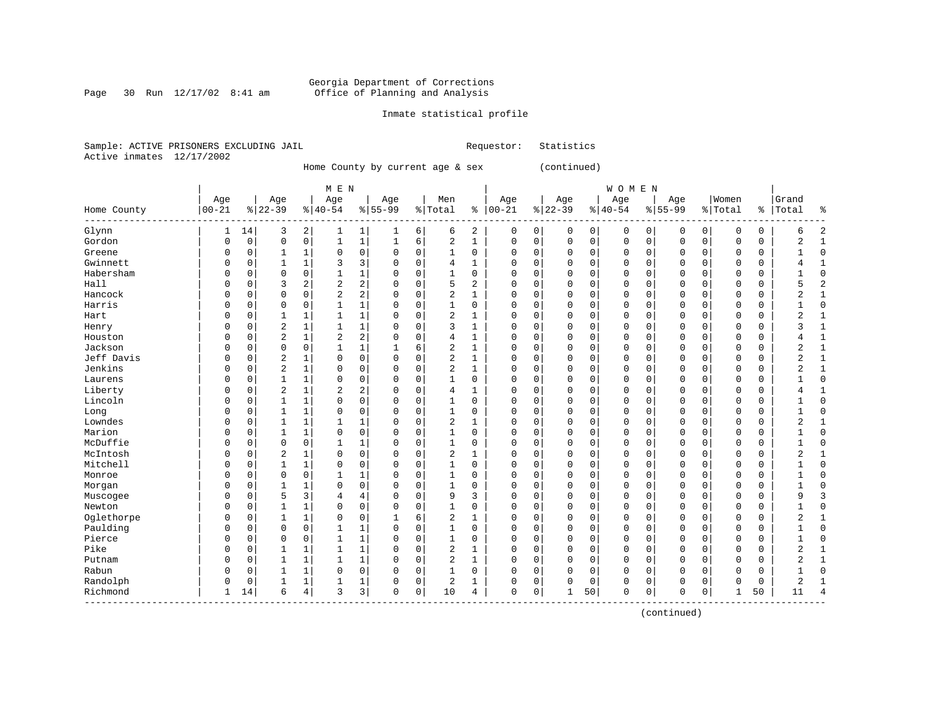### Georgia Department of Corrections Page 30 Run 12/17/02 8:41 am Office of Planning and Analysis

------------------------------------------------------------------------------------------------------------------------------------

#### Inmate statistical profile

Sample: ACTIVE PRISONERS EXCLUDING JAIL **Requestor:** Statistics Active inmates 12/17/2002

Home County by current age & sex (continued)

| M E N | W O M E N | Age | Age | Age | Age | Men | Age | Age | Age | Age |Women |Grand Home County |00-21 %|22-39 %|40-54 %|55-99 %|Total % |00-21 %|22-39 %|40-54 %|55-99 %|Total % |Total %

------------------------------------------------------------------------------------------------------------------------------------Glynn | 1 14| 3 2| 1 1| 1 6| 6 2 | 0 0| 0 0| 0 0| 0 0| 0 0 | 6 2 Gordon | 0 0| 0 0| 1 1| 1 6| 2 1 | 0 0| 0 0| 0 0| 0 0| 0 0 | 2 1 Greene | 0 0| 1 1| 0 0| 0 0| 1 0 | 0 0| 0 0| 0 0| 0 0| 0 0 | 1 0 Gwinnett | 0 0| 1 1| 3 3| 0 0| 4 1 | 0 0| 0 0| 0 0| 0 0| 0 0 | 4 1 Habersham | 0 0| 0 0| 1 1| 0 0| 1 0 | 0 0| 0 0| 0 0| 0 0| 0 0 | 1 0 Hall | 0 0| 3 2| 2 2| 0 0| 5 2 | 0 0| 0 0| 0 0| 0 0| 0 0 | 5 2 Hancock | 0 0| 0 0| 2 2| 0 0| 2 1 | 0 0| 0 0| 0 0| 0 0| 0 0 | 2 1 Harris | 0 0| 0 0| 1 1| 0 0| 1 0 | 0 0| 0 0| 0 0| 0 0| 0 0 | 1 0 Hart | 0 0| 1 1| 1 1| 0 0| 2 1 | 0 0| 0 0| 0 0| 0 0| 0 0 | 2 1 Henry | 0 0| 2 1| 1 1| 0 0| 3 1 | 0 0| 0 0| 0 0| 0 0| 0 0 | 3 1 Houston | 0 0| 2 1| 2 2| 0 0| 4 1 | 0 0| 0 0| 0 0| 0 0| 0 0 | 4 1 Jackson | 0 0| 0 0| 1 1| 1 6| 2 1 | 0 0| 0 0| 0 0| 0 0| 0 0 | 2 1 Jeff Davis | 0 0| 2 1| 0 0| 0 0| 2 1 | 0 0| 0 0| 0 0| 0 0| 0 0 | 2 1 Jenkins | 0 0| 2 1| 0 0| 0 0| 2 1 | 0 0| 0 0| 0 0| 0 0| 0 0 | 2 1 Laurens | 0 0| 1 1| 0 0| 0 0| 1 0 | 0 0| 0 0| 0 0| 0 0| 0 0 | 1 0 Liberty | 0 0| 2 1| 2 2| 0 0| 4 1 | 0 0| 0 0| 0 0| 0 0| 0 0 | 4 1 Lincoln | 0 0| 1 1| 0 0| 0 0| 1 0 | 0 0| 0 0| 0 0| 0 0| 0 0 | 1 0 Long | 0 0| 1 1| 0 0| 0 0| 1 0 | 0 0| 0 0| 0 0| 0 0| 0 0 | 1 0 Lowndes | 0 0| 1 1| 1 1| 0 0| 2 1 | 0 0| 0 0| 0 0| 0 0| 0 0 | 2 1 Marion | 0 0| 1 1| 0 0| 0 0| 1 0 | 0 0| 0 0| 0 0| 0 0| 0 0 | 1 0 McDuffie | 0 0| 0 0| 1 1| 0 0| 1 0 | 0 0| 0 0| 0 0| 0 0| 0 0 | 1 0 McIntosh | 0 0| 2 1| 0 0| 0 0| 2 1 | 0 0| 0 0| 0 0| 0 0| 0 0 | 2 1 Mitchell | 0 0| 1 1| 0 0| 0 0| 1 0 | 0 0| 0 0| 0 0| 0 0| 0 0 | 1 0 Monroe | 0 0| 0 0| 1 1| 0 0| 1 0 | 0 0| 0 0| 0 0| 0 0| 0 0 | 1 0

Morgan | 0 0| 1 1| 0 0| 0 0| 1 0 | 0 0| 0 0| 0 0| 0 0| 0 0 | 1 0 Muscogee | 0 0| 5 3| 4 4| 0 0| 9 3 | 0 0| 0 0| 0 0| 0 0| 0 0 | 9 3 Newton | 0 0| 1 1| 0 0| 0 0| 1 0 | 0 0| 0 0| 0 0| 0 0| 0 0 | 1 0 Oglethorpe | 0 0| 1 1| 0 0| 1 6| 2 1 | 0 0| 0 0| 0 0| 0 0| 0 0 | 2 1 Paulding | 0 0| 0 0| 1 1| 0 0| 1 0 | 0 0| 0 0| 0 0| 0 0| 0 0 | 1 0 Pierce | 0 0| 0 0| 1 1| 0 0| 1 0 | 0 0| 0 0| 0 0| 0 0| 0 0 | 1 0 Pike | 0 0| 1 1| 1 1| 0 0| 2 1 | 0 0| 0 0| 0 0| 0 0| 0 0 | 2 1 Putnam | 0 0| 1 1| 1 1| 0 0| 2 1 | 0 0| 0 0| 0 0| 0 0| 0 0 | 2 1 Rabun | 0 0| 1 1| 0 0| 0 0| 1 0 | 0 0| 0 0| 0 0| 0 0| 0 0 | 1 0 Randolph | 0 0| 1 1| 1 1| 0 0| 2 1 | 0 0| 0 0| 0 0| 0 0| 0 0 | 2 1

Richmond | 1 14| 6 4| 3 3| 0 0| 10 4 | 0 0| 1 50| 0 0| 0 0| 1 50 | 11 4

(continued)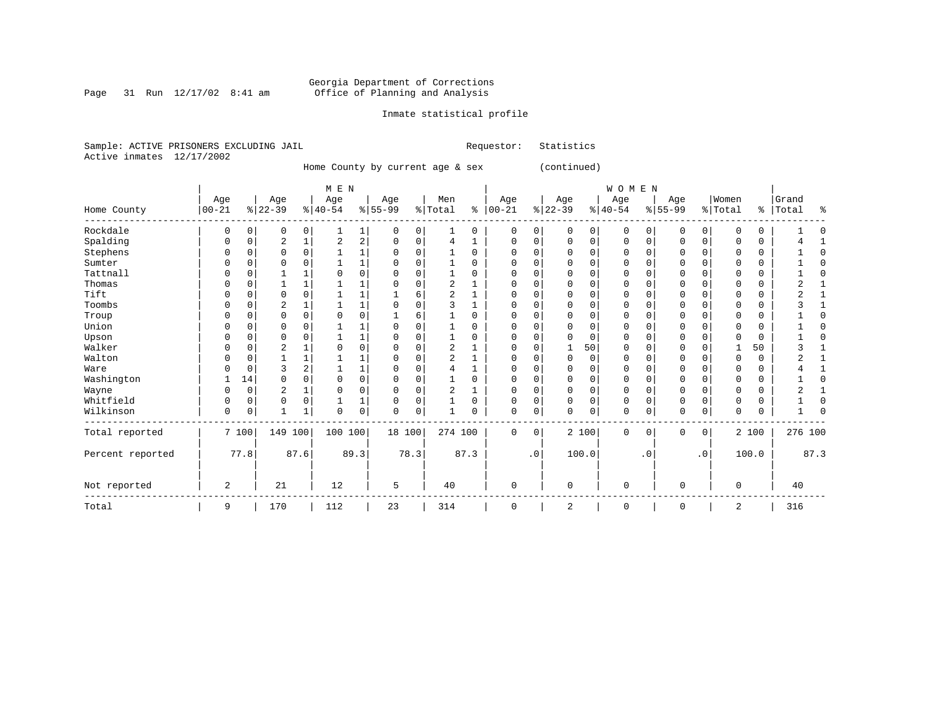### Georgia Department of Corrections Page 31 Run 12/17/02 8:41 am Office of Planning and Analysis

#### Inmate statistical profile

|  |                           | Sample: ACTIVE PRISONERS EXCLUDING JAIL |  | Requestor: Statistics |  |
|--|---------------------------|-----------------------------------------|--|-----------------------|--|
|  | Active inmates 12/17/2002 |                                         |  |                       |  |

Home County by current age & sex (continued)

| M E N | W O M E N | Age | Age | Age | Age | Men | Age | Age | Age | Age |Women |Grand Home County |00-21 %|22-39 %|40-54 %|55-99 %|Total % |00-21 %|22-39 %|40-54 %|55-99 %|Total % |Total % ------------------------------------------------------------------------------------------------------------------------------------Rockdale | 0 0| 0 0| 1 1| 0 0| 1 0 | 0 0| 0 0| 0 0| 0 0| 0 0 | 1 0 Spalding | 0 0| 2 1| 2 2| 0 0| 4 1 | 0 0| 0 0| 0 0| 0 0| 0 0 | 4 1 Stephens | 0 0| 0 0| 1 1| 0 0| 1 0 | 0 0| 0 0| 0 0| 0 0| 0 0 | 1 0 Sumter | 0 0| 0 0| 1 1| 0 0| 1 0 | 0 0| 0 0| 0 0| 0 0| 0 0 | 1 0 Tattnall | 0 0| 1 1| 0 0| 0 0| 1 0 | 0 0| 0 0| 0 0| 0 0| 0 0 | 1 0 Thomas | 0 0| 1 1| 1 1| 0 0| 2 1 | 0 0| 0 0| 0 0| 0 0| 0 0 | 2 1 Tift | 0 0| 0 0| 1 1| 1 6| 2 1 | 0 0| 0 0| 0 0| 0 0| 0 0 | 2 1 Toombs | 0 0| 2 1| 1 1| 0 0| 3 1 | 0 0| 0 0| 0 0| 0 0| 0 0 | 3 1 Troup | 0 0| 0 0| 0 0| 1 6| 1 0 | 0 0| 0 0| 0 0| 0 0| 0 0 | 1 0 Union | 0 0| 0 0| 1 1| 0 0| 1 0 | 0 0| 0 0| 0 0| 0 0| 0 0 | 1 0 Upson | 0 0| 0 0| 1 1| 0 0| 1 0 | 0 0| 0 0| 0 0| 0 0| 0 0 | 1 0 Walker | 0 0| 2 1| 0 0| 0 0| 2 1 | 0 0| 1 50| 0 0| 0 0| 1 50 | 3 1 Walton | 0 0| 1 1| 1 1| 0 0| 2 1 | 0 0| 0 0| 0 0| 0 0| 0 0 | 2 1 Ware | 0 0| 3 2| 1 1| 0 0| 4 1 | 0 0| 0 0| 0 0| 0 0| 0 0 | 4 1 Washington | 1 14| 0 0| 0 0| 0 0| 1 0 | 0 0| 0 0| 0 0| 0 0| 0 0 | 1 0 Wayne | 0 0| 2 1| 0 0| 0 0| 2 1 | 0 0| 0 0| 0 0| 0 0| 0 0 | 2 1 Whitfield | 0 0| 0 0| 1 1| 0 0| 1 0 | 0 0| 0 0| 0 0| 0 0| 0 0 | 1 0 Wilkinson | 0 0| 1 1| 0 0| 0 0| 1 0 | 0 0| 0 0| 0 0| 0 0| 0 0 | 1 0 ------------------------------------------------------------------------------------------------------------------------------------Total reported | 7 100| 149 100| 100 100| 18 100| 274 100 | 0 0| 2 100| 0 0| 0 0| 2 100 | 276 100 | | | | | | | | | | | Percent reported | 77.8| 87.6| 89.3| 78.3| 87.3 | .0| 100.0| .0| .0| 100.0 | 87.3 | | | | | | | | | | | | | | | | | | | | | | Not reported | 2 | 21 | 12 | 5 | 40 | 0 | 0 | 0 | 0 | 0 | 40 ------------------------------------------------------------------------------------------------------------------------------------Total | 9 | 170 | 112 | 23 | 314 | 0 | 2 | 0 | 0 | 2 | 316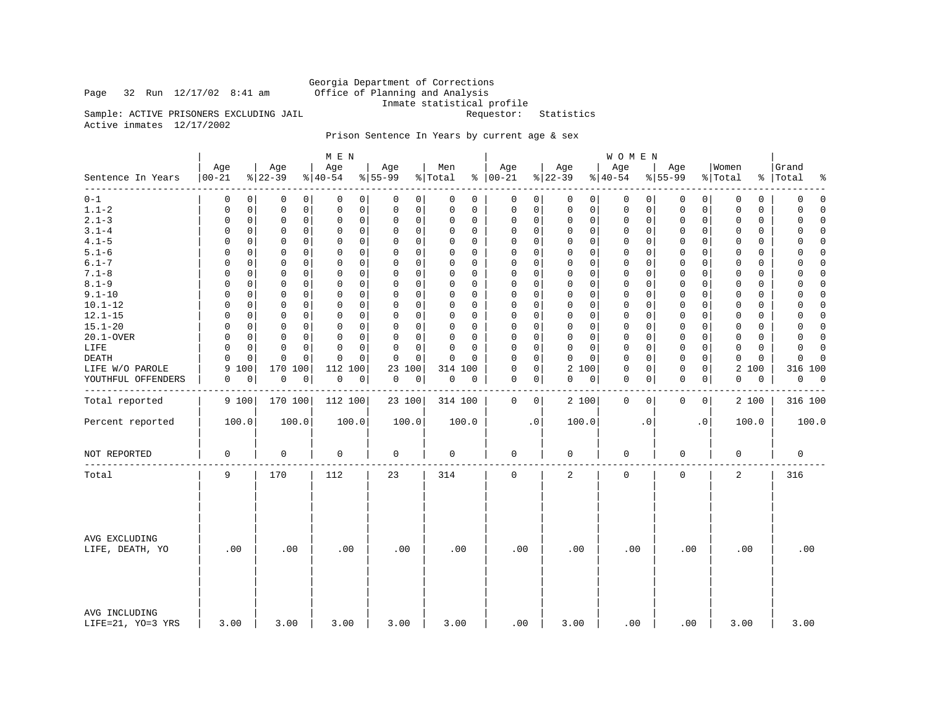## Page 32 Run  $12/17/02$  8:41 am

Georgia Department of Corrections<br>Office of Planning and Analysis Inmate statistical profile<br>Requestor: Statistics

Sample: ACTIVE PRISONERS EXCLUDING JAIL Active inmates 12/17/2002

## Prison Sentence In Years by current age & sex

|                                      |                   |                 | M E N            |                  |                |                         |                 | <b>WOMEN</b>     |                  |                       |                          |
|--------------------------------------|-------------------|-----------------|------------------|------------------|----------------|-------------------------|-----------------|------------------|------------------|-----------------------|--------------------------|
| Sentence In Years<br>- - - - - - - - | Age<br>$ 00 - 21$ | Age<br>$ 22-39$ | Age<br>$ 40-54 $ | Age<br>$8 55-99$ | Men<br>% Total | Age<br>$% 100-21$       | Age<br>$ 22-39$ | Age<br>$8 40-54$ | Age<br>$8 55-99$ | Women<br>% Total      | Grand<br>%   Total<br>နွ |
| $0 - 1$                              | 0                 | 0               | 0                | 0                | 0              | 0                       | 0               | 0                | 0                | 0                     | $\mathbf 0$              |
|                                      | 0                 | 0               | 0                | 0                | 0              | 0                       | $\circ$         | 0                | 0                | 0                     | 0                        |
| $1.1 - 2$                            | 0                 | 0               | $\mathbf 0$      | 0                | 0              | $\mathsf 0$             | 0               | 0                | 0                | $\mathbf 0$           | 0                        |
|                                      | 0                 | 0               | 0                | 0                | 0              | $\mathbf 0$             | 0               | 0                | 0                | 0                     | $\Omega$                 |
| $2.1 - 3$                            | 0                 | 0               | $\mathsf 0$      | 0                | $\Omega$       | 0                       | 0               | $\mathbf 0$      | $\mathbf 0$      | $\mathbf 0$           | $\mathsf 0$              |
|                                      | 0                 | 0               | $\mathbf 0$      | 0                | 0              | $\mathbf 0$             | 0               | 0                | 0                | $\Omega$              | $\Omega$                 |
| $3.1 - 4$                            | $\Omega$          | 0               | $\Omega$         | $\Omega$         | $\Omega$       | 0                       | $\Omega$        | $\mathbf 0$      | $\mathbf 0$      | $\Omega$              | 0                        |
|                                      | $\Omega$          | 0               | $\Omega$         | 0                | 0              | 0                       | 0               | $\Omega$         | 0                | $\Omega$              | $\Omega$                 |
| $4.1 - 5$                            | $\Omega$          | 0               | $\mathsf 0$      | 0                | $\Omega$       | $\mathsf 0$             | 0               | 0                | 0                | $\mathbf 0$           | $\Omega$                 |
|                                      | 0                 | 0               | 0                | 0                | 0              | $\Omega$                | 0               | 0                | 0                | 0                     | 0                        |
| $5.1 - 6$                            | $\Omega$          | 0               | 0                | 0                | $\Omega$       | $\Omega$                | $\Omega$        | $\mathbf 0$      | $\Omega$         | $\Omega$              | 0                        |
|                                      | 0                 | $\Omega$        | 0                | 0                | $\Omega$       | 0                       | 0               | $\Omega$         | 0                | $\Omega$              | $\Omega$                 |
| $6.1 - 7$                            | $\Omega$          | 0               | $\mathbf 0$      | $\mathbf 0$      | $\Omega$       | $\mathbf 0$             | $\mathbf 0$     | $\mathbf 0$      | $\mathbf 0$      | $\Omega$              | $\Omega$                 |
|                                      | $\Omega$          | 0               | $\Omega$         | $\Omega$         | 0              | $\Omega$                | $\Omega$        | $\Omega$         | 0                | $\Omega$              | $\Omega$                 |
| $7.1 - 8$                            | 0                 | 0               | $\mathbf 0$      | 0                | 0              | $\mathbf 0$             | $\Omega$        | $\mathbf 0$      | $\mathbf 0$      | 0                     | $\Omega$                 |
|                                      | 0                 | 0               | 0                | 0                | $\Omega$       | $\Omega$                | 0               | $\Omega$         | 0                | $\Omega$              | 0                        |
| $8.1 - 9$                            | $\Omega$          | $\mathbf 0$     | $\mathbf 0$      | 0                | $\Omega$       | $\Omega$                | 0               | $\mathbf 0$      | $\mathbf 0$      | $\mathbf 0$           | $\Omega$                 |
|                                      | 0                 | 0               | $\mathbf 0$      | 0                | 0              | $\mathbf 0$             | 0               | 0                | 0                | $\mathbf 0$           | 0                        |
| $9.1 - 10$                           | $\Omega$          | $\mathbf 0$     | $\Omega$         | $\Omega$         | $\Omega$       | $\Omega$                | $\Omega$        | $\mathbf 0$      | $\mathbf 0$      | $\Omega$              | 0                        |
|                                      | $\Omega$          | $\Omega$        | $\Omega$         | $\Omega$         | $\Omega$       | $\Omega$                | $\Omega$        | $\Omega$         | $\Omega$         | $\Omega$              | $\Omega$                 |
| $10.1 - 12$                          | $\Omega$          | 0               | $\mathsf 0$      | 0                | 0              | $\mathsf 0$             | 0               | $\mathbf 0$      | 0                | $\mathbf 0$           | 0                        |
|                                      | 0                 | 0               | 0                | 0                | 0              | $\Omega$                | 0               | 0                | 0                | 0                     | $\Omega$                 |
| $12.1 - 15$                          | $\Omega$          | 0               | $\mathbf 0$      | 0                | 0              | $\Omega$                | 0               | $\mathbf 0$      | 0                | 0                     | 0                        |
|                                      | $\Omega$          | 0               | 0                | 0                | $\Omega$       | 0                       | 0               | $\Omega$         | 0                | $\Omega$              | $\Omega$                 |
| $15.1 - 20$                          | $\Omega$          | 0               | $\mathbf 0$      | $\Omega$         | $\Omega$       | $\mathbf 0$             | $\Omega$        | $\mathbf 0$      | $\mathbf 0$      | $\Omega$              | $\mathbf 0$              |
|                                      | $\Omega$          | 0               | $\Omega$         | 0                | 0              | $\Omega$                | $\mathbf 0$     | $\Omega$         | 0                | $\Omega$              | $\Omega$                 |
| 20.1-OVER                            | 0                 | 0               | $\mathbf 0$      | 0                | 0              | $\mathbf 0$             | $\Omega$        | $\mathbf 0$      | $\mathbf 0$      | $\mathbf 0$           | $\Omega$                 |
|                                      | $\Omega$          | 0               | 0                | 0                | $\Omega$       | $\Omega$                | $\Omega$        | $\Omega$         | $\mathbf 0$      | $\Omega$              | 0                        |
| LIFE                                 | $\Omega$          | $\Omega$        | $\Omega$         | 0                | $\Omega$       | $\Omega$                | 0               | $\mathbf 0$      | $\mathbf 0$      | $\mathbf 0$           | $\mathbf 0$              |
|                                      | $\mathbf 0$       | 0               | $\mathbf 0$      | 0                | $\Omega$       | $\mathbf 0$             | $\mathbf 0$     | 0                | 0                | $\mathbf 0$           | $\Omega$                 |
| DEATH                                | $\Omega$          | $\mathbf 0$     | $\Omega$         | $\Omega$         | $\Omega$       | $\Omega$                | 0               | $\mathbf 0$      | $\mathbf 0$      | $\Omega$              | $\Omega$                 |
|                                      | $\Omega$          | $\Omega$        | $\Omega$         | $\Omega$         | O              | $\Omega$                | $\Omega$        | $\Omega$         | 0                | $\Omega$              | $\Omega$                 |
| LIFE W/O PAROLE                      | 100<br>9          | 170 100         | 112<br>100       | 23<br>100        | 314 100        | $\mathsf 0$<br>$\Omega$ | 2 100           | $\mathbf 0$<br>0 | 0<br>0           | $\overline{a}$<br>100 | 316 100                  |
| YOUTHFUL OFFENDERS                   | 0                 | $\mathsf 0$     | 0                | 0                | 0              | $\mathbf 0$             | 0               | $\mathbf 0$      | $\mathbf 0$      | 0                     | 0                        |
|                                      | 0                 | 0               | 0                | 0                | 0              | 0                       | 0               | 0                | 0                | 0                     | $\overline{0}$           |
|                                      |                   |                 |                  |                  |                |                         |                 |                  |                  |                       |                          |
| Total reported                       | 9 100             | 170 100         | 112 100          | 23 100           | 314 100        | 0<br>$\circ$            | 2 100           | 0<br>0           | 0<br>0           | 2 100                 | 316 100                  |
| Percent reported                     | 100.0             | 100.0           | 100.0            | 100.0            | 100.0          | $\cdot$ 0               | 100.0           | $\cdot$ 0        | $\cdot$ 0        | 100.0                 | 100.0                    |
| NOT REPORTED                         | $\mathsf 0$       | $\mathsf 0$     | 0                | $\mathsf 0$      | $\mathbf 0$    | $\mathbf 0$             | 0               | $\mathsf 0$      | $\mathsf 0$      | 0                     | 0                        |
| Total                                | 9                 | 170             | 112              | 23               | 314            | $\mathbf 0$             | 2               | $\mathbf 0$      | $\mathbf 0$      | 2                     | 316                      |
| AVG EXCLUDING<br>LIFE, DEATH, YO     | .00               | .00             | .00              | .00              | .00            | .00                     | .00             | .00              | .00              | .00                   | .00                      |
| AVG INCLUDING<br>LIFE=21, YO=3 YRS   | 3.00              | 3.00            | 3.00             | 3.00             | 3.00           | .00                     | 3.00            | .00              | .00              | 3.00                  | 3.00                     |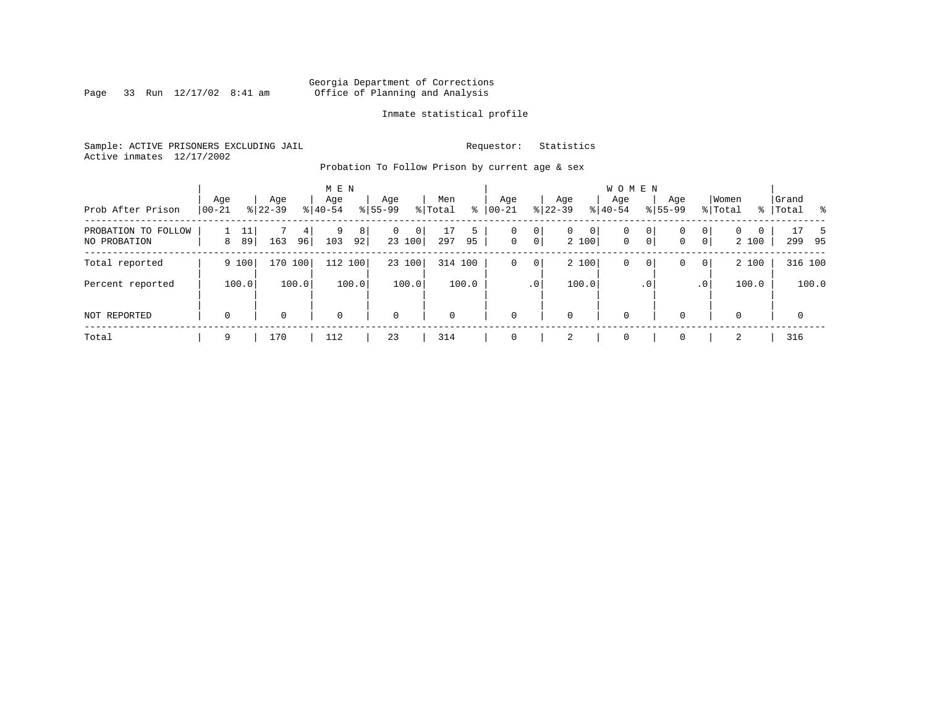Page 33 Run  $12/17/02$  8:41 am

## Inmate statistical profile

Sample: ACTIVE PRISONERS EXCLUDING JAIL **Requestor:** Statistics Active inmates 12/17/2002

Probation To Follow Prison by current age & sex

| Prob After Prison                   | Age<br>  00-21 |          | Age<br>$8 22-39$ |         | M E N<br>Age<br>$8 40-54$ |         | Age<br>$8155 - 99$ |             | Men<br>% Total | ႜ       | Age<br>$00 - 21$ |                     | Age<br>$ 22-39 $ |             | <b>WOMEN</b><br>Aqe<br>$ 40-54 $ |                  | Age<br>$8155 - 99$ |           | Women<br>% Total  |   | Grand<br>%   Total |             |          |
|-------------------------------------|----------------|----------|------------------|---------|---------------------------|---------|--------------------|-------------|----------------|---------|------------------|---------------------|------------------|-------------|----------------------------------|------------------|--------------------|-----------|-------------------|---|--------------------|-------------|----------|
| PROBATION TO FOLLOW<br>NO PROBATION | 8              | 11<br>89 | 163              | 4<br>96 | 9<br>103                  | 8<br>92 | 0                  | 0<br>23 100 | 17<br>297      | 5<br>95 | 0<br>$\circ$     | 0<br>$\overline{0}$ | $\mathbf{0}$     | 0 <br>2 100 | 0<br>$\mathbf 0$                 | 0<br>$\mathbf 0$ | 0<br>0             | 0<br> 0   | $\Omega$<br>2 100 | 0 | 299                |             | -5<br>95 |
| Total reported                      |                | 9 100    | 170 100          |         | 112                       | 100     |                    | 23 100      | 314 100        |         | 0                | 0                   |                  | 2 100       | 0                                | $\mathbf{0}$     | 0                  | 0         | 2 100             |   |                    | 316 100     |          |
| Percent reported                    |                | 100.0    |                  | 100.0   |                           | 100.0   |                    | 100.0       |                | 100.0   |                  | .0'                 |                  | 100.0       |                                  | .0'              |                    | $\cdot$ 0 | 100.0             |   |                    | 100.0       |          |
| NOT REPORTED                        | $\mathbf 0$    |          | 0                |         | $\mathbf 0$               |         | $\mathbf 0$        |             | $\mathbf 0$    |         | $\mathbf{0}$     |                     | $\mathbf 0$      |             | 0                                |                  | $\Omega$           |           |                   |   |                    | $\mathbf 0$ |          |
| Total                               | 9              |          | 170              |         | 112                       |         | 23                 |             | 314            |         | $\mathbf 0$      |                     | 2                |             | 0                                |                  |                    |           | 2                 |   | 316                |             |          |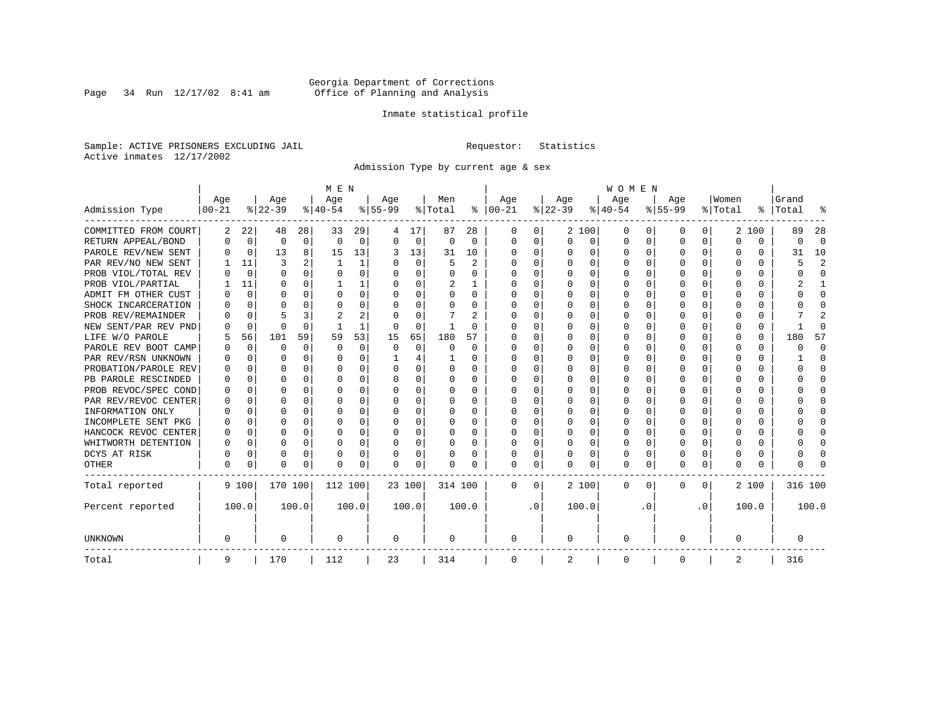Page 34 Run  $12/17/02$  8:41 am

## Inmate statistical profile

Sample: ACTIVE PRISONERS EXCLUDING JAIL **Requestor:** Statistics Active inmates 12/17/2002

Admission Type by current age & sex

|                      |            |             |          |          | M E N        |          |           |          |          |              |               |           |          |              | <b>WOMEN</b> |          |           |              |         |          |           |                |
|----------------------|------------|-------------|----------|----------|--------------|----------|-----------|----------|----------|--------------|---------------|-----------|----------|--------------|--------------|----------|-----------|--------------|---------|----------|-----------|----------------|
|                      | Age        |             | Age      |          | Age          |          | Age       |          | Men      |              | Age           |           | Age      |              | Age          |          | Age       |              | Women   |          | Grand     |                |
| Admission Type       | $ 00 - 21$ |             | $ 22-39$ |          | $ 40-54$     |          | $8 55-99$ |          | % Total  |              | $8   00 - 21$ |           | $ 22-39$ |              | $ 40-54$     |          | $8 55-99$ |              | % Total |          | %   Total |                |
| COMMITTED FROM COURT | 2          | 22          | 48       | 28       | 33           | 29       |           | 17       | 87       | 28           | 0             | 0         |          | 2 100        | 0            | $\left($ | $\Omega$  | 0            | 2       | 100      | 89        | 28             |
| RETURN APPEAL/BOND   | 0          | 0           | 0        | 0        | $\Omega$     | 0        | U         | 0        | $\Omega$ | $\Omega$     | $\Omega$      | 0         | $\Omega$ | 0            | U            | $\Omega$ | $\Omega$  | $\Omega$     | U       | $\Omega$ | U         | $\Omega$       |
| PAROLE REV/NEW SENT  | U          | 0           | 13       | 8        | 15           | 13       | 3         | 13       | 31       | 10           | 0             | $\Omega$  | U        | $\Omega$     | $\Omega$     | $\Omega$ | $\Omega$  | $\Omega$     | O       | $\Omega$ | 31        | 10             |
| PAR REV/NO NEW SENT  |            | 11          | 3        |          | $\mathbf{1}$ | 1        | U         | $\Omega$ | 5        | 2            | <sup>0</sup>  | $\Omega$  | U        | $\Omega$     | U            | n        | $\Omega$  | $\Omega$     |         | O        |           | $\overline{c}$ |
| PROB VIOL/TOTAL REV  |            | $\Omega$    | U        | 0        | $\Omega$     | $\Omega$ | 0         | $\Omega$ | 0        | U            | O             | 0         |          | O            | 0            | n        | $\Omega$  |              |         | 0        |           | $\Omega$       |
| PROB VIOL/PARTIAL    |            | 11          | U        | 0        |              |          | 0         | $\Omega$ | 2        |              | O             | 0         |          | O            | U            | n        | O         |              |         | U        |           |                |
| ADMIT FM OTHER CUST  |            | 0           | U        | 0        | $\Omega$     | 0        | U         | $\Omega$ | U        | <sup>0</sup> | <sup>0</sup>  | 0         | $\Omega$ | <sup>0</sup> | U            | O        | O         | 0            | O       | U        |           | <sup>0</sup>   |
| SHOCK INCARCERATION  |            | $\Omega$    | U        | U        | ∩            | O        | U         | 0        | 0        | U            | 0             | 0         | ∩        | O            | U            | $\Omega$ | ∩         | 0            |         | 0        |           | ∩              |
| PROB REV/REMAINDER   |            | $\Omega$    |          |          |              | 2        |           | $\Omega$ |          | 2            | <sup>0</sup>  | 0         | ∩        | 0            | U            | $\Omega$ | ∩         | <sup>n</sup> |         | 0        |           |                |
| NEW SENT/PAR REV PND |            | 0           | U        | $\Omega$ |              | 1        | O         | 0        |          | U            |               | 0         |          | O            | U            | $\Omega$ | $\Omega$  | U            |         | 0        |           | ſ              |
| LIFE W/O PAROLE      |            | 56          | 101      | 59       | 59           | 53       | 15        | 65       | 180      | 57           |               | $\Omega$  |          | $\Omega$     | Ω            | $\Omega$ |           | $\Omega$     |         | 0        | 180       | 57             |
| PAROLE REV BOOT CAMP |            | $\Omega$    | O        | 0        | $\Omega$     | 0        | O         | 0        | 0        | $\Omega$     | O             | $\Omega$  |          | $\Omega$     | Ω            | $\Omega$ |           |              | O       | 0        | Ω         | $\Omega$       |
| PAR REV/RSN UNKNOWN  |            | $\Omega$    | U        | 0        | $\Omega$     | 0        |           | 4        |          | U            | O             | $\Omega$  | ∩        | $\Omega$     | U            | ∩        | ∩         | U            | O       | 0        |           | ∩              |
| PROBATION/PAROLE REV |            | $\Omega$    | U        | 0        | $\Omega$     | $\Omega$ | U         | $\Omega$ | 0        | U            | O             | $\Omega$  | ∩        | $\Omega$     | U            | $\cap$   | ∩         | U            | n       | U        |           | n              |
| PB PAROLE RESCINDED  |            | $\Omega$    | U        | 0        | ∩            | $\Omega$ | U         | $\Omega$ | 0        | U            | O             | $\Omega$  | U        | $\Omega$     | U            | $\cap$   | ∩         | $\Omega$     |         | U        |           | n              |
| PROB REVOC/SPEC COND |            | $\Omega$    | U        | U        | $\Omega$     | O        | U         | $\Omega$ | U        | U            | O             | 0         |          | O            | U            | n        | ∩         | U            |         | U        |           | n              |
| PAR REV/REVOC CENTER |            | 0           | U        | U        | C            | O        |           | $\Omega$ | O        | U            |               | O         |          | O            | U            | n        | O         | U            |         | U        |           |                |
| INFORMATION ONLY     |            | 0           | U        | 0        | $\Omega$     | O        |           | 0        | 0        | U            | O             | O         |          | O            | U            | n        |           |              |         | 0        |           | O              |
| INCOMPLETE SENT PKG  |            | 0           | U        | 0        | O            | O        | U         | $\Omega$ | 0        | U            | O             | 0         |          | O            | U            | O        | O         |              |         | 0        |           | O              |
| HANCOCK REVOC CENTER | O          | 0           | U        | 0        | $\Omega$     | 0        | U         | $\Omega$ | 0        | 0            | <sup>0</sup>  | 0         | U        | <sup>0</sup> | U            | $\Omega$ | $\Omega$  | 0            | O       | 0        |           | ∩              |
| WHITWORTH DETENTION  | O          | $\Omega$    | U        | $\Omega$ | $\Omega$     | 0        | U         | $\Omega$ | U        | U            | <sup>0</sup>  | $\Omega$  | $\Omega$ | 0            | U            | $\Omega$ | $\Omega$  | $\Omega$     | U       | 0        |           | ∩              |
| DCYS AT RISK         | U          | 0           | 0        | 0        | $\Omega$     | 0        | U         | 0        | 0        | 0            | $\Omega$      | 0         | U        | 0            | O            | $\Omega$ | $\Omega$  | $\Omega$     |         | 0        |           | ſ              |
| OTHER                | O          | $\mathbf 0$ | O        | 0        | $\Omega$     | 0        | $\Omega$  | 0        |          | U            | $\Omega$      | 0         | U        | 0            | 0            | $\Omega$ | $\Omega$  | 0            | O       | 0        |           |                |
| Total reported       |            | 9 100       | 170 100  |          | 112 100      |          | 23 100    |          | 314 100  |              | $\Omega$      | $\Omega$  |          | 2 100        | 0            | $\Omega$ | $\Omega$  | $\Omega$     |         | 2 100    | 316 100   |                |
| Percent reported     |            | 100.0       |          | 100.0    |              | 100.0    |           | 100.0    |          | 100.0        |               | $\cdot$ 0 |          | 100.0        |              | . 0      |           | $\cdot$ 0    |         | 100.0    |           | 100.0          |
| UNKNOWN              | 0          |             | 0        |          | 0            |          | 0         |          | 0        |              | 0             |           | 0        |              | 0            |          | $\Omega$  |              | O       |          | 0         |                |
| Total                | 9          |             | 170      |          | 112          |          | 23        |          | 314      |              | 0             |           | 2        |              | 0            |          | $\Omega$  |              | 2       |          | 316       |                |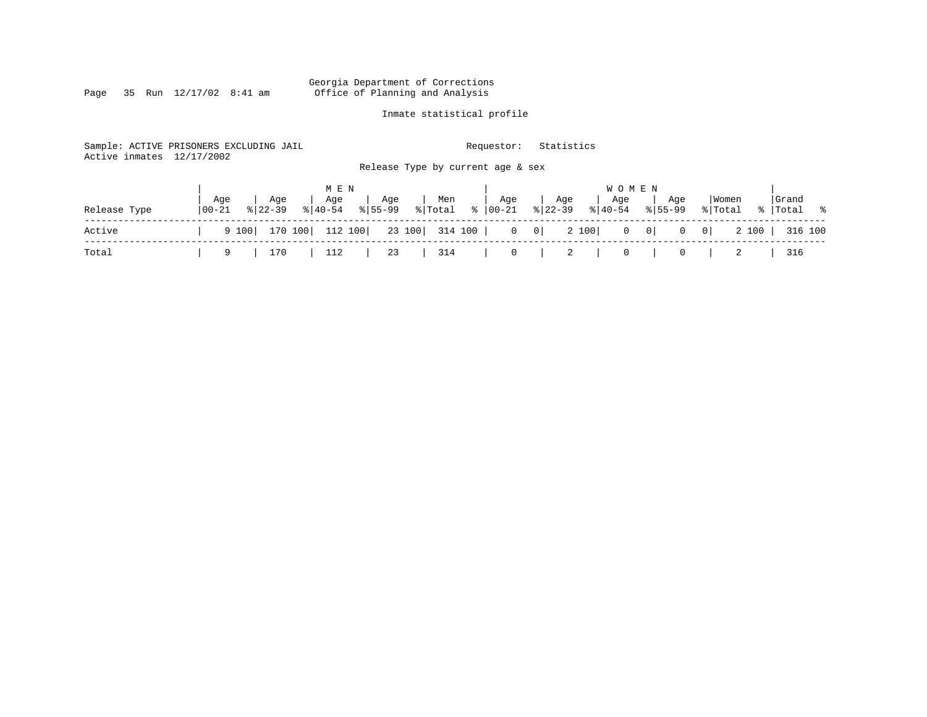Page 35 Run  $12/17/02$  8:41 am

## Inmate statistical profile

| Active inmates | Sample: ACTIVE PRISONERS EXCLUDING JAIL<br>12/17/2002                 | Requestor:<br>Release Type by current age & sex                  | Statistics                                                        |                                                      |                      |
|----------------|-----------------------------------------------------------------------|------------------------------------------------------------------|-------------------------------------------------------------------|------------------------------------------------------|----------------------|
| Release Type   | M E N<br>Age<br>Aqe<br>Age<br>$8140 - 54$<br>$00 - 21$<br>$8122 - 39$ | . Age<br>Men<br>$\frac{1}{2}$ Total $\frac{1}{2}$<br>$8155 - 99$ | W O M E N<br>Age<br>Aqe<br>Age<br>$8 22-39$<br>00-21<br>$8 40-54$ | Women<br>Age<br>$8155 - 99$<br>% Total               | Grand<br>%   Total % |
| Active         | 112 100<br>170 100<br>9 100                                           | 23 100 314 100                                                   | $0 \qquad 0$<br>2 100                                             | $0 \qquad 0 \mid$<br>2 100  <br>$\overline{0}$<br> 0 | 316 100              |
| Total          | 170<br>112<br>9                                                       | 314<br>23                                                        | $\overline{0}$<br>- 2<br>0                                        | 0                                                    | 316                  |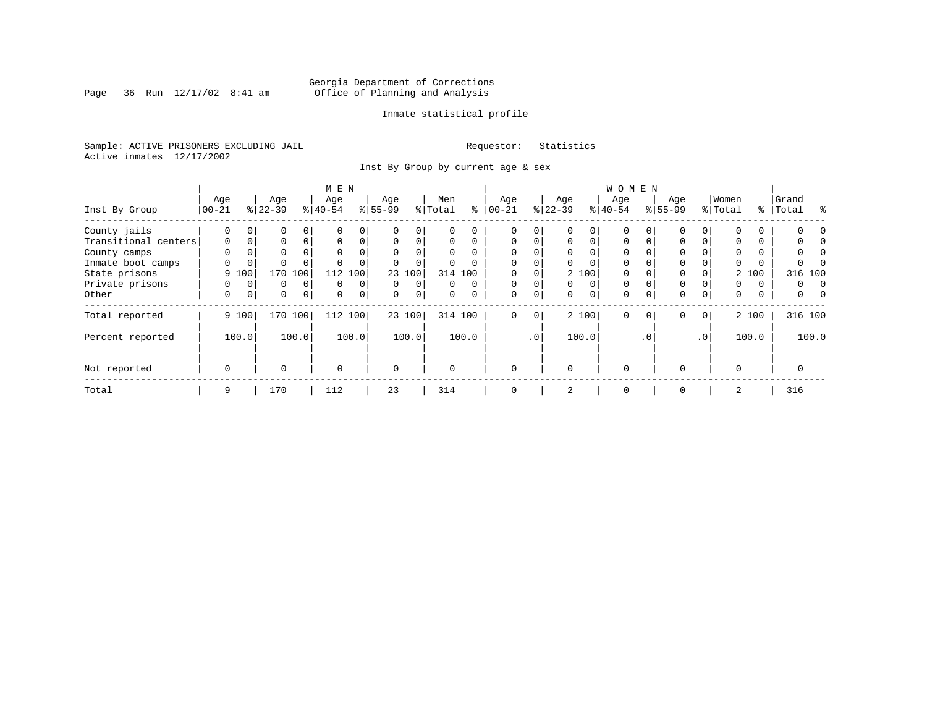Page 36 Run  $12/17/02$  8:41 am

## Inmate statistical profile

Sample: ACTIVE PRISONERS EXCLUDING JAIL **Requestor:** Statistics Active inmates 12/17/2002

Inst By Group by current age & sex

| M E N                |          |          |             |          |           |          |           |                |         |          |             |             |          |          | <b>WOMEN</b> |           |             |                 |          |       |           |       |
|----------------------|----------|----------|-------------|----------|-----------|----------|-----------|----------------|---------|----------|-------------|-------------|----------|----------|--------------|-----------|-------------|-----------------|----------|-------|-----------|-------|
|                      | Age      |          | Age         |          | Age       |          | Age       |                | Men     |          | Age         |             | Age      |          | Age          |           | Age         |                 | Women    |       | Grand     |       |
| Inst By Group        | $ 00-21$ |          | $ 22-39 $   |          | $ 40-54 $ |          | $8 55-99$ |                | % Total | ి        | $ 00-21$    |             | $ 22-39$ |          | $ 40-54 $    |           | $8155 - 99$ |                 | % Total  |       | %   Total | ႜ     |
| County jails         | 0        | $\Omega$ | 0           |          |           | 0        |           |                |         |          | 0           | 0           |          |          | $\Omega$     |           |             |                 |          |       |           |       |
| Transitional centers | $\Omega$ | 0        | $\Omega$    | $\Omega$ | $\Omega$  | 0        | $\Omega$  | $\Omega$       | 0       | 0        | $\Omega$    | $\Omega$    | $\Omega$ | $\Omega$ | $\Omega$     |           | $\Omega$    | $\Omega$        |          |       |           |       |
| County camps         | $\Omega$ | $\Omega$ | $\Omega$    |          | $\Omega$  | $\Omega$ | $\Omega$  |                |         |          | $\Omega$    | U           |          | $\Omega$ | $\Omega$     |           | $\Omega$    |                 | $\Omega$ |       | N         |       |
| Inmate boot camps    | U        | 0        |             |          |           | $\Omega$ |           |                |         |          | $\Omega$    | 0           |          |          | $\Omega$     |           | $\Omega$    |                 |          |       |           |       |
| State prisons        |          | 9 100    | 170         | 100      | 112       | 100      |           | 23 100         |         | 314 100  |             | 0           |          | 2 100    | $\Omega$     |           | $\Omega$    |                 |          | 2 100 | 316 100   |       |
| Private prisons      | 0        | $\Omega$ | $\Omega$    | $\Omega$ | $\Omega$  | $\Omega$ | $\Omega$  | $\Omega$       | 0       | $\Omega$ | $\Omega$    | 0           | $\Omega$ | $\Omega$ | $\Omega$     |           | $\Omega$    |                 | 0        | 0     | 0         | 0     |
| Other                | 0        | 0        | $\mathbf 0$ | 0        | 0         | 0        | 0         | 0 <sup>1</sup> | 0       |          | $\mathbf 0$ | $\mathbf 0$ | 0        | 0        | $\mathbf 0$  | $\Omega$  | $\mathbf 0$ | $\overline{0}$  | 0        | 0     | 0         |       |
| Total reported       |          | 9 100    | 170         | 100      | 112 100   |          |           | 23 100         |         | 314 100  | $\mathbf 0$ | 0           |          | 2 100    | $\Omega$     | $\Omega$  | $\Omega$    | 0 <sup>1</sup>  |          | 2 100 | 316 100   |       |
| Percent reported     |          | 100.0    |             | 100.0    |           | 100.0    |           | 100.0          |         | 100.0    |             | $\cdot$ 0   |          | 100.0    |              | $\cdot$ 0 |             | .0 <sup>1</sup> |          | 100.0 |           | 100.0 |
| Not reported         | 0        |          | $\Omega$    |          | $\Omega$  |          | $\Omega$  |                | O       |          | $\Omega$    |             | $\Omega$ |          | $\Omega$     |           | $\Omega$    |                 | $\Omega$ |       | 0         |       |
| Total                | 9        |          | 170         |          | 112       |          | 23        |                | 314     |          | 0           |             | 2        |          | 0            |           | $\Omega$    |                 | 2        |       | 316       |       |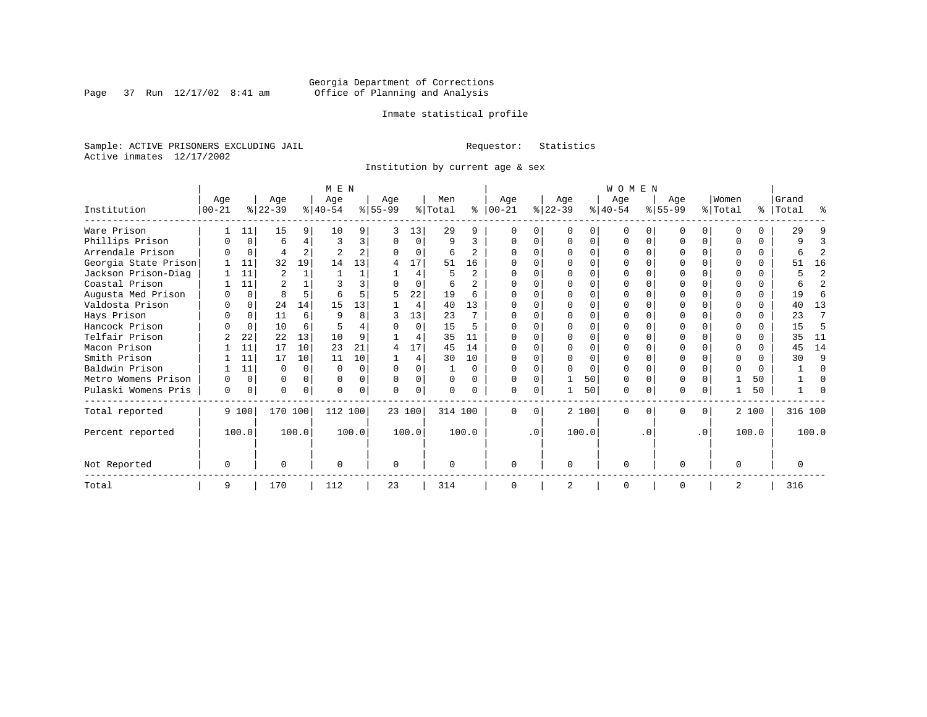Page 37 Run  $12/17/02$  8:41 am

## Inmate statistical profile

Sample: ACTIVE PRISONERS EXCLUDING JAIL **Requestor:** Statistics Active inmates 12/17/2002

Institution by current age & sex

|                      | M E N            |             |                  |          |                  |          |                  |          |                |                |                  |           | <b>WOMEN</b>     |       |                  |          |                  |                |                  |              |                    |                |  |
|----------------------|------------------|-------------|------------------|----------|------------------|----------|------------------|----------|----------------|----------------|------------------|-----------|------------------|-------|------------------|----------|------------------|----------------|------------------|--------------|--------------------|----------------|--|
| Institution          | Age<br>$00 - 21$ |             | Age<br>$ 22-39 $ |          | Age<br>$8 40-54$ |          | Age<br>$8 55-99$ |          | Men<br>% Total | ႜ              | Age<br>$ 00-21 $ |           | Age<br>$ 22-39 $ |       | Age<br>$ 40-54 $ |          | Age<br>$ 55-99 $ |                | Women<br>% Total |              | Grand<br>%   Total | ႜ              |  |
|                      |                  |             |                  |          |                  |          |                  |          |                |                |                  |           |                  |       |                  |          |                  |                |                  |              |                    |                |  |
| Ware Prison          |                  | 11          | 15               | 9        | 10               | 9        |                  | 13       | 29             | 9              |                  |           |                  | 0     |                  |          |                  | $\Omega$       |                  |              | 29                 |                |  |
| Phillips Prison      |                  | 0           | 6                | 4        | 3                | 3        | $\Omega$         | $\Omega$ | 9              | 3              |                  |           |                  | 0     |                  | $\Omega$ |                  | $\Omega$       |                  |              |                    | ζ              |  |
| Arrendale Prison     |                  | $\mathbf 0$ | 4                | 2        |                  | 2        |                  | $\Omega$ | 6              | 2              |                  |           |                  |       |                  |          |                  | O              |                  |              |                    | $\overline{2}$ |  |
| Georgia State Prison |                  | 11          | 32               | 19       | 14               | 13       |                  | 17       | 51             | 16             |                  |           |                  |       |                  |          |                  |                |                  |              | 51                 | 16             |  |
| Jackson Prison-Diag  |                  | 11          | $\overline{2}$   |          |                  |          |                  | 4        |                | $\overline{2}$ |                  |           |                  |       |                  |          |                  |                |                  |              |                    | $\overline{2}$ |  |
| Coastal Prison       |                  | 11          |                  |          |                  | 3        |                  | $\Omega$ | 6              | $\overline{a}$ |                  |           |                  |       |                  |          |                  |                |                  |              |                    | $\overline{2}$ |  |
| Augusta Med Prison   |                  | $\Omega$    | 8                | 5        | 6                | 5        | 5                | 22       | 19             | 6              |                  |           |                  |       |                  |          |                  |                |                  | 0            | 19                 | 6              |  |
| Valdosta Prison      | O                | 0           | 24               | 14       | 15               | 13       |                  | 4        | 40             | 13             | <sup>0</sup>     |           |                  |       |                  |          |                  | C.             | n                | <sup>n</sup> | 40                 | 13             |  |
| Hays Prison          |                  | 0           | 11               | 6        | 9                | 8        |                  | 13       | 23             |                |                  |           |                  | U     |                  |          |                  | U              |                  |              | 23                 | 7              |  |
| Hancock Prison       |                  | $\Omega$    | 10               | 6        |                  |          |                  | $\Omega$ | 15             | 5              |                  |           |                  |       |                  |          |                  | U              |                  |              | 15                 | 5              |  |
| Telfair Prison       |                  | 22          | 22               | 13       | 10               | 9        |                  | 4        | 35             | 11             |                  |           |                  |       |                  |          |                  |                |                  |              | 35                 | 11             |  |
| Macon Prison         |                  | 11          | 17               | 10       | 23               | 21       | 4                | 17       | 4.5            | 14             | ∩                |           | U                | U     |                  |          |                  | U              |                  |              | 45                 | 14             |  |
| Smith Prison         |                  | 11          | 17               | 10       | 11               | 10       |                  | 4        | 30             | 10             |                  |           |                  | O     |                  |          |                  | U              |                  |              | 30                 | 9              |  |
| Baldwin Prison       |                  | 11          | U                | $\Omega$ | $\Omega$         | $\Omega$ | $\Omega$         | $\Omega$ |                | $\Omega$       |                  |           |                  | U     |                  |          |                  | 0              |                  | <sup>0</sup> |                    | $\Omega$       |  |
| Metro Womens Prison  | $\Omega$         | $\Omega$    | U                | $\Omega$ | $\Omega$         | $\Omega$ | $\Omega$         | 0        | $\Omega$       | $\Omega$       |                  |           |                  | 50    | $\Omega$         |          |                  | 0              |                  | 50           |                    | $\Omega$       |  |
| Pulaski Womens Pris  | 0                | 0           | 0                | 0        | $\Omega$         |          | $\Omega$         | 0        | $\Omega$       | 0              | <sup>0</sup>     |           |                  | 50    | $\Omega$         |          | 0                | $\overline{0}$ |                  | 50           |                    | $\Omega$       |  |
| Total reported       |                  | 9 100       | 170 100          |          | 112 100          |          | 23 100           |          | 314 100        |                | <sup>0</sup>     | $\Omega$  |                  | 2 100 | $\Omega$         | $\Omega$ | U                | 0              |                  | 2 100        | 316 100            |                |  |
| Percent reported     |                  | 100.0       |                  | 100.0    |                  | 100.0    |                  | 100.0    |                | 100.0          |                  | $\cdot$ 0 |                  | 100.0 |                  | . 0      |                  | $\cdot$ 0      |                  | 100.0        |                    | 100.0          |  |
| Not Reported         | $\Omega$         |             | O                |          | $\Omega$         |          | $\Omega$         |          | O              |                | <sup>0</sup>     |           | $\Omega$         |       | $\Omega$         |          | O                |                | ∩                |              | $\Omega$           |                |  |
|                      |                  |             |                  |          |                  |          |                  |          |                |                |                  |           |                  |       |                  |          |                  |                |                  |              |                    |                |  |
| Total                | 9                |             | 170              |          | 112              |          | 23               |          | 314            |                | <sup>0</sup>     |           | 2                |       | $\Omega$         |          | O                |                | 2                |              | 316                |                |  |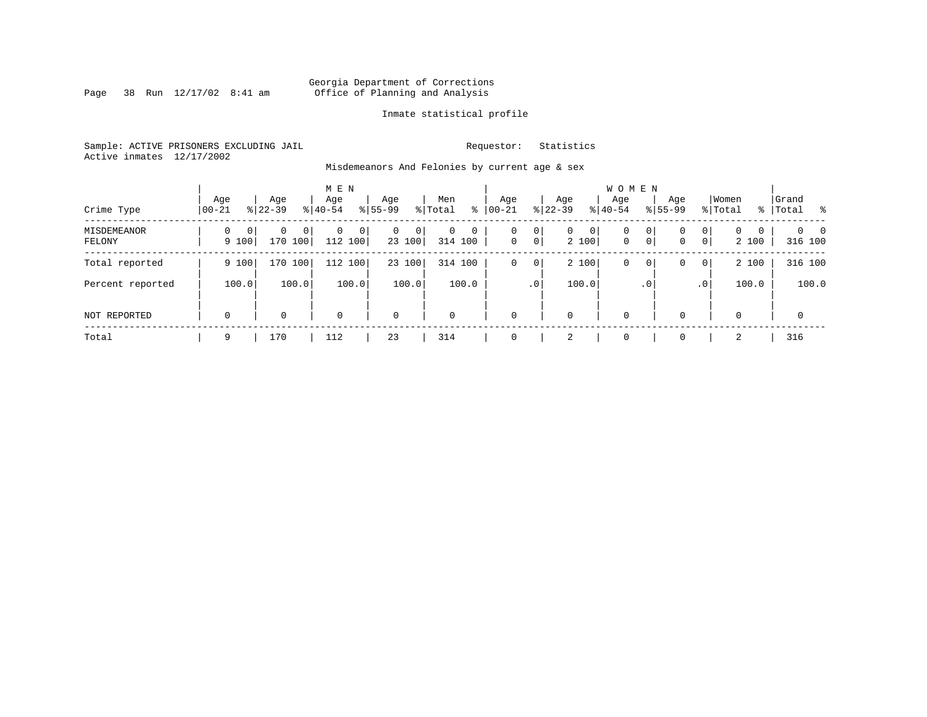Page 38 Run  $12/17/02$  8:41 am

## Inmate statistical profile

Sample: ACTIVE PRISONERS EXCLUDING JAIL **Requestor:** Statistics Active inmates 12/17/2002

Misdemeanors And Felonies by current age & sex

| Crime Type            | Age<br>$00 - 21$                  | Age<br>$8 22-39$               | M E N<br>Age<br>$8 40-54$ | Age<br>$8155 - 99$                       | Men<br>ွေ<br>% Total              | Age<br>$00 - 21$ | Age<br>$ 22 - 39 $                                | <b>WOMEN</b><br>Aqe<br>$8 40-54$ | Age<br>$8155 - 99$ | Women<br>% Total                                                | Grand<br>%   Total<br>- 왕       |
|-----------------------|-----------------------------------|--------------------------------|---------------------------|------------------------------------------|-----------------------------------|------------------|---------------------------------------------------|----------------------------------|--------------------|-----------------------------------------------------------------|---------------------------------|
| MISDEMEANOR<br>FELONY | $\Omega$<br>$\mathbf{0}$<br>9 100 | 0<br>0 <sup>1</sup><br>170 100 | 0<br>$\Omega$<br>112 100  | $\mathbf{0}$<br>$\overline{0}$<br>23 100 | $\mathbf 0$<br>$\circ$<br>314 100 | 0<br>$\mathbf 0$ | 0<br>0<br>$\mathbf{0}$<br>$\overline{0}$<br>2 100 | $\mathbf 0$<br>$\mathbf{0}$      | 0<br>0<br> 0 <br>0 | $\mathbf{0}$<br>$\Omega$<br>$\Omega$<br>$\overline{0}$<br>2 100 | $\Omega$<br>$\Omega$<br>316 100 |
| Total reported        | 9 100                             | 170 100                        | 112 100                   | 23 100                                   | 100<br>314                        | 0                | 2 100<br>0                                        | 0                                | 0<br>0             | 2 100<br>$\overline{0}$                                         | 316 100                         |
| Percent reported      | 100.0                             | 100.0                          | 100.0                     | 100.0                                    | 100.0                             |                  | 100.0<br>.0 <sup>1</sup>                          |                                  | $\cdot$ 0          | 100.0<br>.0 <sup>1</sup>                                        | 100.0                           |
| NOT REPORTED          | $\mathbf 0$                       | 0                              | $\mathbf 0$               | $\mathbf 0$                              | $\mathbf 0$                       | $\mathbf 0$      | 0                                                 | $\mathbf 0$                      | $\Omega$           | $\Omega$                                                        | $\mathbf 0$                     |
| Total                 | 9                                 | 170                            | 112                       | 23                                       | 314                               | $\Omega$         | 2                                                 | $\mathbf 0$                      | $\Omega$           | 2                                                               | 316                             |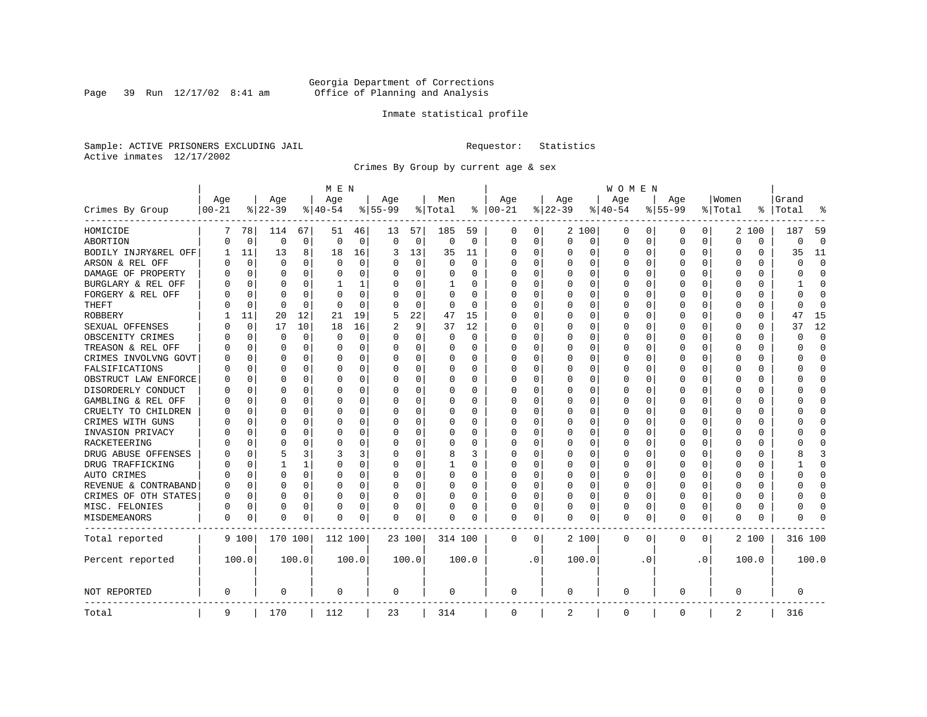Page 39 Run  $12/17/02$  8:41 am

## Inmate statistical profile

Sample: ACTIVE PRISONERS EXCLUDING JAIL **Requestor:** Statistics Active inmates 12/17/2002

Crimes By Group by current age & sex

|                      | M E N      |             |             |             |             |          |             |             |          |             |             |           |             |          | W O M E N   |             |             |           |          |          |              |             |
|----------------------|------------|-------------|-------------|-------------|-------------|----------|-------------|-------------|----------|-------------|-------------|-----------|-------------|----------|-------------|-------------|-------------|-----------|----------|----------|--------------|-------------|
|                      | Age        |             | Age         |             | Age         |          | Age         |             | Men      |             | Age         |           | Age         |          | Age         |             | Aqe         |           | Women    |          | Grand        |             |
| Crimes By Group      | $ 00 - 21$ |             | $8 22-39$   |             | $8 40-54$   |          | $8155 - 99$ |             | % Total  | ႜ           | $ 00-21$    |           | $8$   22-39 |          | $8 40-54$   |             | $8155 - 99$ |           | % Total  | ႜ        | Total        |             |
| HOMICIDE             | 7          | 78          | 114         | 67          | 51          | 46       | 13          | 57          | 185      | 59          | 0           | 0         |             | 2 100    | 0           | 0           | 0           | 0         |          | 2 100    | 187          | 59          |
| ABORTION             | U          | $\mathbf 0$ | $\mathbf 0$ | $\mathbf 0$ | $\mathbf 0$ | 0        | $\Omega$    | $\mathbf 0$ | 0        | $\mathbf 0$ | $\mathbf 0$ | 0         | $\mathbf 0$ | 0        | 0           | 0           | $\Omega$    | 0         | $\Omega$ | 0        | 0            | $\mathbf 0$ |
| BODILY INJRY&REL OFF | 1          | 11          | 13          | 8           | 18          | 16       | 3           | 13          | 35       | 11          | $\Omega$    | 0         | 0           | 0        | 0           | 0           | $\Omega$    | 0         | C        | 0        | 35           | 11          |
| ARSON & REL OFF      | U          | $\mathbf 0$ | $\Omega$    | 0           | $\mathbf 0$ | 0        |             | 0           | $\Omega$ | $\Omega$    | $\Omega$    | 0         | 0           | $\Omega$ | 0           | 0           | $\Omega$    | 0         | O        | 0        | $\Omega$     | $\mathbf 0$ |
| DAMAGE OF PROPERTY   | U          | $\Omega$    | $\Omega$    | 0           | $\Omega$    | 0        |             | $\Omega$    | 0        | O           | $\Omega$    | $\Omega$  | $\Omega$    | $\Omega$ | $\Omega$    | $\Omega$    | $\Omega$    | $\Omega$  | C        | 0        | U            | $\Omega$    |
| BURGLARY & REL OFF   |            | $\Omega$    | $\Omega$    | $\Omega$    | -1          | 1        | O           | $\Omega$    | 1        | 0           | $\Omega$    | $\Omega$  | $\Omega$    | $\Omega$ | 0           | $\Omega$    | $\Omega$    | $\Omega$  | O        | 0        |              | $\Omega$    |
| FORGERY & REL OFF    |            | $\Omega$    | $\Omega$    | $\Omega$    | $\Omega$    | 0        |             | $\Omega$    | $\Omega$ | $\Omega$    | O           | $\Omega$  | 0           | $\Omega$ | 0           | $\Omega$    | $\Omega$    | $\Omega$  | O        | 0        | O            | $\bigcap$   |
| THEFT                |            | 0           | $\Omega$    | $\Omega$    | $\Omega$    | $\Omega$ | ∩           | $\Omega$    | 0        | $\Omega$    | $\Omega$    | $\Omega$  | U           | O        | U           | $\Omega$    | $\Omega$    | $\Omega$  | C        | $\Omega$ | <sup>0</sup> | $\Omega$    |
| <b>ROBBERY</b>       |            | 11          | 20          | 12          | 21          | 19       | 5           | 22          | 47       | 15          | $\Omega$    | $\Omega$  | $\Omega$    | 0        | $\Omega$    | 0           | $\Omega$    | $\Omega$  | O        | 0        | 47           | 15          |
| SEXUAL OFFENSES      |            | $\mathbf 0$ | 17          | 10          | 18          | 16       |             | 9           | 37       | 12          | $\Omega$    | 0         | O           | $\Omega$ | 0           | $\Omega$    | $\Omega$    | $\Omega$  | O        | U        | 37           | 12          |
| OBSCENITY CRIMES     | n          | $\Omega$    | ∩           | $\Omega$    | $\Omega$    | 0        | ∩           | $\Omega$    | 0        | $\Omega$    | $\Omega$    | 0         | U           | O        | $\Omega$    | $\Omega$    | $\Omega$    | $\Omega$  | C        | 0        | U            | $\Omega$    |
| TREASON & REL OFF    |            | $\mathbf 0$ | $\Omega$    | $\Omega$    | $\Omega$    | 0        | O           | 0           | 0        | $\Omega$    | $\Omega$    | $\Omega$  | U           | $\Omega$ | 0           | 0           | $\Omega$    | $\Omega$  | O        | 0        | U            | $\Omega$    |
| CRIMES INVOLVNG GOVT |            | $\Omega$    | ∩           | $\Omega$    | $\Omega$    | O        |             | $\Omega$    | 0        | $\Omega$    | $\Omega$    | $\Omega$  | U           | $\Omega$ | Ω           | $\Omega$    | $\Omega$    | $\Omega$  | C        | U        |              | $\Omega$    |
| FALSIFICATIONS       | በ          | $\Omega$    | $\Omega$    | 0           | $\Omega$    | 0        |             | 0           | 0        | 0           | $\Omega$    | 0         | 0           | O        | 0           | 0           | $\Omega$    | $\Omega$  | C        | 0        | U            | $\mathbf 0$ |
| OBSTRUCT LAW ENFORCE | U          | $\Omega$    | $\Omega$    | 0           | $\Omega$    | 0        |             | 0           | 0        | 0           | $\Omega$    | 0         | $\Omega$    | 0        | U           | 0           | $\Omega$    | $\Omega$  | C        | 0        |              | $\Omega$    |
| DISORDERLY CONDUCT   | U          | $\Omega$    | $\Omega$    | $\Omega$    | $\Omega$    | 0        |             | $\Omega$    | $\Omega$ | O           | $\Omega$    | $\Omega$  | 0           | $\Omega$ | $\Omega$    | $\Omega$    | $\Omega$    | $\Omega$  | C        | 0        |              | $\cap$      |
| GAMBLING & REL OFF   | U          | $\Omega$    | ∩           | $\Omega$    | $\Omega$    | 0        | ∩           | 0           | 0        | 0           | $\Omega$    | $\Omega$  | $\Omega$    | $\Omega$ | $\Omega$    | 0           | $\Omega$    | $\Omega$  | C        | 0        |              | $\Omega$    |
| CRUELTY TO CHILDREN  | O          | $\mathbf 0$ | $\Omega$    | $\Omega$    | 0           | 0        |             | 0           | $\Omega$ | 0           | $\Omega$    | $\Omega$  | 0           | 0        | 0           | $\mathbf 0$ | $\Omega$    | 0         | O        | 0        |              | $\Omega$    |
| CRIMES WITH GUNS     |            | $\Omega$    | $\Omega$    | $\Omega$    | 0           | 0        |             | 0           | $\Omega$ | $\Omega$    | $\Omega$    | $\Omega$  | $\Omega$    | $\Omega$ | 0           | $\Omega$    | $\Omega$    | $\Omega$  | C        | 0        |              | $\Omega$    |
| INVASION PRIVACY     | U          | $\mathbf 0$ | $\Omega$    | $\Omega$    | $\Omega$    | 0        |             | 0           | 0        | 0           | $\Omega$    | 0         | 0           | 0        | 0           | 0           | $\Omega$    | $\Omega$  | C        | 0        |              | $\Omega$    |
| RACKETEERING         | በ          | $\Omega$    | $\Omega$    | 0           | $\Omega$    | 0        |             | 0           | 0        | 0           | $\Omega$    | 0         | 0           | $\Omega$ | 0           | 0           | $\Omega$    | 0         | C        | 0        |              | $\bigcap$   |
| DRUG ABUSE OFFENSES  | O          | $\Omega$    | 5           | 3           | 3           | 3        |             | $\Omega$    | 8        | 3           | $\Omega$    | $\Omega$  | 0           | $\Omega$ | $\Omega$    | $\Omega$    | $\Omega$    | $\Omega$  | C        | 0        |              | 3           |
| DRUG TRAFFICKING     | Ω          | $\Omega$    | 1           | 1.          | $\Omega$    | 0        | $\Omega$    | $\Omega$    | 1        | 0           | $\Omega$    | $\Omega$  | O           | 0        | U           | O           | O           | $\Omega$  | C        | 0        |              | $\Omega$    |
| AUTO CRIMES          |            | $\Omega$    | $\Omega$    | $\Omega$    | $\Omega$    | 0        |             | $\mathbf 0$ | 0        | 0           | $\Omega$    | $\Omega$  | 0           | 0        | Ω           | 0           | $\Omega$    | $\Omega$  | C        | 0        | O            | $\Omega$    |
| REVENUE & CONTRABAND | O          | $\Omega$    | $\Omega$    | $\Omega$    | $\Omega$    | 0        |             | $\Omega$    | 0        | $\Omega$    | $\Omega$    | $\Omega$  | U           | $\Omega$ | U           | $\Omega$    | $\Omega$    | $\Omega$  | C        | $\Omega$ | U            | $\Omega$    |
| CRIMES OF OTH STATES | U          | $\mathbf 0$ | $\Omega$    | 0           | $\Omega$    | 0        | $\Omega$    | 0           | 0        | 0           | $\Omega$    | $\Omega$  | $\Omega$    | $\Omega$ | 0           | 0           | $\Omega$    | $\Omega$  | O        | 0        | O            | $\Omega$    |
| MISC. FELONIES       | U          | $\Omega$    | $\Omega$    | 0           | O           | 0        |             | 0           | 0        | 0           | $\Omega$    | 0         | O           | $\Omega$ | 0           | 0           | $\Omega$    | 0         | O        | 0        |              | $\bigcap$   |
| MISDEMEANORS         | 0          | 0           | $\Omega$    | 0           | n           | 0        | $\Omega$    | 0           | 0        | 0           | 0           | 0         | 0           | 0        | 0           | 0           | $\Omega$    | 0         | O        | 0        |              |             |
| Total reported       |            | 9 100       | 170 100     |             | 112 100     |          |             | 23 100      | 314 100  |             | 0           | 0         |             | 2 100    | 0           | 0           | 0           | 0         |          | 2 100    | 316 100      |             |
| Percent reported     |            | 100.0       |             | 100.0       |             | 100.0    |             | 100.0       |          | 100.0       |             | $\cdot$ 0 |             | 100.0    |             | . 0         |             | $\cdot$ 0 |          | 100.0    |              | 100.0       |
| NOT REPORTED         | 0          |             | $\Omega$    |             | $\Omega$    |          | $\Omega$    |             | 0        |             | $\Omega$    |           | $\Omega$    |          | $\mathbf 0$ |             | $\Omega$    |           | $\Omega$ |          | $\Omega$     |             |
| Total                | 9          |             | 170         |             | 112         |          | 23          |             | 314      |             | $\mathbf 0$ |           | 2           |          | $\mathbf 0$ |             | 0           |           | 2        |          | 316          |             |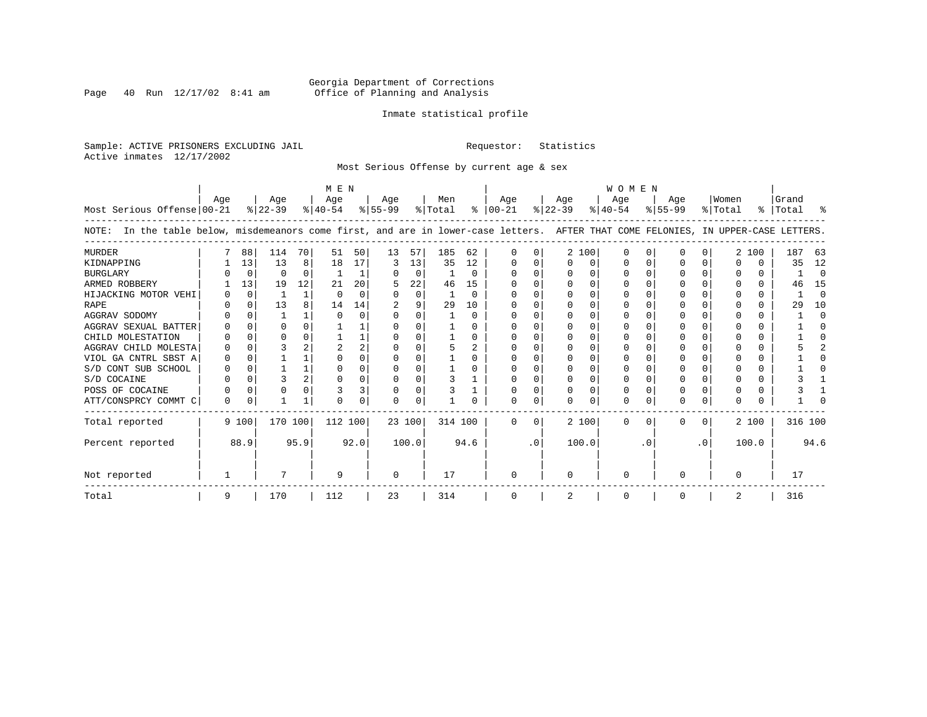Page 40 Run  $12/17/02$  8:41 am

## Inmate statistical profile

Sample: ACTIVE PRISONERS EXCLUDING JAIL **Requestor:** Statistics Active inmates 12/17/2002

Most Serious Offense by current age & sex

| M E N                                                                                                                                 |          |          |           |                |           |          |           |             |         |          | <b>WOMEN</b>  |           |           |       |           |          |             |           |          |       |           |          |  |
|---------------------------------------------------------------------------------------------------------------------------------------|----------|----------|-----------|----------------|-----------|----------|-----------|-------------|---------|----------|---------------|-----------|-----------|-------|-----------|----------|-------------|-----------|----------|-------|-----------|----------|--|
|                                                                                                                                       | Aqe      |          | Age       |                | Aqe       |          | Aqe       |             | Men     |          | Aqe           |           | Aqe       |       | Aqe       |          | Aqe         |           | Women    |       | Grand     |          |  |
| Most Serious Offense 00-21                                                                                                            |          |          | $ 22-39 $ |                | $ 40-54 $ |          | $8 55-99$ |             | % Total |          | $8   00 - 21$ |           | $ 22-39 $ |       | $ 40-54 $ |          | $8155 - 99$ |           | % Total  |       | %   Total | ႜ        |  |
| In the table below, misdemeanors come first, and are in lower-case letters. AFTER THAT COME FELONIES, IN UPPER-CASE LETTERS.<br>NOTE: |          |          |           |                |           |          |           |             |         |          |               |           |           |       |           |          |             |           |          |       |           |          |  |
| <b>MURDER</b>                                                                                                                         |          | 88       | 114       | 70             | 51        | 50       | 13        | 57          | 185     | 62       |               |           |           | 2 100 | $\Omega$  | O        | U           | 0         |          | 2 100 | 187       | 63       |  |
| KIDNAPPING                                                                                                                            |          | 13       | 13        | 8              | 18        | 17       | 3         | 13          | 35      | 12       |               |           | $\Omega$  | 0     |           | $\Omega$ |             |           | O        | 0     | 35        | 12       |  |
| <b>BURGLARY</b>                                                                                                                       |          | 0        | $\Omega$  | $\Omega$       |           |          |           | $\mathbf 0$ |         | $\Omega$ |               |           | $\Omega$  | O     |           | $\Omega$ | O           |           |          | 0     |           | $\Omega$ |  |
| ARMED ROBBERY                                                                                                                         |          | 13       | 19        | 12             | 21        | 20       |           | 22          | 46      | 15       |               |           |           | O     |           | $\Omega$ |             |           |          | 0     | 46        | 15       |  |
| HIJACKING MOTOR VEHI                                                                                                                  |          | $\Omega$ |           | $\mathbf{1}$   | $\Omega$  | $\Omega$ |           | $\Omega$    |         | $\Omega$ |               |           | $\Omega$  | O     |           |          |             |           |          | 0     |           | $\Omega$ |  |
| <b>RAPE</b>                                                                                                                           |          | 0        | 13        |                | 14        | 14       |           | 9           | 29      | 10       |               |           |           |       |           |          |             |           |          |       | 29        | 10       |  |
| AGGRAV SODOMY                                                                                                                         |          | $\Omega$ |           |                | ∩         | 0        |           | $\Omega$    |         | $\Omega$ |               |           | $\Omega$  | O     |           |          | U           |           |          | 0     |           | $\Omega$ |  |
| AGGRAV SEXUAL BATTER                                                                                                                  |          | $\Omega$ |           |                |           |          |           | O           |         | O        |               |           |           | O     |           |          |             |           |          | 0     |           |          |  |
| CHILD MOLESTATION                                                                                                                     |          | $\Omega$ |           |                |           |          |           |             |         | $\Omega$ |               |           |           | U     |           |          |             |           |          | 0     |           |          |  |
| AGGRAV CHILD MOLESTA                                                                                                                  |          |          |           |                |           | 2        |           |             |         | 2        |               |           |           |       |           |          |             |           |          | U     |           |          |  |
| VIOL GA CNTRL SBST A                                                                                                                  |          |          |           |                |           |          | O         | O           |         | 0        |               |           | $\Omega$  | O     |           |          | U           |           |          | 0     |           |          |  |
| S/D CONT SUB SCHOOL                                                                                                                   |          | $\Omega$ |           |                | $\Omega$  | 0        | O         | $\Omega$    |         | 0        |               |           | $\Omega$  | 0     |           | 0        |             |           |          | 0     |           |          |  |
| S/D COCAINE                                                                                                                           |          | $\Omega$ |           | $\overline{2}$ | ∩         | O        |           | $\Omega$    |         |          |               |           | $\Omega$  | U     |           | $\Omega$ | O           | U         | ∩        | 0     |           |          |  |
| POSS OF COCAINE                                                                                                                       |          | 0        |           |                |           | 3        | 0         | 0           |         |          |               |           |           | 0     | $\Omega$  | 0        |             |           |          | 0     |           |          |  |
| ATT/CONSPRCY COMMT C                                                                                                                  | $\Omega$ | 0        |           | -1             | ∩         | 0        | U         | $\Omega$    |         |          |               | C.        | $\Omega$  | U     | $\Omega$  | $\Omega$ | O           | $\Omega$  | $\Omega$ | 0     |           |          |  |
| Total reported                                                                                                                        |          | 9 100    | 170 100   |                | 112 100   |          |           | 23 100      | 314 100 |          | $\Omega$      | $\Omega$  |           | 2 100 | $\Omega$  | $\Omega$ | 0           | $\Omega$  |          | 2 100 | 316 100   |          |  |
| Percent reported                                                                                                                      |          | 88.9     |           | 95.9           |           | 92.0     |           | 100.0       |         | 94.6     |               | $\cdot$ 0 |           | 100.0 |           | . 0      |             | $\cdot$ 0 |          | 100.0 |           | 94.6     |  |
| Not reported                                                                                                                          |          |          |           |                | -9        |          | $\Omega$  |             | 17      |          | ∩             |           | $\Omega$  |       | ∩         |          | U           |           | $\Omega$ |       | 17        |          |  |
| Total                                                                                                                                 | 9        |          | 170       |                | 112       |          | 23        |             | 314     |          |               |           | 2         |       | 0         |          | 0           |           | 2        |       | 316       |          |  |